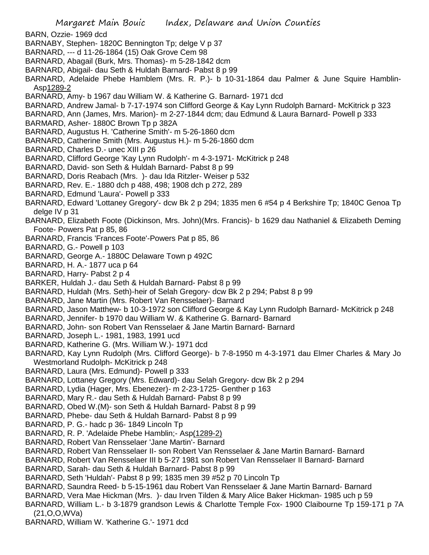- BARN, Ozzie- 1969 dcd
- BARNABY, Stephen- 1820C Bennington Tp; delge V p 37
- BARNARD, --- d 11-26-1864 (15) Oak Grove Cem 98
- BARNARD, Abagail (Burk, Mrs. Thomas)- m 5-28-1842 dcm
- BARNARD, Abigail- dau Seth & Huldah Barnard- Pabst 8 p 99
- BARNARD, Adelaide Phebe Hamblem (Mrs. R. P.)- b 10-31-1864 dau Palmer & June Squire Hamblin-Asp1289-2
- BARNARD, Amy- b 1967 dau William W. & Katherine G. Barnard- 1971 dcd
- BARNARD, Andrew Jamal- b 7-17-1974 son Clifford George & Kay Lynn Rudolph Barnard- McKitrick p 323
- BARNARD, Ann (James, Mrs. Marion)- m 2-27-1844 dcm; dau Edmund & Laura Barnard- Powell p 333
- BARMARD, Asher- 1880C Brown Tp p 382A
- BARNARD, Augustus H. 'Catherine Smith'- m 5-26-1860 dcm
- BARNARD, Catherine Smith (Mrs. Augustus H.)- m 5-26-1860 dcm
- BARNARD, Charles D.- unec XIII p 26
- BARNARD, Clifford George 'Kay Lynn Rudolph'- m 4-3-1971- McKitrick p 248
- BARNARD, David- son Seth & Huldah Barnard- Pabst 8 p 99
- BARNARD, Doris Reabach (Mrs. )- dau Ida Ritzler- Weiser p 532
- BARNARD, Rev. E.- 1880 dch p 488, 498; 1908 dch p 272, 289
- BARNARD, Edmund 'Laura'- Powell p 333
- BARNARD, Edward 'Lottaney Gregory'- dcw Bk 2 p 294; 1835 men 6 #54 p 4 Berkshire Tp; 1840C Genoa Tp delge IV p 31
- BARNARD, Elizabeth Foote (Dickinson, Mrs. John)(Mrs. Francis)- b 1629 dau Nathaniel & Elizabeth Deming Foote- Powers Pat p 85, 86
- BARNARD, Francis 'Frances Foote'-Powers Pat p 85, 86
- BARNARD, G.- Powell p 103
- BARNARD, George A.- 1880C Delaware Town p 492C
- BARNARD, H. A.- 1877 uca p 64
- BARNARD, Harry- Pabst 2 p 4
- BARKER, Huldah J.- dau Seth & Huldah Barnard- Pabst 8 p 99
- BARNARD, Huldah (Mrs. Seth)-heir of Selah Gregory- dcw Bk 2 p 294; Pabst 8 p 99
- BARNARD, Jane Martin (Mrs. Robert Van Rensselaer)- Barnard
- BARNARD, Jason Matthew- b 10-3-1972 son Clifford George & Kay Lynn Rudolph Barnard- McKitrick p 248
- BARNARD, Jennifer- b 1970 dau William W. & Katherine G. Barnard- Barnard
- BARNARD, John- son Robert Van Rensselaer & Jane Martin Barnard- Barnard
- BARNARD, Joseph L.- 1981, 1983, 1991 ucd
- BARNARD, Katherine G. (Mrs. William W.)- 1971 dcd
- BARNARD, Kay Lynn Rudolph (Mrs. Clifford George)- b 7-8-1950 m 4-3-1971 dau Elmer Charles & Mary Jo Westmorland Rudolph- McKitrick p 248
- BARNARD, Laura (Mrs. Edmund)- Powell p 333
- BARNARD, Lottaney Gregory (Mrs. Edward)- dau Selah Gregory- dcw Bk 2 p 294
- BARNARD, Lydia (Hager, Mrs. Ebenezer)- m 2-23-1725- Genther p 163
- BARNARD, Mary R.- dau Seth & Huldah Barnard- Pabst 8 p 99
- BARNARD, Obed W.(M)- son Seth & Huldah Barnard- Pabst 8 p 99
- BARNARD, Phebe- dau Seth & Huldah Barnard- Pabst 8 p 99
- BARNARD, P. G.- hadc p 36- 1849 Lincoln Tp
- BARNARD, R. P. 'Adelaide Phebe Hamblin;- Asp(1289-2)
- BARNARD, Robert Van Rensselaer 'Jane Martin'- Barnard
- BARNARD, Robert Van Rensselaer II- son Robert Van Rensselaer & Jane Martin Barnard- Barnard
- BARNARD, Robert Van Rensselaer III b 5-27 1981 son Robert Van Rensselaer II Barnard- Barnard
- BARNARD, Sarah- dau Seth & Huldah Barnard- Pabst 8 p 99
- BARNARD, Seth 'Huldah'- Pabst 8 p 99; 1835 men 39 #52 p 70 Lincoln Tp
- BARNARD, Saundra Reed- b 5-15-1961 dau Robert Van Rensselaer & Jane Martin Barnard- Barnard
- BARNARD, Vera Mae Hickman (Mrs. )- dau Irven Tilden & Mary Alice Baker Hickman- 1985 uch p 59
- BARNARD, William L.- b 3-1879 grandson Lewis & Charlotte Temple Fox- 1900 Claibourne Tp 159-171 p 7A (21,O,O,WVa)
- BARNARD, William W. 'Katherine G.'- 1971 dcd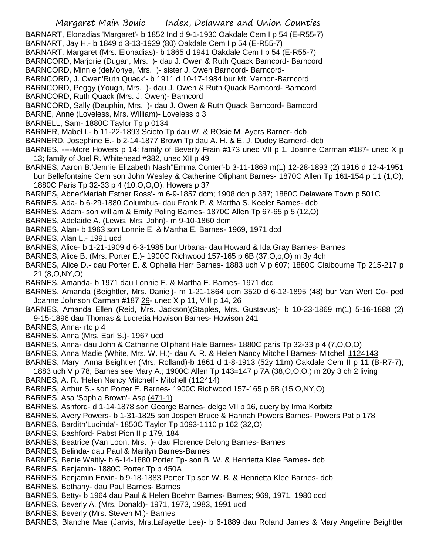BARNART, Elonadias 'Margaret'- b 1852 Ind d 9-1-1930 Oakdale Cem I p 54 (E-R55-7)

- BARNART, Jay H.- b 1849 d 3-13-1929 (80) Oakdale Cem I p 54 (E-R55-7)
- BARNART, Margaret (Mrs. Elonadias)- b 1865 d 1941 Oakdale Cem I p 54 (E-R55-7)
- BARNCORD, Marjorie (Dugan, Mrs. )- dau J. Owen & Ruth Quack Barncord- Barncord
- BARNCORD, Minnie (deMonye, Mrs. )- sister J. Owen Barncord- Barncord-
- BARNCORD, J. Owen'Ruth Quack'- b 1911 d 10-17-1984 bur Mt. Vernon-Barncord
- BARNCORD, Peggy (Yough, Mrs. )- dau J. Owen & Ruth Quack Barncord- Barncord
- BARNCORD, Ruth Quack (Mrs. J. Owen)- Barncord
- BARNCORD, Sally (Dauphin, Mrs. )- dau J. Owen & Ruth Quack Barncord- Barncord
- BARNE, Anne (Loveless, Mrs. William)- Loveless p 3
- BARNELL, Sam- 1880C Taylor Tp p 0134
- BARNER, Mabel I.- b 11-22-1893 Scioto Tp dau W. & ROsie M. Ayers Barner- dcb
- BARNERD, Josephine E.- b 2-14-1877 Brown Tp dau A. H. & E. J. Dudey Barnerd- dcb
- BARNES, ----More Howers p 14; family of Beverly Frain #173 unec VII p 1, Joanne Carman #187- unec X p 13; family of Joel R. Whitehead #382, unec XII p 49
- BARNES, Aaron B.'Jennie Elizabeth Nash''Emma Conter'-b 3-11-1869 m(1) 12-28-1893 (2) 1916 d 12-4-1951 bur Bellefontaine Cem son John Wesley & Catherine Oliphant Barnes- 1870C Allen Tp 161-154 p 11 (1,O); 1880C Paris Tp 32-33 p 4 (10,O,O,O); Howers p 37
- BARNES, Abner'Mariah Esther Ross'- m 6-9-1857 dcm; 1908 dch p 387; 1880C Delaware Town p 501C
- BARNES, Ada- b 6-29-1880 Columbus- dau Frank P. & Martha S. Keeler Barnes- dcb
- BARNES, Adam- son william & Emily Poling Barnes- 1870C Allen Tp 67-65 p 5 (12,O)
- BARNES, Adelaide A. (Lewis, Mrs. John)- m 9-10-1860 dcm
- BARNES, Alan- b 1963 son Lonnie E. & Martha E. Barnes- 1969, 1971 dcd
- BARNES, Alan L.- 1991 ucd
- BARNES, Alice- b 1-21-1909 d 6-3-1985 bur Urbana- dau Howard & Ida Gray Barnes- Barnes
- BARNES, Alice B. (Mrs. Porter E.)- 1900C Richwood 157-165 p 6B (37,O,o,O) m 3y 4ch
- BARNES, Alice D.- dau Porter E. & Ophelia Herr Barnes- 1883 uch V p 607; 1880C Claibourne Tp 215-217 p 21 (8,O,NY,O)
- BARNES, Amanda- b 1971 dau Lonnie E. & Martha E. Barnes- 1971 dcd
- BARNES, Amanda (Beightler, Mrs. Daniel)- m 1-21-1864 ucm 3520 d 6-12-1895 (48) bur Van Wert Co- ped Joanne Johnson Carman #187 29- unec X p 11, VIII p 14, 26
- BARNES, Amanda Ellen (Reid, Mrs. Jackson)(Staples, Mrs. Gustavus)- b 10-23-1869 m(1) 5-16-1888 (2) 9-15-1896 dau Thomas & Lucretia Howison Barnes- Howison 241
- BARNES, Anna- rtc p 4
- BARNES, Anna (Mrs. Earl S.)- 1967 ucd
- BARNES, Anna- dau John & Catharine Oliphant Hale Barnes- 1880C paris Tp 32-33 p 4 (7,O,O,O)
- BARNES, Anna Madie (White, Mrs. W. H.)- dau A. R. & Helen Nancy Mitchell Barnes- Mitchell 1124143
- BARNES, Mary Anna Beightler (Mrs. Rolland)-b 1861 d 1-8-1913 (52y 11m) Oakdale Cem II p 11 (B-R7-7);
- 1883 uch V p 78; Barnes see Mary A.; 1900C Allen Tp 143=147 p 7A (38,O,O,O,) m 20y 3 ch 2 living
- BARNES, A. R. 'Helen Nancy Mitchell'- Mitchell (112414)
- BARNES, Arthur S.- son Porter E. Barnes- 1900C Richwood 157-165 p 6B (15,O,NY,O)
- BARNES, Asa 'Sophia Brown'- Asp (471-1)
- BARNES, Ashford- d 1-14-1878 son George Barnes- delge VII p 16, query by Irma Korbitz
- BARNES, Avery Powers- b 1-31-1825 son Jospeh Bruce & Hannah Powers Barnes- Powers Pat p 178
- BARNES, Bardith'Lucinda'- 1850C Taylor Tp 1093-1110 p 162 (32,O)
- BARNES, Bashford- Pabst Pion II p 179, 184
- BARNES, Beatrice (Van Loon. Mrs. )- dau Florence Delong Barnes- Barnes
- BARNES, Belinda- dau Paul & Marilyn Barnes-Barnes
- BARNES, Benie Waitly- b 6-14-1880 Porter Tp- son B. W. & Henrietta Klee Barnes- dcb
- BARNES, Benjamin- 1880C Porter Tp p 450A
- BARNES, Benjamin Erwin- b 9-18-1883 Porter Tp son W. B. & Henrietta Klee Barnes- dcb
- BARNES, Bethany- dau Paul Barnes- Barnes
- BARNES, Betty- b 1964 dau Paul & Helen Boehm Barnes- Barnes; 969, 1971, 1980 dcd
- BARNES, Beverly A. (Mrs. Donald)- 1971, 1973, 1983, 1991 ucd
- BARNES, Beverly (Mrs. Steven M.)- Barnes
- BARNES, Blanche Mae (Jarvis, Mrs.Lafayette Lee)- b 6-1889 dau Roland James & Mary Angeline Beightler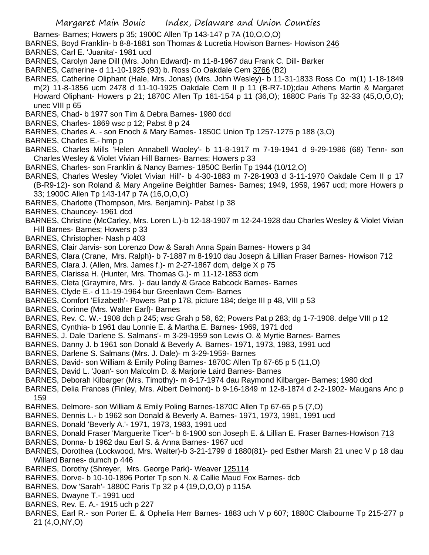- Barnes- Barnes; Howers p 35; 1900C Allen Tp 143-147 p 7A (10,O,O,O)
- BARNES, Boyd Franklin- b 8-8-1881 son Thomas & Lucretia Howison Barnes- Howison 246
- BARNES, Carl E. 'Juanita'- 1981 ucd
- BARNES, Carolyn Jane Dill (Mrs. John Edward)- m 11-8-1967 dau Frank C. Dill- Barker
- BARNES, Catherine- d 11-10-1925 (93) b. Ross Co Oakdale Cem 3766 (B2)
- BARNES, Catherine Oliphant (Hale, Mrs. Jonas) (Mrs. John Wesley)- b 11-31-1833 Ross Co m(1) 1-18-1849 m(2) 11-8-1856 ucm 2478 d 11-10-1925 Oakdale Cem II p 11 (B-R7-10);dau Athens Martin & Margaret Howard Oliphant- Howers p 21; 1870C Allen Tp 161-154 p 11 (36,O); 1880C Paris Tp 32-33 (45,O,O,O); unec VIII p 65
- BARNES, Chad- b 1977 son Tim & Debra Barnes- 1980 dcd
- BARNES, Charles- 1869 wsc p 12; Pabst 8 p 24
- BARNES, Charles A. son Enoch & Mary Barnes- 1850C Union Tp 1257-1275 p 188 (3,O)
- BARNES, Charles E.- hmp p
- BARNES, Charles Mills 'Helen Annabell Wooley'- b 11-8-1917 m 7-19-1941 d 9-29-1986 (68) Tenn- son Charles Wesley & Violet Vivian Hill Barnes- Barnes; Howers p 33
- BARNES, Charles- son Franklin & Nancy Barnes- 1850C Berlin Tp 1944 (10/12,O)
- BARNES, Charles Wesley 'Violet Vivian Hill'- b 4-30-1883 m 7-28-1903 d 3-11-1970 Oakdale Cem II p 17 (B-R9-12)- son Roland & Mary Angeline Beightler Barnes- Barnes; 1949, 1959, 1967 ucd; more Howers p 33; 1900C Allen Tp 143-147 p 7A (16,O,O,O)
- BARNES, Charlotte (Thompson, Mrs. Benjamin)- Pabst l p 38
- BARNES, Chauncey- 1961 dcd
- BARNES, Christine (McCarley, Mrs. Loren L.)-b 12-18-1907 m 12-24-1928 dau Charles Wesley & Violet Vivian Hill Barnes- Barnes; Howers p 33
- BARNES, Christopher- Nash p 403
- BARNES, Clair Jarvis- son Lorenzo Dow & Sarah Anna Spain Barnes- Howers p 34
- BARNES, Clara (Crane, Mrs. Ralph)- b 7-1887 m 8-1910 dau Joseph & Lillian Fraser Barnes- Howison 712
- BARNES, Clara J. (Allen, Mrs. James f.)- m 2-27-1867 dcm, delge X p 75
- BARNES, Clarissa H. (Hunter, Mrs. Thomas G.)- m 11-12-1853 dcm
- BARNES, Cleta (Graymire, Mrs. )- dau landy & Grace Babcock Barnes- Barnes
- BARNES, Clyde E.- d 11-19-1964 bur Greenlawn Cem- Barnes
- BARNES, Comfort 'Elizabeth'- Powers Pat p 178, picture 184; delge III p 48, VIII p 53
- BARNES, Corinne (Mrs. Walter Earl)- Barnes
- BARNES, Rev. C. W.- 1908 dch p 245; wsc Grah p 58, 62; Powers Pat p 283; dg 1-7-1908. delge VIII p 12
- BARNES, Cynthia- b 1961 dau Lonnie E. & Martha E. Barnes- 1969, 1971 dcd
- BARNES, J. Dale 'Darlene S. Salmans'- m 3-29-1959 son Lewis O. & Myrtie Barnes- Barnes
- BARNES, Danny J. b 1961 son Donald & Beverly A. Barnes- 1971, 1973, 1983, 1991 ucd
- BARNES, Darlene S. Salmans (Mrs. J. Dale)- m 3-29-1959- Barnes
- BARNES, David- son William & Emily Poling Barnes- 1870C Allen Tp 67-65 p 5 (11,O)
- BARNES, David L. 'Joan'- son Malcolm D. & Marjorie Laird Barnes- Barnes
- BARNES, Deborah Kilbarger (Mrs. Timothy)- m 8-17-1974 dau Raymond Kilbarger- Barnes; 1980 dcd
- BARNES, Delia Frances (Finley, Mrs. Albert Delmont)- b 9-16-1849 m 12-8-1874 d 2-2-1902- Maugans Anc p 159
- BARNES, Delmore- son William & Emily Poling Barnes-1870C Allen Tp 67-65 p 5 (7,O)
- BARNES, Dennis L.- b 1962 son Donald & Beverly A. Barnes- 1971, 1973, 1981, 1991 ucd
- BARNES, Donald 'Beverly A.'- 1971, 1973, 1983, 1991 ucd
- BARNES, Donald Fraser 'Marguerite Ticer'- b 6-1900 son Joseph E. & Lillian E. Fraser Barnes-Howison 713
- BARNES, Donna- b 1962 dau Earl S. & Anna Barnes- 1967 ucd
- BARNES, Dorothea (Lockwood, Mrs. Walter)-b 3-21-1799 d 1880(81)- ped Esther Marsh 21 unec V p 18 dau Willard Barnes- dumch p 446
- BARNES, Dorothy (Shreyer, Mrs. George Park)- Weaver 125114
- BARNES, Dorve- b 10-10-1896 Porter Tp son N. & Callie Maud Fox Barnes- dcb
- BARNES, Dow 'Sarah'- 1880C Paris Tp 32 p 4 (19,O,O,O) p 115A
- BARNES, Dwayne T.- 1991 ucd
- BARNES, Rev. E. A.- 1915 uch p 227
- BARNES, Earl R.- son Porter E. & Ophelia Herr Barnes- 1883 uch V p 607; 1880C Claibourne Tp 215-277 p 21 (4,O,NY,O)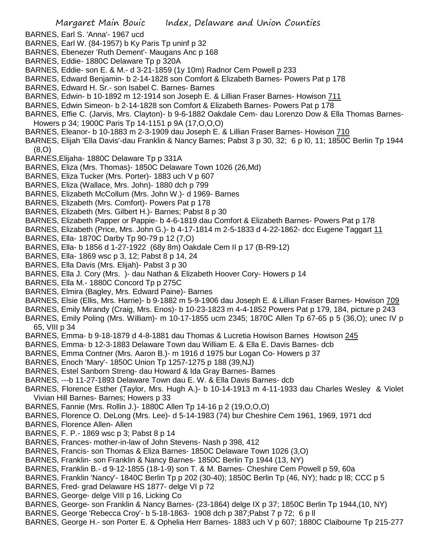- BARNES, Earl S. 'Anna'- 1967 ucd
- BARNES, Earl W. (84-1957) b Ky Paris Tp uninf p 32
- BARNES, Ebenezer 'Ruth Dement'- Maugans Anc p 168
- BARNES, Eddie- 1880C Delaware Tp p 320A
- BARNES, Eddie- son E. & M.- d 3-21-1859 (1y 10m) Radnor Cem Powell p 233
- BARNES, Edward Benjamin- b 2-14-1828 son Comfort & Elizabeth Barnes- Powers Pat p 178
- BARNES, Edward H. Sr.- son Isabel C. Barnes- Barnes
- BARNES, Edwin- b 10-1892 m 12-1914 son Joseph E. & Lillian Fraser Barnes- Howison 711
- BARNES, Edwin Simeon- b 2-14-1828 son Comfort & Elizabeth Barnes- Powers Pat p 178
- BARNES, Effie C. (Jarvis, Mrs. Clayton)- b 9-6-1882 Oakdale Cem- dau Lorenzo Dow & Ella Thomas Barnes-Howers p 34; 1900C Paris Tp 14-1151 p 9A (17,O,O,O)
- BARNES, Eleanor- b 10-1883 m 2-3-1909 dau Joseph E. & Lillian Fraser Barnes- Howison 710
- BARNES, Elijah 'Ella Davis'-dau Franklin & Nancy Barnes; Pabst 3 p 30, 32; 6 p l0, 11; 1850C Berlin Tp 1944 (8,O)
- BARNES,Elijaha- 1880C Delaware Tp p 331A
- BARNES, Eliza (Mrs. Thomas)- 1850C Delaware Town 1026 (26,Md)
- BARNES, Eliza Tucker (Mrs. Porter)- 1883 uch V p 607
- BARNES, Eliza (Wallace, Mrs. John)- 1880 dch p 799
- BARNES, Elizabeth McCollum (Mrs. John W.)- d 1969- Barnes
- BARNES, Elizabeth (Mrs. Comfort)- Powers Pat p 178
- BARNES, Elizabeth (Mrs. Gilbert H.)- Barnes; Pabst 8 p 30
- BARNES, Elizabeth Papper or Pappie- b 4-6-1819 dau Comfort & Elizabeth Barnes- Powers Pat p 178
- BARNES, Elizabeth (Price, Mrs. John G.)- b 4-17-1814 m 2-5-1833 d 4-22-1862- dcc Eugene Taggart 11
- BARNES, Ella- 1870C Darby Tp 90-79 p 12 (7,O)
- BARNES, Ella- b 1856 d 1-27-1922 (68y 8m) Oakdale Cem II p 17 (B-R9-12)
- BARNES, Ella- 1869 wsc p 3, 12; Pabst 8 p 14, 24
- BARNES, Ella Davis (Mrs. Elijah)- Pabst 3 p 30
- BARNES, Ella J. Cory (Mrs. )- dau Nathan & Elizabeth Hoover Cory- Howers p 14
- BARNES, Ella M.- 1880C Concord Tp p 275C
- BARNES, Elmira (Bagley, Mrs. Edward Paine)- Barnes
- BARNES, Elsie (Ellis, Mrs. Harrie)- b 9-1882 m 5-9-1906 dau Joseph E. & Lillian Fraser Barnes- Howison 709
- BARNES, Emily Mirandy (Craig, Mrs. Enos)- b 10-23-1823 m 4-4-1852 Powers Pat p 179, 184, picture p 243
- BARNES, Emily Poling (Mrs. William)- m 10-17-1855 ucm 2345; 1870C Allen Tp 67-65 p 5 (36,O); unec IV p 65, VIII p 34
- BARNES, Emma- b 9-18-1879 d 4-8-1881 dau Thomas & Lucretia Howison Barnes Howison 245
- BARNES, Emma- b 12-3-1883 Delaware Town dau William E. & Ella E. Davis Barnes- dcb
- BARNES, Emma Contner (Mrs. Aaron B.)- m 1916 d 1975 bur Logan Co- Howers p 37
- BARNES, Enoch 'Mary'- 1850C Union Tp 1257-1275 p 188 (39,NJ)
- BARNES, Estel Sanborn Streng- dau Howard & Ida Gray Barnes- Barnes
- BARNES, ---b 11-27-1893 Delaware Town dau E. W. & Ella Davis Barnes- dcb
- BARNES, Florence Esther (Taylor, Mrs. Hugh A.)- b 10-14-1913 m 4-11-1933 dau Charles Wesley & Violet Vivian Hill Barnes- Barnes; Howers p 33
- BARNES, Fannie (Mrs. Rollin J.)- 1880C Allen Tp 14-16 p 2 (19,O,O,O)
- BARNES, Florence O. DeLong (Mrs. Lee)- d 5-14-1983 (74) bur Cheshire Cem 1961, 1969, 1971 dcd
- BARNES, Florence Allen- Allen
- BARNES, F. P.- 1869 wsc p 3; Pabst 8 p 14
- BARNES, Frances- mother-in-law of John Stevens- Nash p 398, 412
- BARNES, Francis- son Thomas & Eliza Barnes- 1850C Delaware Town 1026 (3,O)
- BARNES, Franklin- son Franklin & Nancy Barnes- 1850C Berlin Tp 1944 (13, NY)
- BARNES, Franklin B.- d 9-12-1855 (18-1-9) son T. & M. Barnes- Cheshire Cem Powell p 59, 60a
- BARNES, Franklin 'Nancy'- 1840C Berlin Tp p 202 (30-40); 1850C Berlin Tp (46, NY); hadc p l8; CCC p 5
- BARNES, Fred- grad Delaware HS 1877- delge VI p 72
- BARNES, George- delge VIII p 16, Licking Co
- BARNES, George- son Franklin & Nancy Barnes- (23-1864) delge IX p 37; 1850C Berlin Tp 1944,(10, NY)
- BARNES, George 'Rebecca Croy'- b 5-18-1863- 1908 dch p 387;Pabst 7 p 72; 6 p ll
- BARNES, George H.- son Porter E. & Ophelia Herr Barnes- 1883 uch V p 607; 1880C Claibourne Tp 215-277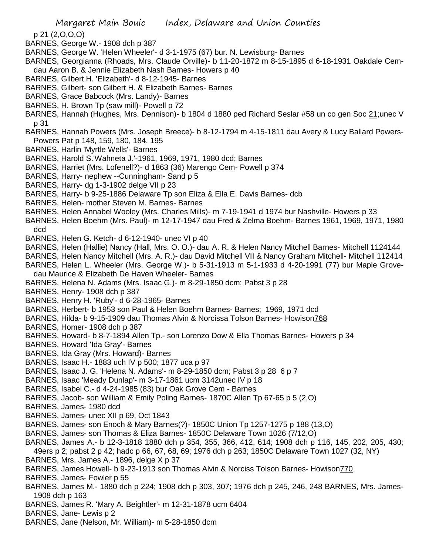p 21 (2,O,O,O)

- BARNES, George W.- 1908 dch p 387
- BARNES, George W. 'Helen Wheeler'- d 3-1-1975 (67) bur. N. Lewisburg- Barnes
- BARNES, Georgianna (Rhoads, Mrs. Claude Orville)- b 11-20-1872 m 8-15-1895 d 6-18-1931 Oakdale Cemdau Aaron B. & Jennie Elizabeth Nash Barnes- Howers p 40
- BARNES, Gilbert H. 'Elizabeth'- d 8-12-1945- Barnes
- BARNES, Gilbert- son Gilbert H. & Elizabeth Barnes- Barnes
- BARNES, Grace Babcock (Mrs. Landy)- Barnes
- BARNES, H. Brown Tp (saw mill)- Powell p 72
- BARNES, Hannah (Hughes, Mrs. Dennison)- b 1804 d 1880 ped Richard Seslar #58 un co gen Soc 21;unec V p 31
- BARNES, Hannah Powers (Mrs. Joseph Breece)- b 8-12-1794 m 4-15-1811 dau Avery & Lucy Ballard Powers-Powers Pat p 148, 159, 180, 184, 195
- BARNES, Harlin 'Myrtle Wells'- Barnes
- BARNES, Harold S.'Wahneta J.'-1961, 1969, 1971, 1980 dcd; Barnes
- BARNES, Harriet (Mrs. Lofenell?)- d 1863 (36) Marengo Cem- Powell p 374
- BARNES, Harry- nephew --Cunningham- Sand p 5
- BARNES, Harry- dg 1-3-1902 delge VII p 23
- BARNES, Harry- b 9-25-1886 Delaware Tp son Eliza & Ella E. Davis Barnes- dcb
- BARNES, Helen- mother Steven M. Barnes- Barnes
- BARNES, Helen Annabel Wooley (Mrs. Charles Mills)- m 7-19-1941 d 1974 bur Nashville- Howers p 33
- BARNES, Helen Boehm (Mrs. Paul)- m 12-17-1947 dau Fred & Zelma Boehm- Barnes 1961, 1969, 1971, 1980 dcd
- BARNES, Helen G. Ketch- d 6-12-1940- unec VI p 40
- BARNES, Helen (Hallie) Nancy (Hall, Mrs. O. O.)- dau A. R. & Helen Nancy Mitchell Barnes- Mitchell 1124144
- BARNES, Helen Nancy Mitchell (Mrs. A. R.)- dau David Mitchell VII & Nancy Graham Mitchell- Mitchell 112414
- BARNES, Helen L. Wheeler (Mrs. George W.)- b 5-31-1913 m 5-1-1933 d 4-20-1991 (77) bur Maple Grovedau Maurice & Elizabeth De Haven Wheeler- Barnes
- BARNES, Helena N. Adams (Mrs. Isaac G.)- m 8-29-1850 dcm; Pabst 3 p 28
- BARNES, Henry- 1908 dch p 387
- BARNES, Henry H. 'Ruby'- d 6-28-1965- Barnes
- BARNES, Herbert- b 1953 son Paul & Helen Boehm Barnes- Barnes; 1969, 1971 dcd
- BARNES, Hilda- b 9-15-1909 dau Thomas Alvin & Norcissa Tolson Barnes- Howison768
- BARNES, Homer- 1908 dch p 387
- BARNES, Howard- b 8-7-1894 Allen Tp.- son Lorenzo Dow & Ella Thomas Barnes- Howers p 34
- BARNES, Howard 'Ida Gray'- Barnes
- BARNES, Ida Gray (Mrs. Howard)- Barnes
- BARNES, Isaac H.- 1883 uch IV p 500; 1877 uca p 97
- BARNES, Isaac J. G. 'Helena N. Adams'- m 8-29-1850 dcm; Pabst 3 p 28 6 p 7
- BARNES, Isaac 'Meady Dunlap'- m 3-17-1861 ucm 3142unec IV p 18
- BARNES, Isabel C.- d 4-24-1985 (83) bur Oak Grove Cem Barnes
- BARNES, Jacob- son William & Emily Poling Barnes- 1870C Allen Tp 67-65 p 5 (2,O)
- BARNES, James- 1980 dcd
- BARNES, James- unec XII p 69, Oct 1843
- BARNES, James- son Enoch & Mary Barnes(?)- 1850C Union Tp 1257-1275 p 188 (13,O)
- BARNES, James- son Thomas & Eliza Barnes- 1850C Delaware Town 1026 (7/12,O)
- BARNES, James A.- b 12-3-1818 1880 dch p 354, 355, 366, 412, 614; 1908 dch p 116, 145, 202, 205, 430; 49ers p 2; pabst 2 p 42; hadc p 66, 67, 68, 69; 1976 dch p 263; 1850C Delaware Town 1027 (32, NY)
- BARNES, Mrs. James A.- 1896, delge X p 37
- BARNES, James Howell- b 9-23-1913 son Thomas Alvin & Norciss Tolson Barnes- Howison770
- BARNES, James- Fowler p 55
- BARNES, James M.- 1880 dch p 224; 1908 dch p 303, 307; 1976 dch p 245, 246, 248 BARNES, Mrs. James-1908 dch p 163
- BARNES, James R. 'Mary A. Beightler'- m 12-31-1878 ucm 6404
- BARNES, Jane- Lewis p 2
- BARNES, Jane (Nelson, Mr. William)- m 5-28-1850 dcm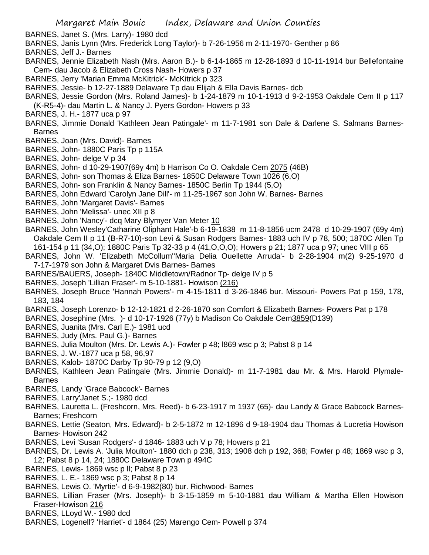- BARNES, Janet S. (Mrs. Larry)- 1980 dcd
- BARNES, Janis Lynn (Mrs. Frederick Long Taylor)- b 7-26-1956 m 2-11-1970- Genther p 86
- BARNES, Jeff J.- Barnes
- BARNES, Jennie Elizabeth Nash (Mrs. Aaron B.)- b 6-14-1865 m 12-28-1893 d 10-11-1914 bur Bellefontaine Cem- dau Jacob & Elizabeth Cross Nash- Howers p 37
- BARNES, Jerry 'Marian Emma McKitrick'- McKitrick p 323
- BARNES, Jessie- b 12-27-1889 Delaware Tp dau Elijah & Ella Davis Barnes- dcb
- BARNES, Jessie Gordon (Mrs. Roland James)- b 1-24-1879 m 10-1-1913 d 9-2-1953 Oakdale Cem II p 117 (K-R5-4)- dau Martin L. & Nancy J. Pyers Gordon- Howers p 33
- BARNES, J. H.- 1877 uca p 97
- BARNES, Jimmie Donald 'Kathleen Jean Patingale'- m 11-7-1981 son Dale & Darlene S. Salmans Barnes-Barnes
- BARNES, Joan (Mrs. David)- Barnes
- BARNES, John- 1880C Paris Tp p 115A
- BARNES, John- delge V p 34
- BARNES, John- d 10-29-1907(69y 4m) b Harrison Co O. Oakdale Cem 2075 (46B)
- BARNES, John- son Thomas & Eliza Barnes- 1850C Delaware Town 1026 (6,O)
- BARNES, John- son Franklin & Nancy Barnes- 1850C Berlin Tp 1944 (5,O)
- BARNES, John Edward 'Carolyn Jane Dill'- m 11-25-1967 son John W. Barnes- Barnes
- BARNES, John 'Margaret Davis'- Barnes
- BARNES, John 'Melissa'- unec XII p 8
- BARNES, John 'Nancy'- dcq Mary Blymyer Van Meter 10
- BARNES, John Wesley'Catharine Oliphant Hale'-b 6-19-1838 m 11-8-1856 ucm 2478 d 10-29-1907 (69y 4m) Oakdale Cem II p 11 (B-R7-10)-son Levi & Susan Rodgers Barnes- 1883 uch IV p 78, 500; 1870C Allen Tp 161-154 p 11 (34,O); 1880C Paris Tp 32-33 p 4 (41,O,O,O); Howers p 21; 1877 uca p 97; unec VIII p 65
- BARNES, John W. 'Elizabeth McCollum''Maria Delia Ouellette Arruda'- b 2-28-1904 m(2) 9-25-1970 d 7-17-1979 son John & Margaret Dvis Barnes- Barnes
- BARNES/BAUERS, Joseph- 1840C Middletown/Radnor Tp- delge IV p 5
- BARNES, Joseph 'Lillian Fraser'- m 5-10-1881- Howison (216)
- BARNES, Joseph Bruce 'Hannah Powers'- m 4-15-1811 d 3-26-1846 bur. Missouri- Powers Pat p 159, 178, 183, 184
- BARNES, Joseph Lorenzo- b 12-12-1821 d 2-26-1870 son Comfort & Elizabeth Barnes- Powers Pat p 178
- BARNES, Josephine (Mrs. )- d 10-17-1926 (77y) b Madison Co Oakdale Cem3859(D139)
- BARNES, Juanita (Mrs. Carl E.)- 1981 ucd
- BARNES, Judy (Mrs. Paul G.)- Barnes
- BARNES, Julia Moulton (Mrs. Dr. Lewis A.)- Fowler p 48; l869 wsc p 3; Pabst 8 p 14
- BARNES, J. W.-1877 uca p 58, 96,97
- BARNES, Kalob- 1870C Darby Tp 90-79 p 12 (9,O)
- BARNES, Kathleen Jean Patingale (Mrs. Jimmie Donald)- m 11-7-1981 dau Mr. & Mrs. Harold Plymale-Barnes
- BARNES, Landy 'Grace Babcock'- Barnes
- BARNES, Larry'Janet S.;- 1980 dcd
- BARNES, Lauretta L. (Freshcorn, Mrs. Reed)- b 6-23-1917 m 1937 (65)- dau Landy & Grace Babcock Barnes-Barnes; Freshcorn
- BARNES, Lettie (Seaton, Mrs. Edward)- b 2-5-1872 m 12-1896 d 9-18-1904 dau Thomas & Lucretia Howison Barnes- Howison 242
- BARNES, Levi 'Susan Rodgers'- d 1846- 1883 uch V p 78; Howers p 21
- BARNES, Dr. Lewis A. 'Julia Moulton'- 1880 dch p 238, 313; 1908 dch p 192, 368; Fowler p 48; 1869 wsc p 3, 12; Pabst 8 p 14, 24; 1880C Delaware Town p 494C
- BARNES, Lewis- 1869 wsc p ll; Pabst 8 p 23
- BARNES, L. E.- 1869 wsc p 3; Pabst 8 p 14
- BARNES, Lewis O. 'Myrtie'- d 6-9-1982(80) bur. Richwood- Barnes
- BARNES, Lillian Fraser (Mrs. Joseph)- b 3-15-1859 m 5-10-1881 dau William & Martha Ellen Howison Fraser-Howison 216
- BARNES, LLoyd W.- 1980 dcd
- BARNES, Logenell? 'Harriet'- d 1864 (25) Marengo Cem- Powell p 374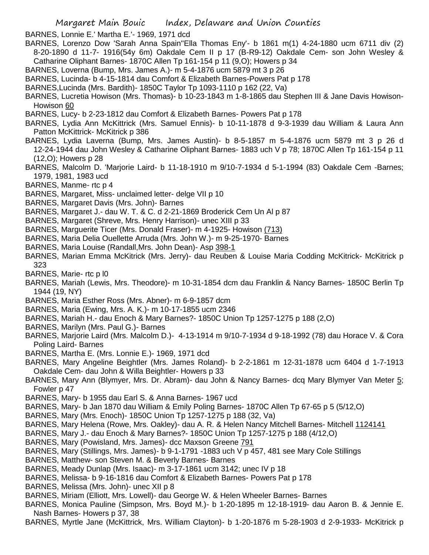BARNES, Lonnie E.' Martha E.'- 1969, 1971 dcd

- BARNES, Lorenzo Dow 'Sarah Anna Spain''Ella Thomas Eny'- b 1861 m(1) 4-24-1880 ucm 6711 div (2) 8-20-1890 d 11-7- 1916(54y 6m) Oakdale Cem II p 17 (B-R9-12) Oakdale Cem- son John Wesley & Catharine Oliphant Barnes- 1870C Allen Tp 161-154 p 11 (9,O); Howers p 34
- BARNES, Loverna (Bump, Mrs. James A.)- m 5-4-1876 ucm 5879 mt 3 p 26
- BARNES, Lucinda- b 4-15-1814 dau Comfort & Elizabeth Barnes-Powers Pat p 178
- BARNES,Lucinda (Mrs. Bardith)- 1850C Taylor Tp 1093-1110 p 162 (22, Va)
- BARNES, Lucretia Howison (Mrs. Thomas)- b 10-23-1843 m 1-8-1865 dau Stephen III & Jane Davis Howison-Howison 60
- BARNES, Lucy- b 2-23-1812 dau Comfort & Elizabeth Barnes- Powers Pat p 178
- BARNES, Lydia Ann McKittrick (Mrs. Samuel Ennis)- b 10-11-1878 d 9-3-1939 dau William & Laura Ann Patton McKittrick- McKitrick p 386
- BARNES, Lydia Laverna (Bump, Mrs. James Austin)- b 8-5-1857 m 5-4-1876 ucm 5879 mt 3 p 26 d 12-24-1944 dau John Wesley & Catharine Oliphant Barnes- 1883 uch V p 78; 1870C Allen Tp 161-154 p 11 (12,O); Howers p 28
- BARNES, Malcolm D. 'Marjorie Laird- b 11-18-1910 m 9/10-7-1934 d 5-1-1994 (83) Oakdale Cem -Barnes; 1979, 1981, 1983 ucd
- BARNES, Manme- rtc p 4
- BARNES, Margaret, Miss- unclaimed letter- delge VII p 10
- BARNES, Margaret Davis (Mrs. John)- Barnes
- BARNES, Margaret J.- dau W. T. & C. d 2-21-1869 Broderick Cem Un Al p 87
- BARNES, Margaret (Shreve, Mrs. Henry Harrison)- unec XIII p 33
- BARNES, Marguerite Ticer (Mrs. Donald Fraser)- m 4-1925- Howison (713)
- BARNES, Maria Delia Ouellette Arruda (Mrs. John W.)- m 9-25-1970- Barnes
- BARNES, Maria Louise (Randall,Mrs. John Dean)- Asp 398-1
- BARNES, Marian Emma McKitrick (Mrs. Jerry)- dau Reuben & Louise Maria Codding McKitrick- McKitrick p 323
- BARNES, Marie- rtc p l0
- BARNES, Mariah (Lewis, Mrs. Theodore)- m 10-31-1854 dcm dau Franklin & Nancy Barnes- 1850C Berlin Tp 1944 (19, NY)
- BARNES, Maria Esther Ross (Mrs. Abner)- m 6-9-1857 dcm
- BARNES, Maria (Ewing, Mrs. A. K.)- m 10-17-1855 ucm 2346
- BARNES, Mariah H.- dau Enoch & Mary Barnes?- 1850C Union Tp 1257-1275 p 188 (2,O)
- BARNES, Marilyn (Mrs. Paul G.)- Barnes
- BARNES, Marjorie Laird (Mrs. Malcolm D.)- 4-13-1914 m 9/10-7-1934 d 9-18-1992 (78) dau Horace V. & Cora Poling Laird- Barnes
- BARNES, Martha E. (Mrs. Lonnie E.)- 1969, 1971 dcd
- BARNES, Mary Angeline Beightler (Mrs. James Roland)- b 2-2-1861 m 12-31-1878 ucm 6404 d 1-7-1913 Oakdale Cem- dau John & Willa Beightler- Howers p 33
- BARNES, Mary Ann (Blymyer, Mrs. Dr. Abram)- dau John & Nancy Barnes- dcq Mary Blymyer Van Meter 5; Fowler p 47
- BARNES, Mary- b 1955 dau Earl S. & Anna Barnes- 1967 ucd
- BARNES, Mary- b Jan 1870 dau William & Emily Poling Barnes- 1870C Allen Tp 67-65 p 5 (5/12,O)
- BARNES, Mary (Mrs. Enoch)- 1850C Union Tp 1257-1275 p 188 (32, Va)
- BARNES, Mary Helena (Rowe, Mrs. Oakley)- dau A. R. & Helen Nancy Mitchell Barnes- Mitchell 1124141
- BARNES, Mary J.- dau Enoch & Mary Barnes?- 1850C Union Tp 1257-1275 p 188 (4/12,O)
- BARNES, Mary (Powisland, Mrs. James)- dcc Maxson Greene 791
- BARNES, Mary (Stillings, Mrs. James)- b 9-1-1791 -1883 uch V p 457, 481 see Mary Cole Stillings
- BARNES, Matthew- son Steven M. & Beverly Barnes- Barnes
- BARNES, Meady Dunlap (Mrs. Isaac)- m 3-17-1861 ucm 3142; unec IV p 18
- BARNES, Melissa- b 9-16-1816 dau Comfort & Elizabeth Barnes- Powers Pat p 178
- BARNES, Melissa (Mrs. John)- unec XII p 8
- BARNES, Miriam (Elliott, Mrs. Lowell)- dau George W. & Helen Wheeler Barnes- Barnes
- BARNES, Monica Pauline (Simpson, Mrs. Boyd M.)- b 1-20-1895 m 12-18-1919- dau Aaron B. & Jennie E. Nash Barnes- Howers p 37, 38
- BARNES, Myrtle Jane (McKittrick, Mrs. William Clayton)- b 1-20-1876 m 5-28-1903 d 2-9-1933- McKitrick p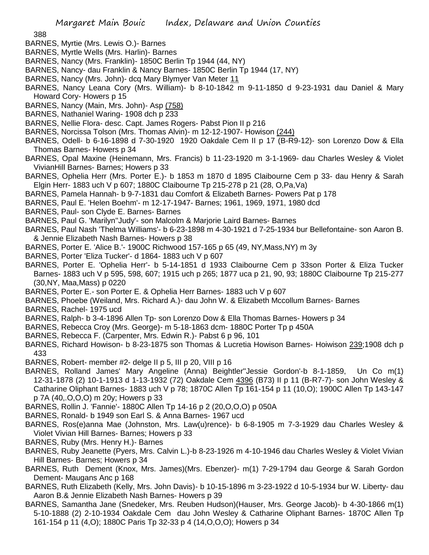388

- BARNES, Myrtie (Mrs. Lewis O.)- Barnes
- BARNES, Myrtle Wells (Mrs. Harlin)- Barnes
- BARNES, Nancy (Mrs. Franklin)- 1850C Berlin Tp 1944 (44, NY)
- BARNES, Nancy- dau Franklin & Nancy Barnes- 1850C Berlin Tp 1944 (17, NY)
- BARNES, Nancy (Mrs. John)- dcq Mary Blymyer Van Meter 11
- BARNES, Nancy Leana Cory (Mrs. William)- b 8-10-1842 m 9-11-1850 d 9-23-1931 dau Daniel & Mary Howard Cory- Howers p 15
- BARNES, Nancy (Main, Mrs. John)- Asp (758)
- BARNES, Nathaniel Waring- 1908 dch p 233
- BARNES, Nellie Flora- desc. Capt. James Rogers- Pabst Pion II p 216
- BARNES, Norcissa Tolson (Mrs. Thomas Alvin)- m 12-12-1907- Howison (244)
- BARNES, Odell- b 6-16-1898 d 7-30-1920 1920 Oakdale Cem II p 17 (B-R9-12)- son Lorenzo Dow & Ella Thomas Barnes- Howers p 34
- BARNES, Opal Maxine (Heinemann, Mrs. Francis) b 11-23-1920 m 3-1-1969- dau Charles Wesley & Violet VivianHill Barnes- Barnes; Howers p 33
- BARNES, Ophelia Herr (Mrs. Porter E.)- b 1853 m 1870 d 1895 Claibourne Cem p 33- dau Henry & Sarah Elgin Herr- 1883 uch V p 607; 1880C Claibourne Tp 215-278 p 21 (28, O,Pa,Va)
- BARNES, Pamela Hannah- b 9-7-1831 dau Comfort & Elizabeth Barnes- Powers Pat p 178
- BARNES, Paul E. 'Helen Boehm'- m 12-17-1947- Barnes; 1961, 1969, 1971, 1980 dcd
- BARNES, Paul- son Clyde E. Barnes- Barnes
- BARNES, Paul G. 'Marilyn''Judy'- son Malcolm & Marjorie Laird Barnes- Barnes
- BARNES, Paul Nash 'Thelma Williams'- b 6-23-1898 m 4-30-1921 d 7-25-1934 bur Bellefontaine- son Aaron B. & Jennie Elizabeth Nash Barnes- Howers p 38
- BARNES, Porter E. 'Alice B.'- 1900C Richwood 157-165 p 65 (49, NY,Mass,NY) m 3y
- BARNES, Porter 'Eliza Tucker'- d 1864- 1883 uch V p 607
- BARNES, Porter E. 'Ophelia Herr'- b 5-14-1851 d 1933 Claibourne Cem p 33son Porter & Eliza Tucker Barnes- 1883 uch V p 595, 598, 607; 1915 uch p 265; 1877 uca p 21, 90, 93; 1880C Claibourne Tp 215-277 (30,NY, Maa,Mass) p 0220
- BARNES, Porter E.- son Porter E. & Ophelia Herr Barnes- 1883 uch V p 607
- BARNES, Phoebe (Weiland, Mrs. Richard A.)- dau John W. & Elizabeth Mccollum Barnes- Barnes
- BARNES, Rachel- 1975 ucd
- BARNES, Ralph- b 3-4-1896 Allen Tp- son Lorenzo Dow & Ella Thomas Barnes- Howers p 34
- BARNES, Rebecca Croy (Mrs. George)- m 5-18-1863 dcm- 1880C Porter Tp p 450A
- BARNES, Rebecca F. (Carpenter, Mrs. Edwin R.)- Pabst 6 p 96, 101
- BARNES, Richard Howison- b 8-23-1875 son Thomas & Lucretia Howison Barnes- Hoiwison 239;1908 dch p 433
- BARNES, Robert- member #2- delge II p 5, III p 20, VIII p 16
- BARNES, Rolland James' Mary Angeline (Anna) Beightler''Jessie Gordon'-b 8-1-1859, Un Co m(1) 12-31-1878 (2) 10-1-1913 d 1-13-1932 (72) Oakdale Cem 4396 (B73) II p 11 (B-R7-7)- son John Wesley & Catharine Oliphant Barnes- 1883 uch V p 78; 1870C Allen Tp 161-154 p 11 (10,O); 1900C Allen Tp 143-147 p 7A (40,.O,O,O) m 20y; Howers p 33
- BARNES, Rollin J. 'Fannie'- 1880C Allen Tp 14-16 p 2 (20,O,O,O) p 050A
- BARNES, Ronald- b 1949 son Earl S. & Anna Barnes- 1967 ucd
- BARNES, Ros(e)anna Mae (Johnston, Mrs. Law(u)rence)- b 6-8-1905 m 7-3-1929 dau Charles Wesley & Violet Vivian Hill Barnes- Barnes; Howers p 33
- BARNES, Ruby (Mrs. Henry H.)- Barnes
- BARNES, Ruby Jeanette (Pyers, Mrs. Calvin L.)-b 8-23-1926 m 4-10-1946 dau Charles Wesley & Violet Vivian Hill Barnes- Barnes; Howers p 34
- BARNES, Ruth Dement (Knox, Mrs. James)(Mrs. Ebenzer)- m(1) 7-29-1794 dau George & Sarah Gordon Dement- Maugans Anc p 168
- BARNES, Ruth Elizabeth (Kelly, Mrs. John Davis)- b 10-15-1896 m 3-23-1922 d 10-5-1934 bur W. Liberty- dau Aaron B.& Jennie Elizabeth Nash Barnes- Howers p 39
- BARNES, Samantha Jane (Snedeker, Mrs. Reuben Hudson)(Hauser, Mrs. George Jacob)- b 4-30-1866 m(1) 5-10-1888 (2) 2-10-1934 Oakdale Cem dau John Wesley & Catharine Oliphant Barnes- 1870C Allen Tp 161-154 p 11 (4,O); 1880C Paris Tp 32-33 p 4 (14,O,O,O); Howers p 34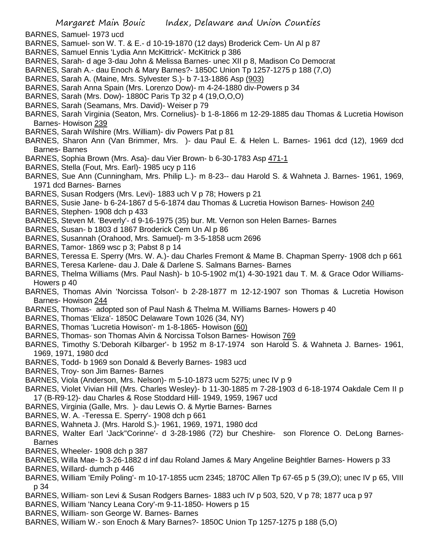- BARNES, Samuel- 1973 ucd
- BARNES, Samuel- son W. T. & E.- d 10-19-1870 (12 days) Broderick Cem- Un Al p 87
- BARNES, Samuel Ennis 'Lydia Ann McKittrick'- McKitrick p 386
- BARNES, Sarah- d age 3-dau John & Melissa Barnes- unec XII p 8, Madison Co Democrat
- BARNES, Sarah A.- dau Enoch & Mary Barnes?- 1850C Union Tp 1257-1275 p 188 (7,O)
- BARNES, Sarah A. (Maine, Mrs. Sylvester S.)- b 7-13-1886 Asp (903)
- BARNES, Sarah Anna Spain (Mrs. Lorenzo Dow)- m 4-24-1880 div-Powers p 34
- BARNES, Sarah (Mrs. Dow)- 1880C Paris Tp 32 p 4 (19,O,O,O)
- BARNES, Sarah (Seamans, Mrs. David)- Weiser p 79
- BARNES, Sarah Virginia (Seaton, Mrs. Cornelius)- b 1-8-1866 m 12-29-1885 dau Thomas & Lucretia Howison Barnes- Howison 239
- BARNES, Sarah Wilshire (Mrs. William)- div Powers Pat p 81
- BARNES, Sharon Ann (Van Brimmer, Mrs. )- dau Paul E. & Helen L. Barnes- 1961 dcd (12), 1969 dcd Barnes- Barnes
- BARNES, Sophia Brown (Mrs. Asa)- dau Vier Brown- b 6-30-1783 Asp 471-1
- BARNES, Stella (Fout, Mrs. Earl)- 1985 ucy p 116
- BARNES, Sue Ann (Cunningham, Mrs. Philip L.)- m 8-23-- dau Harold S. & Wahneta J. Barnes- 1961, 1969, 1971 dcd Barnes- Barnes
- BARNES, Susan Rodgers (Mrs. Levi)- 1883 uch V p 78; Howers p 21
- BARNES, Susie Jane- b 6-24-1867 d 5-6-1874 dau Thomas & Lucretia Howison Barnes- Howison 240
- BARNES, Stephen- 1908 dch p 433
- BARNES, Steven M. 'Beverly'- d 9-16-1975 (35) bur. Mt. Vernon son Helen Barnes- Barnes
- BARNES, Susan- b 1803 d 1867 Broderick Cem Un Al p 86
- BARNES, Susannah (Orahood, Mrs. Samuel)- m 3-5-1858 ucm 2696
- BARNES, Tamor- 1869 wsc p 3; Pabst 8 p 14
- BARNES, Teressa E. Sperry (Mrs. W. A.)- dau Charles Fremont & Mame B. Chapman Sperry- 1908 dch p 661
- BARNES, Teresa Karlene- dau J. Dale & Darlene S. Salmans Barnes- Barnes
- BARNES, Thelma Williams (Mrs. Paul Nash)- b 10-5-1902 m(1) 4-30-1921 dau T. M. & Grace Odor Williams-Howers p 40
- BARNES, Thomas Alvin 'Norcissa Tolson'- b 2-28-1877 m 12-12-1907 son Thomas & Lucretia Howison Barnes- Howison 244
- BARNES, Thomas- adopted son of Paul Nash & Thelma M. Williams Barnes- Howers p 40
- BARNES, Thomas 'Eliza'- 1850C Delaware Town 1026 (34, NY)
- BARNES, Thomas 'Lucretia Howison'- m 1-8-1865- Howison (60)
- BARNES, Thomas- son Thomas Alvin & Norcissa Tolson Barnes- Howison 769
- BARNES, Timothy S.'Deborah Kilbarger'- b 1952 m 8-17-1974 son Harold S. & Wahneta J. Barnes- 1961, 1969, 1971, 1980 dcd
- BARNES, Todd- b 1969 son Donald & Beverly Barnes- 1983 ucd
- BARNES, Troy- son Jim Barnes- Barnes
- BARNES, Viola (Anderson, Mrs. Nelson)- m 5-10-1873 ucm 5275; unec IV p 9
- BARNES, Violet Vivian Hill (Mrs. Charles Wesley)- b 11-30-1885 m 7-28-1903 d 6-18-1974 Oakdale Cem II p 17 (B-R9-12)- dau Charles & Rose Stoddard Hill- 1949, 1959, 1967 ucd
- BARNES, Virginia (Galle, Mrs. )- dau Lewis O. & Myrtie Barnes- Barnes
- BARNES, W. A. -Teressa E. Sperry'- 1908 dch p 661
- BARNES, Wahneta J. (Mrs. Harold S.)- 1961, 1969, 1971, 1980 dcd
- BARNES, Walter Earl 'Jack''Corinne'- d 3-28-1986 (72) bur Cheshire- son Florence O. DeLong Barnes-Barnes
- BARNES, Wheeler- 1908 dch p 387
- BARNES, Willa Mae- b 3-26-1882 d inf dau Roland James & Mary Angeline Beightler Barnes- Howers p 33
- BARNES, Willard- dumch p 446
- BARNES, William 'Emily Poling'- m 10-17-1855 ucm 2345; 1870C Allen Tp 67-65 p 5 (39,O); unec IV p 65, VIII p 34
- BARNES, William- son Levi & Susan Rodgers Barnes- 1883 uch IV p 503, 520, V p 78; 1877 uca p 97
- BARNES, William 'Nancy Leana Cory'-m 9-11-1850- Howers p 15
- BARNES, William- son George W. Barnes- Barnes
- BARNES, William W.- son Enoch & Mary Barnes?- 1850C Union Tp 1257-1275 p 188 (5,O)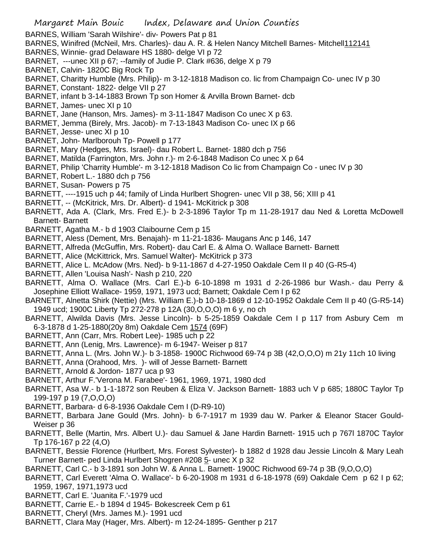BARNES, William 'Sarah Wilshire'- div- Powers Pat p 81

- BARNES, Winifred (McNeil, Mrs. Charles)- dau A. R. & Helen Nancy Mitchell Barnes- Mitchell112141
- BARNES, Winnie- grad Delaware HS 1880- delge VI p 72
- BARNET, ---unec XII p 67; --family of Judie P. Clark #636, delge X p 79
- BARNET, Calvin- 1820C Big Rock Tp
- BARNET, Charitty Humble (Mrs. Philip)- m 3-12-1818 Madison co. lic from Champaign Co- unec IV p 30
- BARNET, Constant- 1822- delge VII p 27
- BARNET, infant b 3-14-1883 Brown Tp son Homer & Arvilla Brown Barnet- dcb
- BARNET, James- unec XI p 10
- BARNET, Jane (Hanson, Mrs. James)- m 3-11-1847 Madison Co unec X p 63.
- BARMET, Jemma (Birely, Mrs. Jacob)- m 7-13-1843 Madison Co- unec IX p 66
- BARNET, Jesse- unec XI p 10
- BARNET, John- Marlborouh Tp- Powell p 177
- BARNET, Mary (Hedges, Mrs. Israel)- dau Robert L. Barnet- 1880 dch p 756
- BARNET, Matilda (Farrington, Mrs. John r.)- m 2-6-1848 Madison Co unec X p 64
- BARNET, Philip 'Charrity Humble'- m 3-12-1818 Madison Co lic from Champaign Co unec IV p 30
- BARNET, Robert L.- 1880 dch p 756
- BARNET, Susan- Powers p 75
- BARNETT, ----1915 uch p 44; family of Linda Hurlbert Shogren- unec VII p 38, 56; XIII p 41
- BARNETT, -- (McKitrick, Mrs. Dr. Albert)- d 1941- McKitrick p 308
- BARNETT, Ada A. (Clark, Mrs. Fred E.)- b 2-3-1896 Taylor Tp m 11-28-1917 dau Ned & Loretta McDowell Barnett- Barnett
- BARNETT, Agatha M.- b d 1903 Claibourne Cem p 15
- BARNETT, Aless (Dement, Mrs. Benajah)- m 11-21-1836- Maugans Anc p 146, 147
- BARNETT, Alfreda (McGuffin, Mrs. Robert)- dau Carl E. & Alma O. Wallace Barnett- Barnett
- BARNETT, Alice (McKittrick, Mrs. Samuel Walter)- McKitrick p 373
- BARNETT, Alice L. McAdow (Mrs. Ned)- b 9-11-1867 d 4-27-1950 Oakdale Cem II p 40 (G-R5-4)
- BARNETT, Allen 'Louisa Nash'- Nash p 210, 220
- BARNETT, Alma O. Wallace (Mrs. Carl E.)-b 6-10-1898 m 1931 d 2-26-1986 bur Wash.- dau Perry & Josephine Elliott Wallace- 1959, 1971, 1973 ucd; Barnett; Oakdale Cem I p 62
- BARNETT, Alnetta Shirk (Nettie) (Mrs. William E.)-b 10-18-1869 d 12-10-1952 Oakdale Cem II p 40 (G-R5-14) 1949 ucd; 1900C Liberty Tp 272-278 p 12A (30,O,O,O) m 6 y, no ch
- BARNETT, Alwilda Davis (Mrs. Jesse Lincoln)- b 5-25-1859 Oakdale Cem I p 117 from Asbury Cem m 6-3-1878 d 1-25-1880(20y 8m) Oakdale Cem 1574 (69F)
- BARNETT, Ann (Carr, Mrs. Robert Lee)- 1985 uch p 22
- BARNETT, Ann (Lenig, Mrs. Lawrence)- m 6-1947- Weiser p 817
- BARNETT, Anna L. (Mrs. John W.)- b 3-1858- 1900C Richwood 69-74 p 3B (42,O,O,O) m 21y 11ch 10 living
- BARNETT, Anna (Orahood, Mrs. )- will of Jesse Barnett- Barnett
- BARNETT, Arnold & Jordon- 1877 uca p 93
- BARNETT, Arthur F.'Verona M. Farabee'- 1961, 1969, 1971, 1980 dcd
- BARNETT, Asa W.- b 1-1-1872 son Reuben & Eliza V. Jackson Barnett- 1883 uch V p 685; 1880C Taylor Tp 199-197 p 19 (7,O,O,O)
- BARNETT, Barbara- d 6-8-1936 Oakdale Cem I (D-R9-10)
- BARNETT, Barbara Jane Gould (Mrs. John)- b 6-7-1917 m 1939 dau W. Parker & Eleanor Stacer Gould-Weiser p 36
- BARNETT, Belle (Martin, Mrs. Albert U.)- dau Samuel & Jane Hardin Barnett- 1915 uch p 767l 1870C Taylor Tp 176-167 p 22 (4,O)
- BARNETT, Bessie Florence (Hurlbert, Mrs. Forest Sylvester)- b 1882 d 1928 dau Jessie Lincoln & Mary Leah Turner Barnett- ped Linda Hurlbert Shogren #208 5- unec X p 32
- BARNETT, Carl C.- b 3-1891 son John W. & Anna L. Barnett- 1900C Richwood 69-74 p 3B (9,O,O,O)
- BARNETT, Carl Everett 'Alma O. Wallace'- b 6-20-1908 m 1931 d 6-18-1978 (69) Oakdale Cem p 62 I p 62; 1959, 1967, 1971,1973 ucd
- BARNETT, Carl E. 'Juanita F.'-1979 ucd
- BARNETT, Carrie E.- b 1894 d 1945- Bokescreek Cem p 61
- BARNETT, Cheryl (Mrs. James M.)- 1991 ucd
- BARNETT, Clara May (Hager, Mrs. Albert)- m 12-24-1895- Genther p 217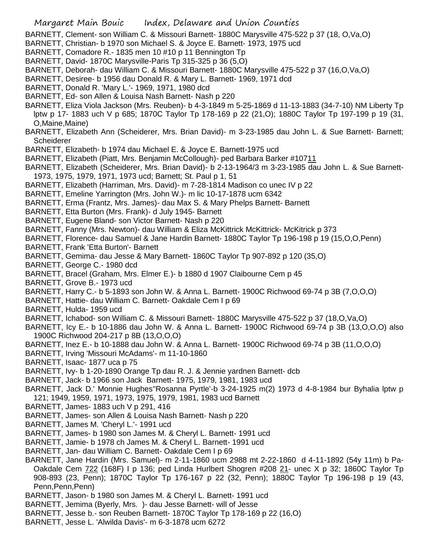BARNETT, Clement- son William C. & Missouri Barnett- 1880C Marysville 475-522 p 37 (18, O,Va,O)

- BARNETT, Christian- b 1970 son Michael S. & Joyce E. Barnett- 1973, 1975 ucd
- BARNETT, Comadore R.- 1835 men 10 #10 p 11 Bennington Tp
- BARNETT, David- 1870C Marysville-Paris Tp 315-325 p 36 (5,O)
- BARNETT, Deborah- dau William C. & Missouri Barnett- 1880C Marysville 475-522 p 37 (16,O,Va,O)
- BARNETT, Desiree- b 1956 dau Donald R. & Mary L. Barnett- 1969, 1971 dcd
- BARNETT, Donald R. 'Mary L.'- 1969, 1971, 1980 dcd
- BARNETT, Ed- son Allen & Louisa Nash Barnett- Nash p 220
- BARNETT, Eliza Viola Jackson (Mrs. Reuben)- b 4-3-1849 m 5-25-1869 d 11-13-1883 (34-7-10) NM Liberty Tp lptw p 17- 1883 uch V p 685; 1870C Taylor Tp 178-169 p 22 (21,O); 1880C Taylor Tp 197-199 p 19 (31, O,Maine,Maine)
- BARNETT, Elizabeth Ann (Scheiderer, Mrs. Brian David)- m 3-23-1985 dau John L. & Sue Barnett- Barnett; **Scheiderer**
- BARNETT, Elizabeth- b 1974 dau Michael E. & Joyce E. Barnett-1975 ucd
- BARNETT, Elizabeth (Piatt, Mrs. Benjamin McCollough)- ped Barbara Barker #10711
- BARNETT, Elizabeth (Scheiderer, Mrs. Brian David)- b 2-13-1964/3 m 3-23-1985 dau John L. & Sue Barnett-1973, 1975, 1979, 1971, 1973 ucd; Barnett; St. Paul p 1, 51
- BARNETT, Elizabeth (Harriman, Mrs. David)- m 7-28-1814 Madison co unec IV p 22
- BARNETT, Emeline Yarrington (Mrs. John W.)- m lic 10-17-1878 ucm 6342
- BARNETT, Erma (Frantz, Mrs. James)- dau Max S. & Mary Phelps Barnett- Barnett
- BARNETT, Etta Burton (Mrs. Frank)- d July 1945- Barnett
- BARNETT, Eugene Bland- son Victor Barnett- Nash p 220
- BARNETT, Fanny (Mrs. Newton)- dau William & Eliza McKittrick McKittrick- McKitrick p 373
- BARNETT, Florence- dau Samuel & Jane Hardin Barnett- 1880C Taylor Tp 196-198 p 19 (15,O,O,Penn)
- BARNETT, Frank 'Etta Burton'- Barnett
- BARNETT, Gemima- dau Jesse & Mary Barnett- 1860C Taylor Tp 907-892 p 120 (35,O)
- BARNETT, George C.- 1980 dcd
- BARNETT, Bracel (Graham, Mrs. Elmer E.)- b 1880 d 1907 Claibourne Cem p 45
- BARNETT, Grove B.- 1973 ucd
- BARNETT, Harry C.- b 5-1893 son John W. & Anna L. Barnett- 1900C Richwood 69-74 p 3B (7,O,O,O)
- BARNETT, Hattie- dau William C. Barnett- Oakdale Cem I p 69
- BARNETT, Hulda- 1959 ucd
- BARNETT, Ichabod- son William C. & Missouri Barnett- 1880C Marysville 475-522 p 37 (18,O,Va,O)
- BARNETT, Icy E.- b 10-1886 dau John W. & Anna L. Barnett- 1900C Richwood 69-74 p 3B (13,O,O,O) also 1900C Richwood 204-217 p 8B (13,O,O,O)
- BARNETT, Inez E.- b 10-1888 dau John W. & Anna L. Barnett- 1900C Richwood 69-74 p 3B (11,O,O,O)
- BARNETT, Irving 'Missouri McAdams'- m 11-10-1860
- BARNETT, Isaac- 1877 uca p 75
- BARNETT, Ivy- b 1-20-1890 Orange Tp dau R. J. & Jennie yardnen Barnett- dcb
- BARNETT, Jack- b 1966 son Jack Barnett- 1975, 1979, 1981, 1983 ucd
- BARNETT, Jack D.' Monnie Hughes''Rosanna Pyrtle'-b 3-24-1925 m(2) 1973 d 4-8-1984 bur Byhalia lptw p 121; 1949, 1959, 1971, 1973, 1975, 1979, 1981, 1983 ucd Barnett
- BARNETT, James- 1883 uch V p 291, 416
- BARNETT, James- son Allen & Louisa Nash Barnett- Nash p 220
- BARNETT, James M. 'Cheryl L.'- 1991 ucd
- BARNETT, James- b 1980 son James M. & Cheryl L. Barnett- 1991 ucd
- BARNETT, Jamie- b 1978 ch James M. & Cheryl L. Barnett- 1991 ucd
- BARNETT, Jan- dau William C. Barnett- Oakdale Cem I p 69
- BARNETT, Jane Hardin (Mrs. Samuel)- m 2-11-1860 ucm 2988 mt 2-22-1860 d 4-11-1892 (54y 11m) b Pa-Oakdale Cem 722 (168F) I p 136; ped Linda Hurlbert Shogren #208 21- unec X p 32; 1860C Taylor Tp 908-893 (23, Penn); 1870C Taylor Tp 176-167 p 22 (32, Penn); 1880C Taylor Tp 196-198 p 19 (43, Penn,Penn,Penn)
- BARNETT, Jason- b 1980 son James M. & Cheryl L. Barnett- 1991 ucd
- BARNETT, Jemima (Byerly, Mrs. )- dau Jesse Barnett- will of Jesse
- BARNETT, Jesse b.- son Reuben Barnett- 1870C Taylor Tp 178-169 p 22 (16,O)
- BARNETT, Jesse L. 'Alwilda Davis'- m 6-3-1878 ucm 6272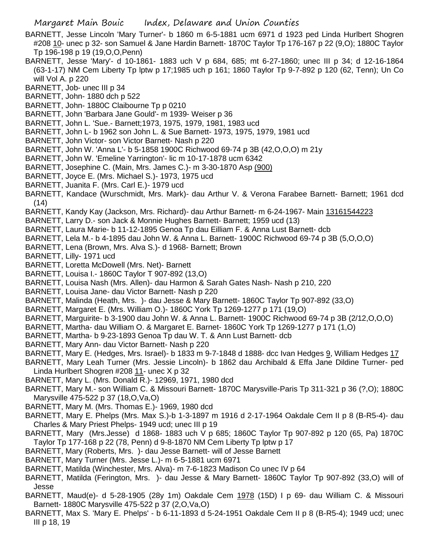- BARNETT, Jesse Lincoln 'Mary Turner'- b 1860 m 6-5-1881 ucm 6971 d 1923 ped Linda Hurlbert Shogren #208 10- unec p 32- son Samuel & Jane Hardin Barnett- 1870C Taylor Tp 176-167 p 22 (9,O); 1880C Taylor Tp 196-198 p 19 (19,O,O,Penn)
- BARNETT, Jesse 'Mary'- d 10-1861- 1883 uch V p 684, 685; mt 6-27-1860; unec III p 34; d 12-16-1864 (63-1-17) NM Cem Liberty Tp lptw p 17;1985 uch p 161; 1860 Taylor Tp 9-7-892 p 120 (62, Tenn); Un Co will Vol A. p 220
- BARNETT, Job- unec III p 34
- BARNETT, John- 1880 dch p 522
- BARNETT, John- 1880C Claibourne Tp p 0210
- BARNETT, John 'Barbara Jane Gould'- m 1939- Weiser p 36
- BARNETT, John L. 'Sue.- Barnett;1973, 1975, 1979, 1981, 1983 ucd
- BARNETT, John L- b 1962 son John L. & Sue Barnett- 1973, 1975, 1979, 1981 ucd
- BARNETT, John Victor- son Victor Barnett- Nash p 220
- BARNETT, John W. 'Anna L'- b 5-1858 1900C Richwood 69-74 p 3B (42,O,O,O) m 21y
- BARNETT, John W. 'Emeline Yarrington'- lic m 10-17-1878 ucm 6342
- BARNETT, Josephine C. (Main, Mrs. James C.)- m 3-30-1870 Asp (900)
- BARNETT, Joyce E. (Mrs. Michael S.)- 1973, 1975 ucd
- BARNETT, Juanita F. (Mrs. Carl E.)- 1979 ucd
- BARNETT, Kandace (Wurschmidt, Mrs. Mark)- dau Arthur V. & Verona Farabee Barnett- Barnett; 1961 dcd (14)
- BARNETT, Kandy Kay (Jackson, Mrs. Richard)- dau Arthur Barnett- m 6-24-1967- Main 13161544223
- BARNETT, Larry D.- son Jack & Monnie Hughes Barnett- Barnett; 1959 ucd (13)
- BARNETT, Laura Marie- b 11-12-1895 Genoa Tp dau Eilliam F. & Anna Lust Barnett- dcb
- BARNETT, Lela M.- b 4-1895 dau John W. & Anna L. Barnett- 1900C Richwood 69-74 p 3B (5,O,O,O)
- BARNETT, Lena (Brown, Mrs. Alva S.)- d 1968- Barnett; Brown
- BARNETT, Lilly- 1971 ucd
- BARNETT, Loretta McDowell (Mrs. Net)- Barnett
- BARNETT, Louisa I.- 1860C Taylor T 907-892 (13,O)
- BARNETT, Louisa Nash (Mrs. Allen)- dau Harmon & Sarah Gates Nash- Nash p 210, 220
- BARNETT, Louisa Jane- dau Victor Barnett- Nash p 220
- BARNETT, Malinda (Heath, Mrs. )- dau Jesse & Mary Barnett- 1860C Taylor Tp 907-892 (33,O)
- BARNETT, Margaret E. (Mrs. William O.)- 1860C York Tp 1269-1277 p 171 (19,O)
- BARNETT, Marguirite- b 3-1900 dau John W. & Anna L. Barnett- 1900C Richwood 69-74 p 3B (2/12,O,O,O)
- BARNETT, Martha- dau William O. & Margaret E. Barnet- 1860C York Tp 1269-1277 p 171 (1,O)
- BARNETT, Martha- b 9-23-1893 Genoa Tp dau W. T. & Ann Lust Barnett- dcb
- BARNETT, Mary Ann- dau Victor Barnett- Nash p 220
- BARNETT, Mary E. (Hedges, Mrs. Israel)- b 1833 m 9-7-1848 d 1888- dcc Ivan Hedges 9, William Hedges 17
- BARNETT, Mary Leah Turner (Mrs. Jessie Lincoln)- b 1862 dau Archibald & Effa Jane Dildine Turner- ped Linda Hurlbert Shogren #208 11- unec X p 32
- BARNETT, Mary L. (Mrs. Donald R.)- 12969, 1971, 1980 dcd
- BARNETT, Mary M.- son William C. & Missouri Barnett- 1870C Marysville-Paris Tp 311-321 p 36 (?,O); 1880C Marysville 475-522 p 37 (18,O,Va,O)
- BARNETT, Mary M. (Mrs. Thomas E.)- 1969, 1980 dcd
- BARNETT, Mary E. Phelps (Mrs. Max S.)-b 1-3-1897 m 1916 d 2-17-1964 Oakdale Cem II p 8 (B-R5-4)- dau Charles & Mary Priest Phelps- 1949 ucd; unec III p 19
- BARNETT, Mary (Mrs.Jesse) d 1868- 1883 uch V p 685; 1860C Taylor Tp 907-892 p 120 (65, Pa) 1870C Taylor Tp 177-168 p 22 (78, Penn) d 9-8-1870 NM Cem Liberty Tp lptw p 17
- BARNETT, Mary (Roberts, Mrs. )- dau Jesse Barnett- will of Jesse Barnett
- BARNETT, Mary Turner (Mrs. Jesse L.)- m 6-5-1881 ucm 6971
- BARNETT, Matilda (Winchester, Mrs. Alva)- m 7-6-1823 Madison Co unec IV p 64
- BARNETT, Matilda (Ferington, Mrs. )- dau Jesse & Mary Barnett- 1860C Taylor Tp 907-892 (33,O) will of Jesse
- BARNETT, Maud(e)- d 5-28-1905 (28y 1m) Oakdale Cem 1978 (15D) I p 69- dau William C. & Missouri Barnett- 1880C Marysville 475-522 p 37 (2,O,Va,O)
- BARNETT, Max S. 'Mary E. Phelps' b 6-11-1893 d 5-24-1951 Oakdale Cem II p 8 (B-R5-4); 1949 ucd; unec III p 18, 19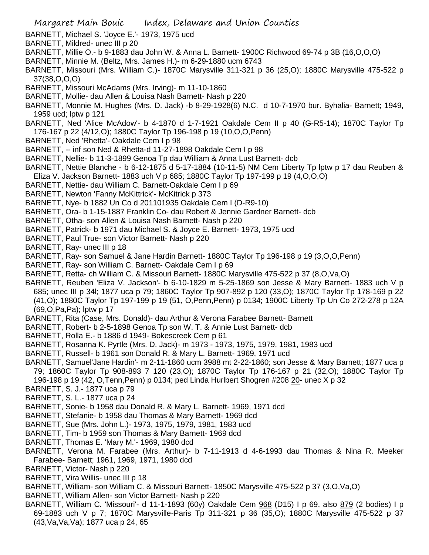- BARNETT, Michael S. 'Joyce E.'- 1973, 1975 ucd
- BARNETT, Mildred- unec III p 20
- BARNETT, Millie O.- b 9-1883 dau John W. & Anna L. Barnett- 1900C Richwood 69-74 p 3B (16,O,O,O)
- BARNETT, Minnie M. (Beltz, Mrs. James H.)- m 6-29-1880 ucm 6743
- BARNETT, Missouri (Mrs. William C.)- 1870C Marysville 311-321 p 36 (25,O); 1880C Marysville 475-522 p 37(38,O,O,O)
- BARNETT, Missouri McAdams (Mrs. Irving)- m 11-10-1860
- BARNETT, Mollie- dau Allen & Louisa Nash Barnett- Nash p 220
- BARNETT, Monnie M. Hughes (Mrs. D. Jack) -b 8-29-1928(6) N.C. d 10-7-1970 bur. Byhalia- Barnett; 1949, 1959 ucd; lptw p 121
- BARNETT, Ned 'Alice McAdow'- b 4-1870 d 1-7-1921 Oakdale Cem II p 40 (G-R5-14); 1870C Taylor Tp 176-167 p 22 (4/12,O); 1880C Taylor Tp 196-198 p 19 (10,O,O,Penn)
- BARNETT, Ned 'Rhetta'- Oakdale Cem I p 98
- BARNETT, -- inf son Ned & Rhetta-d 11-27-1898 Oakdale Cem I p 98
- BARNETT, Nellie- b 11-3-1899 Genoa Tp dau William & Anna Lust Barnett- dcb
- BARNETT, Nettie Blanche b 6-12-1875 d 5-17-1884 (10-11-5) NM Cem Liberty Tp lptw p 17 dau Reuben & Eliza V. Jackson Barnett- 1883 uch V p 685; 1880C Taylor Tp 197-199 p 19 (4,O,O,O)
- BARNETT, Nettie- dau William C. Barnett-Oakdale Cem I p 69
- BARNETT, Newton 'Fanny McKittrick'- McKitrick p 373
- BARNETT, Nye- b 1882 Un Co d 201101935 Oakdale Cem I (D-R9-10)
- BARNETT, Ora- b 1-15-1887 Franklin Co- dau Robert & Jennie Gardner Barnett- dcb
- BARNETT, Otha- son Allen & Louisa Nash Barnett- Nash p 220
- BARNETT, Patrick- b 1971 dau Michael S. & Joyce E. Barnett- 1973, 1975 ucd
- BARNETT, Paul True- son Victor Barnett- Nash p 220
- BARNETT, Ray- unec III p 18
- BARNETT, Ray- son Samuel & Jane Hardin Barnett- 1880C Taylor Tp 196-198 p 19 (3,O,O,Penn)
- BARNETT, Ray- son William C. Barnett- Oakdale Cem I p 69
- BARNETT, Retta- ch William C. & Missouri Barnett- 1880C Marysville 475-522 p 37 (8,O,Va,O)
- BARNETT, Reuben 'Eliza V. Jackson'- b 6-10-1829 m 5-25-1869 son Jesse & Mary Barnett- 1883 uch V p 685; unec III p 34l; 1877 uca p 79; 1860C Taylor Tp 907-892 p 120 (33,O); 1870C Taylor Tp 178-169 p 22 (41,O); 1880C Taylor Tp 197-199 p 19 (51, O,Penn,Penn) p 0134; 1900C Liberty Tp Un Co 272-278 p 12A (69,O,Pa,Pa); lptw p 17
- BARNETT, Rita (Case, Mrs. Donald)- dau Arthur & Verona Farabee Barnett- Barnett
- BARNETT, Robert- b 2-5-1898 Genoa Tp son W. T. & Annie Lust Barnett- dcb
- BARNETT, Rolla E.- b 1886 d 1949- Bokescreek Cem p 61
- BARNETT, Rosanna K. Pyrtle (Mrs. D. Jack)- m 1973 1973, 1975, 1979, 1981, 1983 ucd
- BARNETT, Russell- b 1961 son Donald R. & Mary L. Barnett- 1969, 1971 ucd
- BARNETT, Samuel'Jane Hardin'- m 2-11-1860 ucm 3988 mt 2-22-1860; son Jesse & Mary Barnett; 1877 uca p 79; 1860C Taylor Tp 908-893 7 120 (23,O); 1870C Taylor Tp 176-167 p 21 (32,O); 1880C Taylor Tp 196-198 p 19 (42, O,Tenn,Penn) p 0134; ped Linda Hurlbert Shogren #208 20- unec X p 32
- BARNETT, S. J.- 1877 uca p 79
- BARNETT, S. L.- 1877 uca p 24
- BARNETT, Sonie- b 1958 dau Donald R. & Mary L. Barnett- 1969, 1971 dcd
- BARNETT, Stefanie- b 1958 dau Thomas & Mary Barnett- 1969 dcd
- BARNETT, Sue (Mrs. John L.)- 1973, 1975, 1979, 1981, 1983 ucd
- BARNETT, Tim- b 1959 son Thomas & Mary Barnett- 1969 dcd
- BARNETT, Thomas E. 'Mary M.'- 1969, 1980 dcd
- BARNETT, Verona M. Farabee (Mrs. Arthur)- b 7-11-1913 d 4-6-1993 dau Thomas & Nina R. Meeker Farabee- Barnett; 1961, 1969, 1971, 1980 dcd
- BARNETT, Victor- Nash p 220
- BARNETT, Vira Willis- unec III p 18
- BARNETT, William- son William C. & Missouri Barnett- 1850C Marysville 475-522 p 37 (3,O,Va,O)
- BARNETT, William Allen- son Victor Barnett- Nash p 220
- BARNETT, William C. 'Missouri'- d 11-1-1893 (60y) Oakdale Cem 968 (D15) I p 69, also 879 (2 bodies) I p 69-1883 uch V p 7; 1870C Marysville-Paris Tp 311-321 p 36 (35,O); 1880C Marysville 475-522 p 37 (43,Va,Va,Va); 1877 uca p 24, 65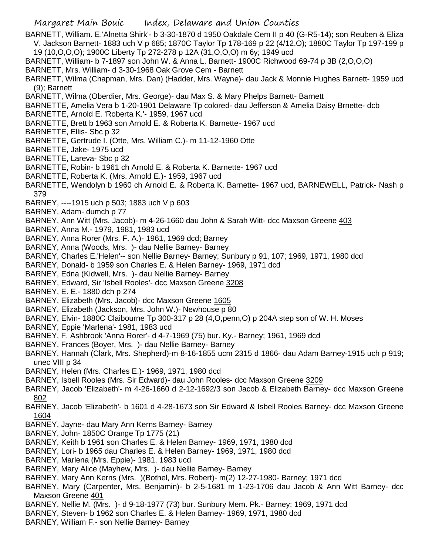- BARNETT, William. E.'Alnetta Shirk'- b 3-30-1870 d 1950 Oakdale Cem II p 40 (G-R5-14); son Reuben & Eliza V. Jackson Barnett- 1883 uch V p 685; 1870C Taylor Tp 178-169 p 22 (4/12,O); 1880C Taylor Tp 197-199 p 19 (10,O,O,O); 1900C Liberty Tp 272-278 p 12A (31,O,O,O) m 6y; 1949 ucd
- BARNETT, William- b 7-1897 son John W. & Anna L. Barnett- 1900C Richwood 69-74 p 3B (2,O,O,O)
- BARNETT, Mrs. William- d 3-30-1968 Oak Grove Cem Barnett
- BARNETT, Wilma (Chapman, Mrs. Dan) (Hadder, Mrs. Wayne)- dau Jack & Monnie Hughes Barnett- 1959 ucd (9); Barnett
- BARNETT, Wilma (Oberdier, Mrs. George)- dau Max S. & Mary Phelps Barnett- Barnett
- BARNETTE, Amelia Vera b 1-20-1901 Delaware Tp colored- dau Jefferson & Amelia Daisy Brnette- dcb
- BARNETTE, Arnold E. 'Roberta K.'- 1959, 1967 ucd
- BARNETTE, Brett b 1963 son Arnold E. & Roberta K. Barnette- 1967 ucd
- BARNETTE, Ellis- Sbc p 32
- BARNETTE, Gertrude I. (Otte, Mrs. William C.)- m 11-12-1960 Otte
- BARNETTE, Jake- 1975 ucd
- BARNETTE, Lareva- Sbc p 32
- BARNETTE, Robin- b 1961 ch Arnold E. & Roberta K. Barnette- 1967 ucd
- BARNETTE, Roberta K. (Mrs. Arnold E.)- 1959, 1967 ucd
- BARNETTE, Wendolyn b 1960 ch Arnold E. & Roberta K. Barnette- 1967 ucd, BARNEWELL, Patrick- Nash p 379
- BARNEY, ----1915 uch p 503; 1883 uch V p 603
- BARNEY, Adam- dumch p 77
- BARNEY, Ann Witt (Mrs. Jacob)- m 4-26-1660 dau John & Sarah Witt- dcc Maxson Greene 403
- BARNEY, Anna M.- 1979, 1981, 1983 ucd
- BARNEY, Anna Rorer (Mrs. F. A.)- 1961, 1969 dcd; Barney
- BARNEY, Anna (Woods, Mrs. )- dau Nellie Barney- Barney
- BARNEY, Charles E.'Helen'-- son Nellie Barney- Barney; Sunbury p 91, 107; 1969, 1971, 1980 dcd
- BARNEY, Donald- b 1959 son Charles E. & Helen Barney- 1969, 1971 dcd
- BARNEY, Edna (Kidwell, Mrs. )- dau Nellie Barney- Barney
- BARNEY, Edward, Sir 'Isbell Rooles'- dcc Maxson Greene 3208
- BARNEY, E. E.- 1880 dch p 274
- BARNEY, Elizabeth (Mrs. Jacob)- dcc Maxson Greene 1605
- BARNEY, Elizabeth (Jackson, Mrs. John W.)- Newhouse p 80
- BARNEY, Elvin- 1880C Claibourne Tp 300-317 p 28 (4,O,penn,O) p 204A step son of W. H. Moses
- BARNEY, Eppie 'Marlena'- 1981, 1983 ucd
- BARNEY, F. Ashbrook 'Anna Rorer'- d 4-7-1969 (75) bur. Ky.- Barney; 1961, 1969 dcd
- BARNEY, Frances (Boyer, Mrs. )- dau Nellie Barney- Barney
- BARNEY, Hannah (Clark, Mrs. Shepherd)-m 8-16-1855 ucm 2315 d 1866- dau Adam Barney-1915 uch p 919; unec VIII p 34
- BARNEY, Helen (Mrs. Charles E.)- 1969, 1971, 1980 dcd
- BARNEY, Isbell Rooles (Mrs. Sir Edward)- dau John Rooles- dcc Maxson Greene 3209
- BARNEY, Jacob 'Elizabeth'- m 4-26-1660 d 2-12-1692/3 son Jacob & Elizabeth Barney- dcc Maxson Greene 802
- BARNEY, Jacob 'Elizabeth'- b 1601 d 4-28-1673 son Sir Edward & Isbell Rooles Barney- dcc Maxson Greene 1604
- BARNEY, Jayne- dau Mary Ann Kerns Barney- Barney
- BARNEY, John- 1850C Orange Tp 1775 (21)
- BARNEY, Keith b 1961 son Charles E. & Helen Barney- 1969, 1971, 1980 dcd
- BARNEY, Lori- b 1965 dau Charles E. & Helen Barney- 1969, 1971, 1980 dcd
- BARNEY, Marlena (Mrs. Eppie)- 1981, 1983 ucd
- BARNEY, Mary Alice (Mayhew, Mrs. )- dau Nellie Barney- Barney
- BARNEY, Mary Ann Kerns (Mrs. )(Bothel, Mrs. Robert)- m(2) 12-27-1980- Barney; 1971 dcd
- BARNEY, Mary (Carpenter, Mrs. Benjamin)- b 2-5-1681 m 1-23-1706 dau Jacob & Ann Witt Barney- dcc Maxson Greene 401
- BARNEY, Nellie M. (Mrs. )- d 9-18-1977 (73) bur. Sunbury Mem. Pk.- Barney; 1969, 1971 dcd
- BARNEY, Steven- b 1962 son Charles E. & Helen Barney- 1969, 1971, 1980 dcd
- BARNEY, William F.- son Nellie Barney- Barney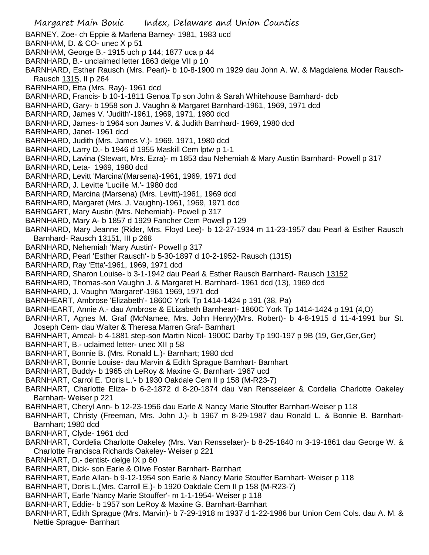- Margaret Main Bouic Index, Delaware and Union Counties BARNEY, Zoe- ch Eppie & Marlena Barney- 1981, 1983 ucd BARNHAM, D. & CO- unec X p 51 BARNHAM, George B.- 1915 uch p 144; 1877 uca p 44 BARNHARD, B.- unclaimed letter 1863 delge VII p 10 BARNHARD, Esther Rausch (Mrs. Pearl)- b 10-8-1900 m 1929 dau John A. W. & Magdalena Moder Rausch-Rausch 1315, II p 264 BARNHARD, Etta (Mrs. Ray)- 1961 dcd BARNHARD, Francis- b 10-1-1811 Genoa Tp son John & Sarah Whitehouse Barnhard- dcb BARNHARD, Gary- b 1958 son J. Vaughn & Margaret Barnhard-1961, 1969, 1971 dcd BARNHARD, James V. 'Judith'-1961, 1969, 1971, 1980 dcd BARNHARD, James- b 1964 son James V. & Judith Barnhard- 1969, 1980 dcd BARNHARD, Janet- 1961 dcd BARNHARD, Judith (Mrs. James V.)- 1969, 1971, 1980 dcd BARNHARD, Larry D.- b 1946 d 1955 Maskill Cem lptw p 1-1 BARNHARD, Lavina (Stewart, Mrs. Ezra)- m 1853 dau Nehemiah & Mary Austin Barnhard- Powell p 317 BARNHARD, Leta- 1969, 1980 dcd BARNHARD, Levitt 'Marcina'(Marsena)-1961, 1969, 1971 dcd BARNHARD, J. Levitte 'Lucille M.'- 1980 dcd BARNHARD, Marcina (Marsena) (Mrs. Levitt)-1961, 1969 dcd BARNHARD, Margaret (Mrs. J. Vaughn)-1961, 1969, 1971 dcd BARNGART, Mary Austin (Mrs. Nehemiah)- Powell p 317 BARNHARD, Mary A- b 1857 d 1929 Fancher Cem Powell p 129 BARNHARD, Mary Jeanne (Rider, Mrs. Floyd Lee)- b 12-27-1934 m 11-23-1957 dau Pearl & Esther Rausch Barnhard- Rausch 13151, III p 268 BARNHARD, Nehemiah 'Mary Austin'- Powell p 317 BARNHARD, Pearl 'Esther Rausch'- b 5-30-1897 d 10-2-1952- Rausch (1315) BARNHARD, Ray 'Etta'-1961, 1969, 1971 dcd BARNHARD, Sharon Louise- b 3-1-1942 dau Pearl & Esther Rausch Barnhard- Rausch 13152 BARNHARD, Thomas-son Vaughn J. & Margaret H. Barnhard- 1961 dcd (13), 1969 dcd BARNHARD, J. Vaughn 'Margaret'-1961 1969, 1971 dcd BARNHEART, Ambrose 'Elizabeth'- 1860C York Tp 1414-1424 p 191 (38, Pa) BARNHEART, Annie A.- dau Ambrose & ELizabeth Barnheart- 1860C York Tp 1414-1424 p 191 (4,O) BARNHART, Agnes M. Graf (McNamee, Mrs. John Henry)(Mrs. Robert)- b 4-8-1915 d 11-4-1991 bur St. Joseph Cem- dau Walter & Theresa Marren Graf- Barnhart BARNHART, Ameal- b 4-1881 step-son Martin Nicol- 1900C Darby Tp 190-197 p 9B (19, Ger,Ger,Ger) BARNHART, B.- uclaimed letter- unec XII p 58 BARNHART, Bonnie B. (Mrs. Ronald L.)- Barnhart; 1980 dcd BARNHART, Bonnie Louise- dau Marvin & Edith Sprague Barnhart- Barnhart BARNHART, Buddy- b 1965 ch LeRoy & Maxine G. Barnhart- 1967 ucd BARNHART, Carrol E. 'Doris L.'- b 1930 Oakdale Cem II p 158 (M-R23-7) BARNHART, Charlotte Eliza- b 6-2-1872 d 8-20-1874 dau Van Rensselaer & Cordelia Charlotte Oakeley Barnhart- Weiser p 221 BARNHART, Cheryl Ann- b 12-23-1956 dau Earle & Nancy Marie Stouffer Barnhart-Weiser p 118 BARNHART, Christy (Freeman, Mrs. John J.)- b 1967 m 8-29-1987 dau Ronald L. & Bonnie B. Barnhart-Barnhart; 1980 dcd BARNHART, Clyde- 1961 dcd BARNHART, Cordelia Charlotte Oakeley (Mrs. Van Rensselaer)- b 8-25-1840 m 3-19-1861 dau George W. & Charlotte Francisca Richards Oakeley- Weiser p 221 BARNHART, D.- dentist- delge IX p 60 BARNHART, Dick- son Earle & Olive Foster Barnhart- Barnhart BARNHART, Earle Allan- b 9-12-1954 son Earle & Nancy Marie Stouffer Barnhart- Weiser p 118
- BARNHART, Doris L.(Mrs. Carroll E.)- b 1920 Oakdale Cem II p 158 (M-R23-7)
- BARNHART, Earle 'Nancy Marie Stouffer'- m 1-1-1954- Weiser p 118
- BARNHART, Eddie- b 1957 son LeRoy & Maxine G. Barnhart-Barnhart
- BARNHART, Edith Sprague (Mrs. Marvin)- b 7-29-1918 m 1937 d 1-22-1986 bur Union Cem Cols. dau A. M. & Nettie Sprague- Barnhart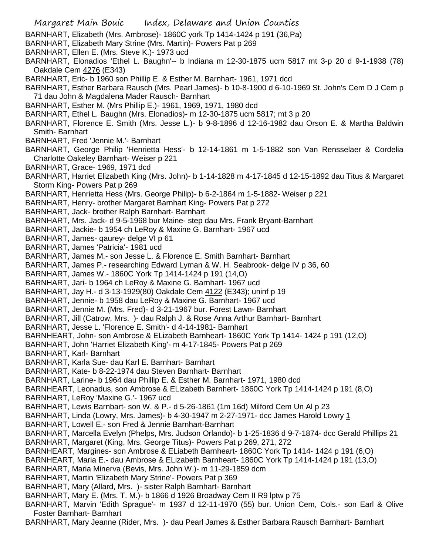Margaret Main Bouic Index, Delaware and Union Counties BARNHART, Elizabeth (Mrs. Ambrose)- 1860C york Tp 1414-1424 p 191 (36,Pa) BARNHART, Elizabeth Mary Strine (Mrs. Martin)- Powers Pat p 269 BARNHART, Ellen E. (Mrs. Steve K.)- 1973 ucd BARNHART, Elonadios 'Ethel L. Baughn'-- b Indiana m 12-30-1875 ucm 5817 mt 3-p 20 d 9-1-1938 (78) Oakdale Cem 4276 (E343) BARNHART, Eric- b 1960 son Phillip E. & Esther M. Barnhart- 1961, 1971 dcd BARNHART, Esther Barbara Rausch (Mrs. Pearl James)- b 10-8-1900 d 6-10-1969 St. John's Cem D J Cem p 71 dau John & Magdalena Mader Rausch- Barnhart BARNHART, Esther M. (Mrs Phillip E.)- 1961, 1969, 1971, 1980 dcd BARNHART, Ethel L. Baughn (Mrs. Elonadios)- m 12-30-1875 ucm 5817; mt 3 p 20 BARNHART, Florence E. Smith (Mrs. Jesse L.)- b 9-8-1896 d 12-16-1982 dau Orson E. & Martha Baldwin Smith- Barnhart BARNHART, Fred 'Jennie M.'- Barnhart BARNHART, George Philip 'Henrietta Hess'- b 12-14-1861 m 1-5-1882 son Van Rensselaer & Cordelia Charlotte Oakeley Barnhart- Weiser p 221 BARNHART, Grace- 1969, 1971 dcd BARNHART, Harriet Elizabeth King (Mrs. John)- b 1-14-1828 m 4-17-1845 d 12-15-1892 dau Titus & Margaret Storm King- Powers Pat p 269 BARNHART, Henrietta Hess (Mrs. George Philip)- b 6-2-1864 m 1-5-1882- Weiser p 221 BARNHART, Henry- brother Margaret Barnhart King- Powers Pat p 272 BARNHART, Jack- brother Ralph Barnhart- Barnhart BARNHART, Mrs. Jack- d 9-5-1968 bur Maine- step dau Mrs. Frank Bryant-Barnhart BARNHART, Jackie- b 1954 ch LeRoy & Maxine G. Barnhart- 1967 ucd BARNHART, James- qaurey- delge VI p 61 BARNHART, James 'Patricia'- 1981 ucd BARNHART, James M.- son Jesse L. & Florence E. Smith Barnhart- Barnhart BARNHART, James P.- researching Edward Lyman & W. H. Seabrook- delge IV p 36, 60 BARNHART, James W.- 1860C York Tp 1414-1424 p 191 (14,O) BARNHART, Jari- b 1964 ch LeRoy & Maxine G. Barnhart- 1967 ucd BARNHART, Jay H.- d 3-13-1929(80) Oakdale Cem 4122 (E343); uninf p 19 BARNHART, Jennie- b 1958 dau LeRoy & Maxine G. Barnhart- 1967 ucd BARNHART, Jennie M. (Mrs. Fred)- d 3-21-1967 bur. Forest Lawn- Barnhart BARNHART, Jill (Catrow, Mrs. )- dau Ralph J. & Rose Anna Arthur Barnhart- Barnhart BARNHART, Jesse L. 'Florence E. Smith'- d 4-14-1981- Barnhart BARNHEART, John- son Ambrose & ELizabeth Barnheart- 1860C York Tp 1414- 1424 p 191 (12,O) BARNHART, John 'Harriet Elizabeth King'- m 4-17-1845- Powers Pat p 269 BARNHART, Karl- Barnhart BARNHART, Karla Sue- dau Karl E. Barnhart- Barnhart BARNHART, Kate- b 8-22-1974 dau Steven Barnhart- Barnhart BARNHART, Larine- b 1964 dau Phillip E. & Esther M. Barnhart- 1971, 1980 dcd BARNHEART, Leonadus, son Ambrose & ELizabeth Barnhert- 1860C York Tp 1414-1424 p 191 (8,O) BARNHART, LeRoy 'Maxine G.'- 1967 ucd BARNHART, Lewis Barnbart- son W. & P.- d 5-26-1861 (1m 16d) Milford Cem Un Al p 23 BARNHART, Linda (Lowry, Mrs. James)- b 4-30-1947 m 2-27-1971- dcc James Harold Lowry 1 BARNHART, Lowell E.- son Fred & Jennie Barnhart-Barnhart BARNHART, Marcella Evelyn (Phelps, Mrs. Judson Orlando)- b 1-25-1836 d 9-7-1874- dcc Gerald Phillips 21 BARNHART, Margaret (King, Mrs. George Titus)- Powers Pat p 269, 271, 272 BARNHEART, Margines- son Ambrose & ELiabeth Barnheart- 1860C York Tp 1414- 1424 p 191 (6,O) BARNHEART, Maria E.- dau Ambrose & ELizabeth Barnheart- 1860C York Tp 1414-1424 p 191 (13,O) BARNHART, Maria Minerva (Bevis, Mrs. John W.)- m 11-29-1859 dcm BARNHART, Martin 'Elizabeth Mary Strine'- Powers Pat p 369 BARNHART, Mary (Allard, Mrs. )- sister Ralph Barnhart- Barnhart BARNHART, Mary E. (Mrs. T. M.)- b 1866 d 1926 Broadway Cem II R9 lptw p 75 BARNHART, Marvin 'Edith Sprague'- m 1937 d 12-11-1970 (55) bur. Union Cem, Cols.- son Earl & Olive Foster Barnhart- Barnhart BARNHART, Mary Jeanne (Rider, Mrs. )- dau Pearl James & Esther Barbara Rausch Barnhart- Barnhart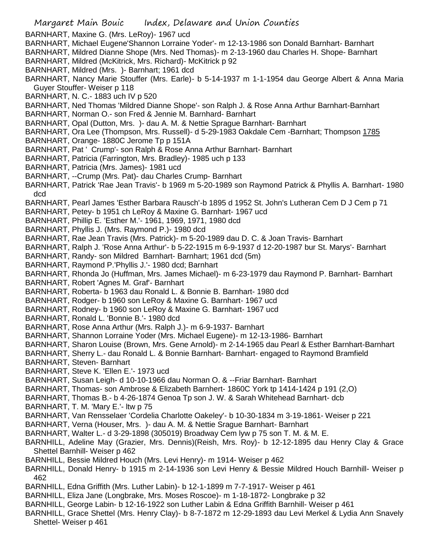- Margaret Main Bouic Index, Delaware and Union Counties BARNHART, Maxine G. (Mrs. LeRoy)- 1967 ucd BARNHART, Michael Eugene'Shannon Lorraine Yoder'- m 12-13-1986 son Donald Barnhart- Barnhart BARNHART, Mildred Dianne Shope (Mrs. Ned Thomas)- m 2-13-1960 dau Charles H. Shope- Barnhart BARNHART, Mildred (McKitrick, Mrs. Richard)- McKitrick p 92 BARNHART, Mildred (Mrs. )- Barnhart; 1961 dcd BARNHART, Nancy Marie Stouffer (Mrs. Earle)- b 5-14-1937 m 1-1-1954 dau George Albert & Anna Maria Guyer Stouffer- Weiser p 118 BARNHART, N. C.- 1883 uch IV p 520 BARNHART, Ned Thomas 'Mildred Dianne Shope'- son Ralph J. & Rose Anna Arthur Barnhart-Barnhart BARNHART, Norman O.- son Fred & Jennie M. Barnhard- Barnhart BARNHART, Opal (Dutton, Mrs. )- dau A. M. & Nettie Sprague Barnhart- Barnhart BARNHART, Ora Lee (Thompson, Mrs. Russell)- d 5-29-1983 Oakdale Cem -Barnhart; Thompson 1785 BARNHART, Orange- 1880C Jerome Tp p 151A BARNHART, Pat ' Crump'- son Ralph & Rose Anna Arthur Barnhart- Barnhart BARNHART, Patricia (Farrington, Mrs. Bradley)- 1985 uch p 133 BARNHART, Patricia (Mrs. James)- 1981 ucd BARNHART, --Crump (Mrs. Pat)- dau Charles Crump- Barnhart BARNHART, Patrick 'Rae Jean Travis'- b 1969 m 5-20-1989 son Raymond Patrick & Phyllis A. Barnhart- 1980 dcd BARNHART, Pearl James 'Esther Barbara Rausch'-b 1895 d 1952 St. John's Lutheran Cem D J Cem p 71 BARNHART, Petey- b 1951 ch LeRoy & Maxine G. Barnhart- 1967 ucd BARNHART, Phillip E. 'Esther M.'- 1961, 1969, 1971, 1980 dcd BARNHART, Phyllis J. (Mrs. Raymond P.)- 1980 dcd BARNHART, Rae Jean Travis (Mrs. Patrick)- m 5-20-1989 dau D. C. & Joan Travis- Barnhart BARNHART, Ralph J. 'Rose Anna Arthur'- b 5-22-1915 m 6-9-1937 d 12-20-1987 bur St. Marys'- Barnhart BARNHART, Randy- son Mildred Barnhart- Barnhart; 1961 dcd (5m) BARNHART, Raymond P.'Phyllis J.'- 1980 dcd; Barnhart BARNHART, Rhonda Jo (Huffman, Mrs. James Michael)- m 6-23-1979 dau Raymond P. Barnhart- Barnhart BARNHART, Robert 'Agnes M. Graf'- Barnhart BARNHART, Roberta- b 1963 dau Ronald L. & Bonnie B. Barnhart- 1980 dcd BARNHART, Rodger- b 1960 son LeRoy & Maxine G. Barnhart- 1967 ucd BARNHART, Rodney- b 1960 son LeRoy & Maxine G. Barnhart- 1967 ucd BARNHART, Ronald L. 'Bonnie B.'- 1980 dcd BARNHART, Rose Anna Arthur (Mrs. Ralph J.)- m 6-9-1937- Barnhart BARNHART, Shannon Lorraine Yoder (Mrs. Michael Eugene)- m 12-13-1986- Barnhart BARNHART, Sharon Louise (Brown, Mrs. Gene Arnold)- m 2-14-1965 dau Pearl & Esther Barnhart-Barnhart BARNHART, Sherry L.- dau Ronald L. & Bonnie Barnhart- Barnhart- engaged to Raymond Bramfield BARNHART, Steven- Barnhart BARNHART, Steve K. 'Ellen E.'- 1973 ucd BARNHART, Susan Leigh- d 10-10-1966 dau Norman O. & --Friar Barnhart- Barnhart BARNHART, Thomas- son Ambrose & Elizabeth Barnhert- 1860C York tp 1414-1424 p 191 (2,O) BARNHART, Thomas B.- b 4-26-1874 Genoa Tp son J. W. & Sarah Whitehead Barnhart- dcb BARNHART, T. M. 'Mary E.'- ltw p 75 BARNHART, Van Rensselaer 'Cordelia Charlotte Oakeley'- b 10-30-1834 m 3-19-1861- Weiser p 221 BARNHART, Verna (Houser, Mrs. )- dau A. M. & Nettie Srague Barnhart- Barnhart BARNHART, Walter L.- d 3-29-1898 (305019) Broadway Cem lyw p 75 son T. M. & M. E. BARNHILL, Adeline May (Grazier, Mrs. Dennis)(Reish, Mrs. Roy)- b 12-12-1895 dau Henry Clay & Grace Shettel Barnhill- Weiser p 462 BARNHILL, Bessie Mildred Houch (Mrs. Levi Henry)- m 1914- Weiser p 462 BARNHILL, Donald Henry- b 1915 m 2-14-1936 son Levi Henry & Bessie Mildred Houch Barnhill- Weiser p 462 BARNHILL, Edna Griffith (Mrs. Luther Labin)- b 12-1-1899 m 7-7-1917- Weiser p 461 BARNHILL, Eliza Jane (Longbrake, Mrs. Moses Roscoe)- m 1-18-1872- Longbrake p 32 BARNHILL, George Labin- b 12-16-1922 son Luther Labin & Edna Griffith Barnhill- Weiser p 461
- BARNHILL, Grace Shettel (Mrs. Henry Clay)- b 8-7-1872 m 12-29-1893 dau Levi Merkel & Lydia Ann Snavely Shettel- Weiser p 461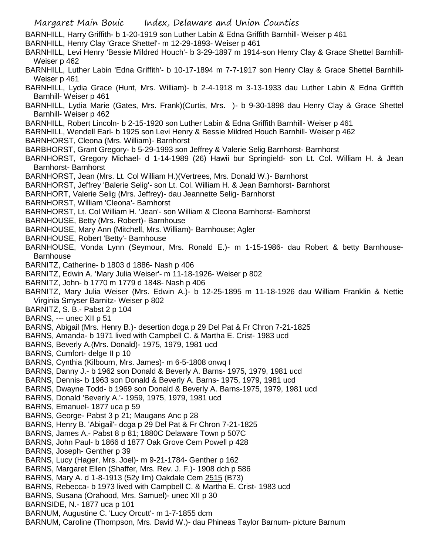Margaret Main Bouic Index, Delaware and Union Counties BARNHILL, Harry Griffith- b 1-20-1919 son Luther Labin & Edna Griffith Barnhill- Weiser p 461 BARNHILL, Henry Clay 'Grace Shettel'- m 12-29-1893- Weiser p 461 BARNHILL, Levi Henry 'Bessie Mildred Houch'- b 3-29-1897 m 1914-son Henry Clay & Grace Shettel Barnhill-Weiser p 462 BARNHILL, Luther Labin 'Edna Griffith'- b 10-17-1894 m 7-7-1917 son Henry Clay & Grace Shettel Barnhill-Weiser p 461 BARNHILL, Lydia Grace (Hunt, Mrs. William)- b 2-4-1918 m 3-13-1933 dau Luther Labin & Edna Griffith Barnhill- Weiser p 461 BARNHILL, Lydia Marie (Gates, Mrs. Frank)(Curtis, Mrs. )- b 9-30-1898 dau Henry Clay & Grace Shettel Barnhill- Weiser p 462 BARNHILL, Robert Lincoln- b 2-15-1920 son Luther Labin & Edna Griffith Barnhill- Weiser p 461 BARNHILL, Wendell Earl- b 1925 son Levi Henry & Bessie Mildred Houch Barnhill- Weiser p 462 BARNHORST, Cleona (Mrs. William)- Barnhorst BARBHORST, Grant Gregory- b 5-29-1993 son Jeffrey & Valerie Selig Barnhorst- Barnhorst BARNHORST, Gregory Michael- d 1-14-1989 (26) Hawii bur Springield- son Lt. Col. William H. & Jean Barnhorst- Barnhorst BARNHORST, Jean (Mrs. Lt. Col William H.)(Vertrees, Mrs. Donald W.)- Barnhorst BARNHORST, Jeffrey 'Balerie Selig'- son Lt. Col. William H. & Jean Barnhorst- Barnhorst BARNHORT, Valerie Selig (Mrs. Jeffrey)- dau Jeannette Selig- Barnhorst BARNHORST, William 'Cleona'- Barnhorst BARNHORST, Lt. Col William H. 'Jean'- son William & Cleona Barnhorst- Barnhorst BARNHOUSE, Betty (Mrs. Robert)- Barnhouse BARNHOUSE, Mary Ann (Mitchell, Mrs. William)- Barnhouse; Agler BARNHOUSE, Robert 'Betty'- Barnhouse BARNHOUSE, Vonda Lynn (Seymour, Mrs. Ronald E.)- m 1-15-1986- dau Robert & betty Barnhouse-**Barnhouse** BARNITZ, Catherine- b 1803 d 1886- Nash p 406 BARNITZ, Edwin A. 'Mary Julia Weiser'- m 11-18-1926- Weiser p 802 BARNITZ, John- b 1770 m 1779 d 1848- Nash p 406 BARNITZ, Mary Julia Weiser (Mrs. Edwin A.)- b 12-25-1895 m 11-18-1926 dau William Franklin & Nettie Virginia Smyser Barnitz- Weiser p 802 BARNITZ, S. B.- Pabst 2 p 104 BARNS, --- unec XII p 51 BARNS, Abigail (Mrs. Henry B.)- desertion dcga p 29 Del Pat & Fr Chron 7-21-1825 BARNS, Amanda- b 1971 lived with Campbell C. & Martha E. Crist- 1983 ucd BARNS, Beverly A.(Mrs. Donald)- 1975, 1979, 1981 ucd BARNS, Cumfort- delge II p 10 BARNS, Cynthia (Kilbourn, Mrs. James)- m 6-5-1808 onwq I BARNS, Danny J.- b 1962 son Donald & Beverly A. Barns- 1975, 1979, 1981 ucd BARNS, Dennis- b 1963 son Donald & Beverly A. Barns- 1975, 1979, 1981 ucd BARNS, Dwayne Todd- b 1969 son Donald & Beverly A. Barns-1975, 1979, 1981 ucd BARNS, Donald 'Beverly A.'- 1959, 1975, 1979, 1981 ucd BARNS, Emanuel- 1877 uca p 59 BARNS, George- Pabst 3 p 21; Maugans Anc p 28 BARNS, Henry B. 'Abigail'- dcga p 29 Del Pat & Fr Chron 7-21-1825 BARNS, James A.- Pabst 8 p 81; 1880C Delaware Town p 507C BARNS, John Paul- b 1866 d 1877 Oak Grove Cem Powell p 428 BARNS, Joseph- Genther p 39 BARNS, Lucy (Hager, Mrs. Joel)- m 9-21-1784- Genther p 162 BARNS, Margaret Ellen (Shaffer, Mrs. Rev. J. F.)- 1908 dch p 586 BARNS, Mary A. d 1-8-1913 (52y llm) Oakdale Cem 2515 (B73) BARNS, Rebecca- b 1973 lived with Campbell C. & Martha E. Crist- 1983 ucd BARNS, Susana (Orahood, Mrs. Samuel)- unec XII p 30 BARNSIDE, N.- 1877 uca p 101 BARNUM, Augustine C. 'Lucy Orcutt'- m 1-7-1855 dcm BARNUM, Caroline (Thompson, Mrs. David W.)- dau Phineas Taylor Barnum- picture Barnum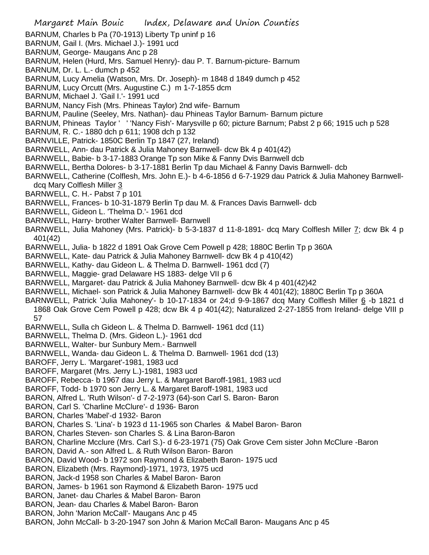BARNUM, Pauline (Seeley, Mrs. Nathan)- dau Phineas Taylor Barnum- Barnum picture

- BARNUM, Phineas Taylor ' ' 'Nancy Fish'- Marysville p 60; picture Barnum; Pabst 2 p 66; 1915 uch p 528
- BARNUM, R. C.- 1880 dch p 611; 1908 dch p 132
- BARNVILLE, Patrick- 1850C Berlin Tp 1847 (27, Ireland)
- BARNWELL, Ann- dau Patrick & Julia Mahoney Barnwell- dcw Bk 4 p 401(42)
- BARNWELL, Babie- b 3-17-1883 Orange Tp son Mike & Fanny Dvis Barnwell dcb
- BARNWELL, Bertha Dolores- b 3-17-1881 Berlin Tp dau Michael & Fanny Davis Barnwell- dcb
- BARNWELL, Catherine (Colflesh, Mrs. John E.)- b 4-6-1856 d 6-7-1929 dau Patrick & Julia Mahoney Barnwelldcq Mary Colflesh Miller 3
- BARNWELL, C. H.- Pabst 7 p 101
- BARNWELL, Frances- b 10-31-1879 Berlin Tp dau M. & Frances Davis Barnwell- dcb
- BARNWELL, Gideon L. 'Thelma D.'- 1961 dcd
- BARNWELL, Harry- brother Walter Barnwell- Barnwell
- BARNWELL, Julia Mahoney (Mrs. Patrick)- b 5-3-1837 d 11-8-1891- dcq Mary Colflesh Miller *T*; dcw Bk 4 p 401(42)
- BARNWELL, Julia- b 1822 d 1891 Oak Grove Cem Powell p 428; 1880C Berlin Tp p 360A
- BARNWELL, Kate- dau Patrick & Julia Mahoney Barnwell- dcw Bk 4 p 410(42)
- BARNWELL, Kathy- dau Gideon L. & Thelma D. Barnwell- 1961 dcd (7)
- BARNWELL, Maggie- grad Delaware HS 1883- delge VII p 6
- BARNWELL, Margaret- dau Patrick & Julia Mahoney Barnwell- dcw Bk 4 p 401(42)42
- BARNWELL, Michael- son Patrick & Julia Mahoney Barnwell- dcw Bk 4 401(42); 1880C Berlin Tp p 360A
- BARNWELL, Patrick 'Julia Mahoney'- b 10-17-1834 or 24;d 9-9-1867 dcq Mary Colflesh Miller 6-b 1821 d 1868 Oak Grove Cem Powell p 428; dcw Bk 4 p 401(42); Naturalized 2-27-1855 from Ireland- delge VIII p 57
- BARNWELL, Sulla ch Gideon L. & Thelma D. Barnwell- 1961 dcd (11)
- BARNWELL, Thelma D. (Mrs. Gideon L.)- 1961 dcd
- BARNWELL, Walter- bur Sunbury Mem.- Barnwell
- BARNWELL, Wanda- dau Gideon L. & Thelma D. Barnwell- 1961 dcd (13)
- BAROFF, Jerry L. 'Margaret'-1981, 1983 ucd
- BAROFF, Margaret (Mrs. Jerry L.)-1981, 1983 ucd
- BAROFF, Rebecca- b 1967 dau Jerry L. & Margaret Baroff-1981, 1983 ucd
- BAROFF, Todd- b 1970 son Jerry L. & Margaret Baroff-1981, 1983 ucd
- BARON, Alfred L. 'Ruth Wilson'- d 7-2-1973 (64)-son Carl S. Baron- Baron
- BARON, Carl S. 'Charline McClure'- d 1936- Baron
- BARON, Charles 'Mabel'-d 1932- Baron
- BARON, Charles S. 'Lina'- b 1923 d 11-1965 son Charles & Mabel Baron- Baron
- BARON, Charles Steven- son Charles S. & Lina Baron-Baron
- BARON, Charline Mcclure (Mrs. Carl S.)- d 6-23-1971 (75) Oak Grove Cem sister John McClure -Baron
- BARON, David A.- son Alfred L. & Ruth Wilson Baron- Baron
- BARON, David Wood- b 1972 son Raymond & Elizabeth Baron- 1975 ucd
- BARON, Elizabeth (Mrs. Raymond)-1971, 1973, 1975 ucd
- BARON, Jack-d 1958 son Charles & Mabel Baron- Baron
- BARON, James- b 1961 son Raymond & Elizabeth Baron- 1975 ucd
- BARON, Janet- dau Charles & Mabel Baron- Baron
- BARON, Jean- dau Charles & Mabel Baron- Baron
- BARON, John 'Marion McCall'- Maugans Anc p 45
- BARON, John McCall- b 3-20-1947 son John & Marion McCall Baron- Maugans Anc p 45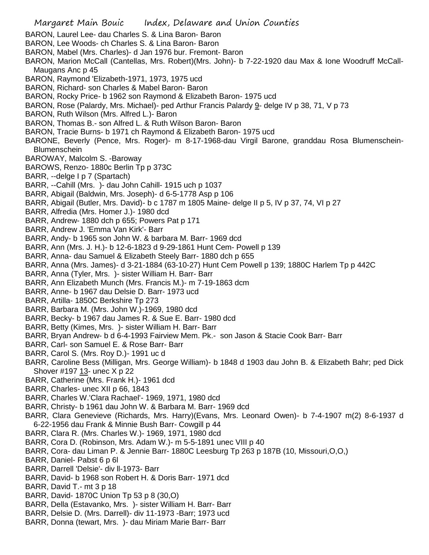Margaret Main Bouic Index, Delaware and Union Counties BARON, Laurel Lee- dau Charles S. & Lina Baron- Baron BARON, Lee Woods- ch Charles S. & Lina Baron- Baron BARON, Mabel (Mrs. Charles)- d Jan 1976 bur. Fremont- Baron BARON, Marion McCall (Cantellas, Mrs. Robert)(Mrs. John)- b 7-22-1920 dau Max & Ione Woodruff McCall-Maugans Anc p 45 BARON, Raymond 'Elizabeth-1971, 1973, 1975 ucd BARON, Richard- son Charles & Mabel Baron- Baron BARON, Rocky Price- b 1962 son Raymond & Elizabeth Baron- 1975 ucd BARON, Rose (Palardy, Mrs. Michael)- ped Arthur Francis Palardy 9- delge IV p 38, 71, V p 73 BARON, Ruth Wilson (Mrs. Alfred L.)- Baron BARON, Thomas B.- son Alfred L. & Ruth Wilson Baron- Baron BARON, Tracie Burns- b 1971 ch Raymond & Elizabeth Baron- 1975 ucd BARONE, Beverly (Pence, Mrs. Roger)- m 8-17-1968-dau Virgil Barone, granddau Rosa Blumenschein-Blumenschein BAROWAY, Malcolm S. -Baroway BAROWS, Renzo- 1880c Berlin Tp p 373C BARR, --delge I p 7 (Spartach) BARR, --Cahill (Mrs. )- dau John Cahill- 1915 uch p 1037 BARR, Abigail (Baldwin, Mrs. Joseph)- d 6-5-1778 Asp p 106 BARR, Abigail (Butler, Mrs. David)- b c 1787 m 1805 Maine- delge II p 5, IV p 37, 74, VI p 27 BARR, Alfredia (Mrs. Homer J.)- 1980 dcd BARR, Andrew- 1880 dch p 655; Powers Pat p 171 BARR, Andrew J. 'Emma Van Kirk'- Barr BARR, Andy- b 1965 son John W. & barbara M. Barr- 1969 dcd BARR, Ann (Mrs. J. H.)- b 12-6-1823 d 9-29-1861 Hunt Cem- Powell p 139 BARR, Anna- dau Samuel & Elizabeth Steely Barr- 1880 dch p 655 BARR, Anna (Mrs. James)- d 3-21-1884 (63-10-27) Hunt Cem Powell p 139; 1880C Harlem Tp p 442C BARR, Anna (Tyler, Mrs. )- sister William H. Barr- Barr BARR, Ann Elizabeth Munch (Mrs. Francis M.)- m 7-19-1863 dcm BARR, Anne- b 1967 dau Delsie D. Barr- 1973 ucd BARR, Artilla- 1850C Berkshire Tp 273 BARR, Barbara M. (Mrs. John W.)-1969, 1980 dcd BARR, Becky- b 1967 dau James R. & Sue E. Barr- 1980 dcd BARR, Betty (Kimes, Mrs. )- sister William H. Barr- Barr BARR, Bryan Andrew- b d 6-4-1993 Fairview Mem. Pk.- son Jason & Stacie Cook Barr- Barr BARR, Carl- son Samuel E. & Rose Barr- Barr BARR, Carol S. (Mrs. Roy D.)- 1991 uc d BARR, Caroline Bess (Milligan, Mrs. George William)- b 1848 d 1903 dau John B. & Elizabeth Bahr; ped Dick Shover #197 13- unec X p 22 BARR, Catherine (Mrs. Frank H.)- 1961 dcd BARR, Charles- unec XII p 66, 1843 BARR, Charles W.'Clara Rachael'- 1969, 1971, 1980 dcd BARR, Christy- b 1961 dau John W. & Barbara M. Barr- 1969 dcd BARR, Clara Genevieve (Richards, Mrs. Harry)(Evans, Mrs. Leonard Owen)- b 7-4-1907 m(2) 8-6-1937 d 6-22-1956 dau Frank & Minnie Bush Barr- Cowgill p 44 BARR, Clara R. (Mrs. Charles W.)- 1969, 1971, 1980 dcd BARR, Cora D. (Robinson, Mrs. Adam W.)- m 5-5-1891 unec VIII p 40 BARR, Cora- dau Liman P. & Jennie Barr- 1880C Leesburg Tp 263 p 187B (10, Missouri,O,O,) BARR, Daniel- Pabst 6 p 6l BARR, Darrell 'Delsie'- div ll-1973- Barr BARR, David- b 1968 son Robert H. & Doris Barr- 1971 dcd BARR, David T.- mt 3 p 18 BARR, David- 1870C Union Tp 53 p 8 (30,O) BARR, Della (Estavanko, Mrs. )- sister William H. Barr- Barr BARR, Delsie D. (Mrs. Darrell)- div 11-1973 -Barr; 1973 ucd BARR, Donna (tewart, Mrs. )- dau Miriam Marie Barr- Barr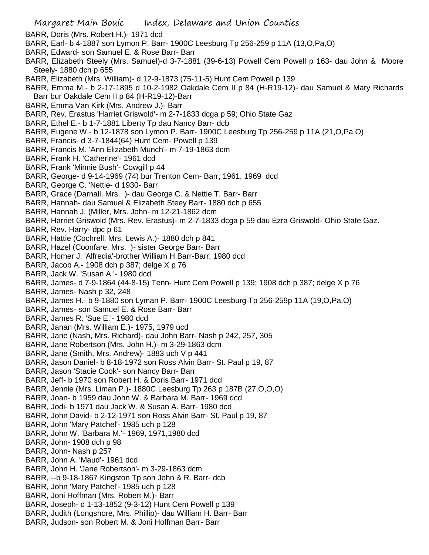- BARR, Doris (Mrs. Robert H.)- 1971 dcd
- BARR, Earl- b 4-1887 son Lymon P. Barr- 1900C Leesburg Tp 256-259 p 11A (13,O,Pa,O)
- BARR, Edward- son Samuel E. & Rose Barr- Barr
- BARR, Elizabeth Steely (Mrs. Samuel)-d 3-7-1881 (39-6-13) Powell Cem Powell p 163- dau John & Moore Steely- 1880 dch p 655
- BARR, Elizabeth (Mrs. William)- d 12-9-1873 (75-11-5) Hunt Cem Powell p 139
- BARR, Emma M.- b 2-17-1895 d 10-2-1982 Oakdale Cem II p 84 (H-R19-12)- dau Samuel & Mary Richards Barr bur Oakdale Cem II p 84 (H-R19-12)-Barr
- BARR, Emma Van Kirk (Mrs. Andrew J.)- Barr
- BARR, Rev. Erastus 'Harriet Griswold'- m 2-7-1833 dcga p 59; Ohio State Gaz
- BARR, Ethel E.- b 1-7-1881 Liberty Tp dau Nancy Barr- dcb
- BARR, Eugene W.- b 12-1878 son Lymon P. Barr- 1900C Leesburg Tp 256-259 p 11A (21,O,Pa,O)
- BARR, Francis- d 3-7-1844(64) Hunt Cem- Powell p 139
- BARR, Francis M. 'Ann Elizabeth Munch'- m 7-19-1863 dcm
- BARR, Frank H. 'Catherine'- 1961 dcd
- BARR, Frank 'Minnie Bush'- Cowgill p 44
- BARR, George- d 9-14-1969 (74) bur Trenton Cem- Barr; 1961, 1969 dcd
- BARR, George C. 'Nettie- d 1930- Barr
- BARR, Grace (Darnall, Mrs. )- dau George C. & Nettie T. Barr- Barr
- BARR, Hannah- dau Samuel & Elizabeth Steey Barr- 1880 dch p 655
- BARR, Hannah J. (Miller, Mrs. John- m 12-21-1862 dcm
- BARR, Harriet Griswold (Mrs. Rev. Erastus)- m 2-7-1833 dcga p 59 dau Ezra Griswold- Ohio State Gaz.
- BARR, Rev. Harry- dpc p 61
- BARR, Hattie (Cochrell, Mrs. Lewis A.)- 1880 dch p 841
- BARR, Hazel (Coonfare, Mrs. )- sister George Barr- Barr
- BARR, Homer J. 'Alfredia'-brother William H.Barr-Barr; 1980 dcd
- BARR, Jacob A.- 1908 dch p 387; delge X p 76
- BARR, Jack W. 'Susan A.'- 1980 dcd
- BARR, James- d 7-9-1864 (44-8-15) Tenn- Hunt Cem Powell p 139; 1908 dch p 387; delge X p 76
- BARR, James- Nash p 32, 248
- BARR, James H.- b 9-1880 son Lyman P. Barr- 1900C Leesburg Tp 256-259p 11A (19,O,Pa,O)
- BARR, James- son Samuel E. & Rose Barr- Barr
- BARR, James R. 'Sue E.'- 1980 dcd
- BARR, Janan (Mrs. William E.)- 1975, 1979 ucd
- BARR, Jane (Nash, Mrs. Richard)- dau John Barr- Nash p 242, 257, 305
- BARR, Jane Robertson (Mrs. John H.)- m 3-29-1863 dcm
- BARR, Jane (Smith, Mrs. Andrew)- 1883 uch V p 441
- BARR, Jason Daniel- b 8-18-1972 son Ross Alvin Barr- St. Paul p 19, 87
- BARR, Jason 'Stacie Cook'- son Nancy Barr- Barr
- BARR, Jeff- b 1970 son Robert H. & Doris Barr- 1971 dcd
- BARR, Jennie (Mrs. Liman P.)- 1880C Leesburg Tp 263 p 187B (27,O,O,O)
- BARR, Joan- b 1959 dau John W. & Barbara M. Barr- 1969 dcd
- BARR, Jodi- b 1971 dau Jack W. & Susan A. Barr- 1980 dcd
- BARR, John David- b 2-12-1971 son Ross Alvin Barr- St. Paul p 19, 87
- BARR, John 'Mary Patchel'- 1985 uch p 128
- BARR, John W. 'Barbara M.'- 1969, 1971,1980 dcd
- BARR, John- 1908 dch p 98
- BARR, John- Nash p 257
- BARR, John A. 'Maud'- 1961 dcd
- BARR, John H. 'Jane Robertson'- m 3-29-1863 dcm
- BARR, --b 9-18-1867 Kingston Tp son John & R. Barr- dcb
- BARR, John 'Mary Patchel'- 1985 uch p 128
- BARR, Joni Hoffman (Mrs. Robert M.)- Barr
- BARR, Joseph- d 1-13-1852 (9-3-12) Hunt Cem Powell p 139
- BARR, Judith (Longshore, Mrs. Phillip)- dau William H. Barr- Barr
- BARR, Judson- son Robert M. & Joni Hoffman Barr- Barr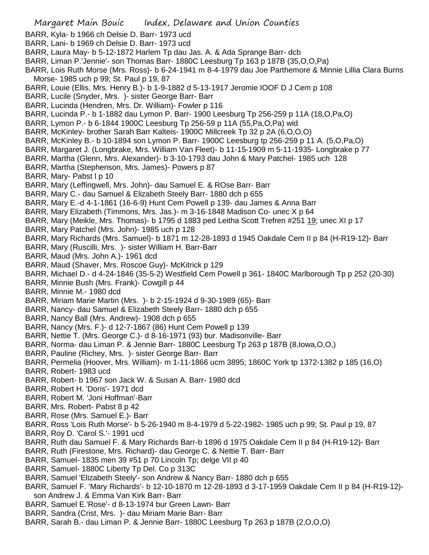- BARR, Kyla- b 1966 ch Delsie D. Barr- 1973 ucd
- BARR, Lani- b 1969 ch Delsie D. Barr- 1973 ucd
- BARR, Laura May- b 5-12-1872 Harlem Tp dau Jas. A. & Ada Sprange Barr- dcb
- BARR, Liman P.'Jennie'- son Thomas Barr- 1880C Leesburg Tp 163 p 187B (35,O,O,Pa)
- BARR, Lois Ruth Morse (Mrs. Ross)- b 6-24-1941 m 8-4-1979 dau Joe Parthemore & Minnie Lillia Clara Burns Morse- 1985 uch p 99; St. Paul p 19, 87
- BARR, Louie (Ellis, Mrs. Henry B.)- b 1-9-1882 d 5-13-1917 Jeromie IOOF D J Cem p 108
- BARR, Lucile (Snyder, Mrs. )- sister George Barr- Barr
- BARR, Lucinda (Hendren, Mrs. Dr. William)- Fowler p 116
- BARR, Lucinda P.- b 1-1882 dau Lymon P. Barr- 1900 Leesburg Tp 256-259 p 11A (18,O,Pa,O)
- BARR, Lymon P.- b 6-1844 1900C Leesburg Tp 256-59 p 11A (55,Pa,O,Pa) wid
- BARR, McKinley- brother Sarah Barr Kalteis- 1900C Millcreek Tp 32 p 2A (6,O,O,O)
- BARR, McKinley B.- b 10-1894 son Lymon P. Barr- 1900C Leesburg tp 256-259 p 11 A. (5,O,Pa,O)
- BARR, Margaret J. (Longbrake, Mrs. William Van Fleet)- b 11-15-1909 m 5-11-1935- Longbrake p 77
- BARR, Martha (Glenn, Mrs. Alexander)- b 3-10-1793 dau John & Mary Patchel- 1985 uch 128
- BARR, Martha (Stephenson, Mrs. James)- Powers p 87
- BARR, Mary- Pabst I p 10
- BARR, Mary (Leffingwell, Mrs. John)- dau Samuel E. & ROse Barr- Barr
- BARR, Mary C.- dau Samuel & Elizabeth Steely Barr- 1880 dch p 655
- BARR, Mary E.-d 4-1-1861 (16-6-9) Hunt Cem Powell p 139- dau James & Anna Barr
- BARR, Mary Elizabeth (Timmons, Mrs. Jas.)- m 3-16-1848 Madison Co- unec X p 64
- BARR, Mary (Meikle, Mrs. Thomas)- b 1795 d 1883 ped Leitha Scott Trefren #251 19; unec XI p 17
- BARR, Mary Patchel (Mrs. John)- 1985 uch p 128
- BARR, Mary Richards (Mrs. Samuel)- b 1871 m 12-28-1893 d 1945 Oakdale Cem II p 84 (H-R19-12)- Barr
- BARR, Mary (Ruscilli, Mrs. )- sister William H. Barr-Barr
- BARR, Maud (Mrs. John A.)- 1961 dcd
- BARR, Maud (Shaver, Mrs. Roscoe Guy)- McKitrick p 129
- BARR, Michael D.- d 4-24-1846 (35-5-2) Westfield Cem Powell p 361- 1840C Marlborough Tp p 252 (20-30)
- BARR, Minnie Bush (Mrs. Frank)- Cowgill p 44
- BARR, Minnie M.- 1980 dcd
- BARR, Miriam Marie Martin (Mrs. )- b 2-15-1924 d 9-30-1989 (65)- Barr
- BARR, Nancy- dau Samuel & Elizabeth Steely Barr- 1880 dch p 655
- BARR, Nancy Ball (Mrs. Andrew)- 1908 dch p 655
- BARR, Nancy (Mrs. F.)- d 12-7-1867 (86) Hunt Cem Powell p 139
- BARR, Nettie T. (Mrs. George C.)- d 8-16-1971 (93) bur. Madisonville- Barr
- BARR, Norma- dau Liman P. & Jennie Barr- 1880C Leesburg Tp 263 p 187B (8,Iowa,O,O,)
- BARR, Pauline (Richey, Mrs. )- sister George Barr- Barr
- BARR, Permelia (Hoover, Mrs. William)- m 1-11-1866 ucm 3895; 1860C York tp 1372-1382 p 185 (16,O)
- BARR, Robert- 1983 ucd
- BARR, Robert- b 1967 son Jack W. & Susan A. Barr- 1980 dcd
- BARR, Robert H. 'Doris'- 1971 dcd
- BARR, Robert M. 'Joni Hoffman'-Barr
- BARR, Mrs. Robert- Pabst 8 p 42
- BARR, Rose (Mrs. Samuel E.)- Barr
- BARR, Ross 'Lois Ruth Morse'- b 5-26-1940 m 8-4-1979 d 5-22-1982- 1985 uch p 99; St. Paul p 19, 87
- BARR, Roy D. 'Carol S.'- 1991 ucd
- BARR, Ruth dau Samuel F. & Mary Richards Barr-b 1896 d 1975 Oakdale Cem II p 84 (H-R19-12)- Barr
- BARR, Ruth (Firestone, Mrs. Richard)- dau George C. & Nettie T. Barr- Barr
- BARR, Samuel- 1835 men 39 #51 p 70 Lincoln Tp; delge VII p 40
- BARR, Samuel- 1880C Liberty Tp Del. Co p 313C
- BARR, Samuel 'Elizabeth Steely'- son Andrew & Nancy Barr- 1880 dch p 655
- BARR, Samuel F. 'Mary Richards'- b 12-10-1870 m 12-28-1893 d 3-17-1959 Oakdale Cem II p 84 (H-R19-12) son Andrew J. & Emma Van Kirk Barr- Barr
- BARR, Samuel E.'Rose'- d 8-13-1974 bur Green Lawn- Barr
- BARR, Sandra (Crist, Mrs. )- dau Miriam Marie Barr- Barr
- BARR, Sarah B.- dau Liman P. & Jennie Barr- 1880C Leesburg Tp 263 p 187B (2,O,O,O)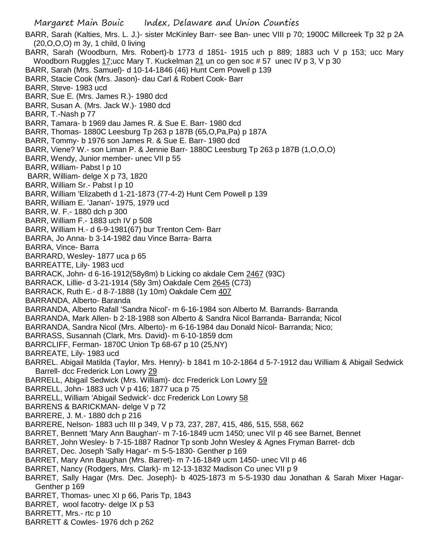Margaret Main Bouic Index, Delaware and Union Counties BARR, Sarah (Kalties, Mrs. L. J.)- sister McKinley Barr- see Ban- unec VIII p 70; 1900C Millcreek Tp 32 p 2A (20,O,O,O) m 3y, 1 child, 0 living BARR, Sarah (Woodburn, Mrs. Robert)-b 1773 d 1851- 1915 uch p 889; 1883 uch V p 153; ucc Mary Woodborn Ruggles  $17$ ; ucc Mary T. Kuckelman  $21$  un co gen soc #57 unec IV p 3, V p 30 BARR, Sarah (Mrs. Samuel)- d 10-14-1846 (46) Hunt Cem Powell p 139 BARR, Stacie Cook (Mrs. Jason)- dau Carl & Robert Cook- Barr BARR, Steve- 1983 ucd BARR, Sue E. (Mrs. James R.)- 1980 dcd BARR, Susan A. (Mrs. Jack W.)- 1980 dcd BARR, T.-Nash p 77 BARR, Tamara- b 1969 dau James R. & Sue E. Barr- 1980 dcd BARR, Thomas- 1880C Leesburg Tp 263 p 187B (65,O,Pa,Pa) p 187A BARR, Tommy- b 1976 son James R. & Sue E. Barr- 1980 dcd BARR, Viene? W.- son Liman P. & Jennie Barr- 1880C Leesburg Tp 263 p 187B (1,O,O,O) BARR, Wendy, Junior member- unec VII p 55 BARR, William- Pabst I p 10 BARR, William- delge X p 73, 1820 BARR, William Sr.- Pabst I p 10 BARR, William 'Elizabeth d 1-21-1873 (77-4-2) Hunt Cem Powell p 139 BARR, William E. 'Janan'- 1975, 1979 ucd BARR, W. F.- 1880 dch p 300 BARR, William F.- 1883 uch IV p 508 BARR, William H.- d 6-9-1981(67) bur Trenton Cem- Barr BARRA, Jo Anna- b 3-14-1982 dau Vince Barra- Barra BARRA, Vince- Barra BARRARD, Wesley- 1877 uca p 65 BARREATTE, Lily- 1983 ucd BARRACK, John- d 6-16-1912(58y8m) b Licking co akdale Cem 2467 (93C) BARRACK, Lillie- d 3-21-1914 (58y 3m) Oakdale Cem 2645 (C73) BARRACK, Ruth E.- d 8-7-1888 (1y 10m) Oakdale Cem 407 BARRANDA, Alberto- Baranda BARRANDA, Alberto Rafall 'Sandra Nicol'- m 6-16-1984 son Alberto M. Barrands- Barranda BARRANDA, Mark Allen- b 2-18-1988 son Alberto & Sandra Nicol Barranda- Barranda; Nicol BARRANDA, Sandra Nicol (Mrs. Alberto)- m 6-16-1984 dau Donald Nicol- Barranda; Nico; BARRASS, Susannah (Clark, Mrs. David)- m 6-10-1859 dcm BARRCLIFF, Ferman- 1870C Union Tp 68-67 p 10 (25,NY) BARREATE, Lily- 1983 ucd BARREL. Abigail Matilda (Taylor, Mrs. Henry)- b 1841 m 10-2-1864 d 5-7-1912 dau William & Abigail Sedwick Barrell- dcc Frederick Lon Lowry 29 BARRELL, Abigail Sedwick (Mrs. William)- dcc Frederick Lon Lowry 59 BARRELL, John- 1883 uch V p 416; 1877 uca p 75 BARRELL, William 'Abigail Sedwick'- dcc Frederick Lon Lowry 58 BARRENS & BARICKMAN- delge V p 72 BARRERE, J. M.- 1880 dch p 216 BARRERE, Nelson- 1883 uch III p 349, V p 73, 237, 287, 415, 486, 515, 558, 662 BARRET, Bennett 'Mary Ann Baughan'- m 7-16-1849 ucm 1450; unec VII p 46 see Barnet, Bennet BARRET, John Wesley- b 7-15-1887 Radnor Tp sonb John Wesley & Agnes Fryman Barret- dcb BARRET, Dec. Joseph 'Sally Hagar'- m 5-5-1830- Genther p 169 BARRET, Mary Ann Baughan (Mrs. Barret)- m 7-16-1849 ucm 1450- unec VII p 46 BARRET, Nancy (Rodgers, Mrs. Clark)- m 12-13-1832 Madison Co unec VII p 9 BARRET, Sally Hagar (Mrs. Dec. Joseph)- b 4025-1873 m 5-5-1930 dau Jonathan & Sarah Mixer Hagar-Genther p 169 BARRET, Thomas- unec XI p 66, Paris Tp, 1843 BARRET, wool facotry- delge IX p 53 BARRETT, Mrs.- rtc p 10 BARRETT & Cowles- 1976 dch p 262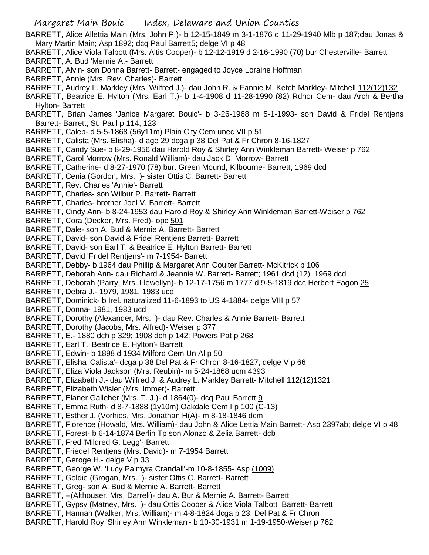- BARRETT, Alice Allettia Main (Mrs. John P.)- b 12-15-1849 m 3-1-1876 d 11-29-1940 Mlb p 187;dau Jonas & Mary Martin Main; Asp 1892; dcq Paul Barrett5; delge VI p 48
- BARRETT, Alice Viola Talbott (Mrs. Altis Cooper)- b 12-12-1919 d 2-16-1990 (70) bur Chesterville- Barrett BARRETT, A. Bud 'Mernie A.- Barrett
- BARRETT, Alvin- son Donna Barrett- Barrett- engaged to Joyce Loraine Hoffman
- BARRETT, Annie (Mrs. Rev. Charles)- Barrett
- BARRETT, Audrey L. Markley (Mrs. Wilfred J.)- dau John R. & Fannie M. Ketch Markley- Mitchell 112(12)132
- BARRETT, Beatrice E. Hylton (Mrs. Earl T.)- b 1-4-1908 d 11-28-1990 (82) Rdnor Cem- dau Arch & Bertha Hylton- Barrett
- BARRETT, Brian James 'Janice Margaret Bouic'- b 3-26-1968 m 5-1-1993- son David & Fridel Rentjens Barrett- Barrett; St. Paul p 114, 123
- BARRETT, Caleb- d 5-5-1868 (56y11m) Plain City Cem unec VII p 51
- BARRETT, Calista (Mrs. Elisha)- d age 29 dcga p 38 Del Pat & Fr Chron 8-16-1827
- BARRETT, Candy Sue- b 8-29-1956 dau Harold Roy & Shirley Ann Winkleman Barrett- Weiser p 762
- BARRETT, Carol Morrow (Mrs. Ronald William)- dau Jack D. Morrow- Barrett
- BARRETT, Catherine- d 8-27-1970 (78) bur. Green Mound, Kilbourne- Barrett; 1969 dcd
- BARRETT, Cenia (Gordon, Mrs. )- sister Ottis C. Barrett- Barrett
- BARRETT, Rev. Charles 'Annie'- Barrett
- BARRETT, Charles- son Wilbur P. Barrett- Barrett
- BARRETT, Charles- brother Joel V. Barrett- Barrett
- BARRETT, Cindy Ann- b 8-24-1953 dau Harold Roy & Shirley Ann Winkleman Barrett-Weiser p 762
- BARRETT, Cora (Decker, Mrs. Fred)- opc 501
- BARRETT, Dale- son A. Bud & Mernie A. Barrett- Barrett
- BARRETT, David- son David & Fridel Rentjens Barrett- Barrett
- BARRETT, David- son Earl T. & Beatrice E. Hylton Barrett- Barrett
- BARRETT, David 'Fridel Rentjens'- m 7-1954- Barrett
- BARRETT, Debby- b 1964 dau Phillip & Margaret Ann Coulter Barrett- McKitrick p 106
- BARRETT, Deborah Ann- dau Richard & Jeannie W. Barrett- Barrett; 1961 dcd (12). 1969 dcd
- BARRETT, Deborah (Parry, Mrs. Llewellyn)- b 12-17-1756 m 1777 d 9-5-1819 dcc Herbert Eagon 25
- BARRETT, Debra J.- 1979, 1981, 1983 ucd
- BARRETT, Dominick- b Irel. naturalized 11-6-1893 to US 4-1884- delge VIII p 57
- BARRETT, Donna- 1981, 1983 ucd
- BARRETT, Dorothy (Alexander, Mrs. )- dau Rev. Charles & Annie Barrett- Barrett
- BARRETT, Dorothy (Jacobs, Mrs. Alfred)- Weiser p 377
- BARRETT, E.- 1880 dch p 329; 1908 dch p 142; Powers Pat p 268
- BARRETT, Earl T. 'Beatrice E. Hylton'- Barrett
- BARRETT, Edwin- b 1898 d 1934 Milford Cem Un Al p 50
- BARRETT, Elisha 'Calista'- dcga p 38 Del Pat & Fr Chron 8-16-1827; delge V p 66
- BARRETT, Eliza Viola Jackson (Mrs. Reubin)- m 5-24-1868 ucm 4393
- BARRETT, Elizabeth J.- dau Wilfred J. & Audrey L. Markley Barrett- Mitchell 112(12)1321
- BARRETT, Elizabeth Wisler (Mrs. Immer)- Barrett
- BARRETT, Elaner Galleher (Mrs. T. J.)- d 1864(0)- dcq Paul Barrett 9
- BARRETT, Emma Ruth- d 8-7-1888 (1y10m) Oakdale Cem I p 100 (C-13)
- BARRETT, Esther J. (Vorhies, Mrs. Jonathan H(A)- m 8-18-1846 dcm
- BARRETT, Florence (Howald, Mrs. William)- dau John & Alice Lettia Main Barrett- Asp 2397ab; delge VI p 48
- BARRETT, Forest- b 6-14-1874 Berlin Tp son Alonzo & Zelia Barrett- dcb
- BARRETT, Fred 'Mildred G. Legg'- Barrett
- BARRETT, Friedel Rentjens (Mrs. David)- m 7-1954 Barrett
- BARRETT, Geroge H.- delge V p 33
- BARRETT, George W. 'Lucy Palmyra Crandall'-m 10-8-1855- Asp (1009)
- BARRETT, Goldie (Grogan, Mrs. )- sister Ottis C. Barrett- Barrett
- BARRETT, Greg- son A. Bud & Mernie A. Barrett- Barrett
- BARRETT, --(Althouser, Mrs. Darrell)- dau A. Bur & Mernie A. Barrett- Barrett
- BARRETT, Gypsy (Matney, Mrs. )- dau Ottis Cooper & Alice Viola Talbott Barrett- Barrett
- BARRETT, Hannah (Walker, Mrs. William)- m 4-8-1824 dcga p 23; Del Pat & Fr Chron
- BARRETT, Harold Roy 'Shirley Ann Winkleman'- b 10-30-1931 m 1-19-1950-Weiser p 762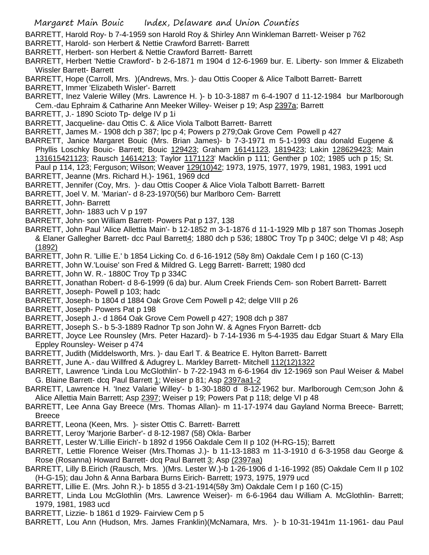- BARRETT, Harold Roy- b 7-4-1959 son Harold Roy & Shirley Ann Winkleman Barrett- Weiser p 762
- BARRETT, Harold- son Herbert & Nettie Crawford Barrett- Barrett
- BARRETT, Herbert- son Herbert & Nettie Crawford Barrett- Barrett
- BARRETT, Herbert 'Nettie Crawford'- b 2-6-1871 m 1904 d 12-6-1969 bur. E. Liberty- son Immer & Elizabeth Wissler Barrett- Barrett
- BARRETT, Hope (Carroll, Mrs. )(Andrews, Mrs. )- dau Ottis Cooper & Alice Talbott Barrett- Barrett
- BARRETT, Immer 'Elizabeth Wisler'- Barrett
- BARRETT, Inez Valerie Willey (Mrs. Lawrence H. )- b 10-3-1887 m 6-4-1907 d 11-12-1984 bur Marlborough Cem.-dau Ephraim & Catharine Ann Meeker Willey- Weiser p 19; Asp 2397a; Barrett
- BARRETT, J.- 1890 Scioto Tp- delge IV p 1i
- BARRETT, Jacqueline- dau Ottis C. & Alice Viola Talbott Barrett- Barrett
- BARRETT, James M.- 1908 dch p 387; lpc p 4; Powers p 279;Oak Grove Cem Powell p 427
- BARRETT, Janice Margaret Bouic (Mrs. Brian James)- b 7-3-1971 m 5-1-1993 dau donald Eugene & Phyllis Loschky Bouic- Barrett; Bouic 129423; Graham 16141123, 1819423; Lakin 128629423; Main 131615421123; Rausch 14614213; Taylor 1171123' Macklin p 111; Genther p 102; 1985 uch p 15; St. Paul p 114, 123; Ferguson; Wilson; Weaver 129(10)42; 1973, 1975, 1977, 1979, 1981, 1983, 1991 ucd
- BARRETT, Jeanne (Mrs. Richard H.)- 1961, 1969 dcd
- BARRETT, Jennifer (Coy, Mrs. )- dau Ottis Cooper & Alice Viola Talbott Barrett- Barrett
- BARRETT, Joel V. M. 'Marian'- d 8-23-1970(56) bur Marlboro Cem- Barrett
- BARRETT, John- Barrett
- BARRETT, John- 1883 uch V p 197
- BARRETT, John- son William Barrett- Powers Pat p 137, 138
- BARRETT, John Paul 'Alice Allettia Main'- b 12-1852 m 3-1-1876 d 11-1-1929 Mlb p 187 son Thomas Joseph & Elaner Gallegher Barrett- dcc Paul Barrett4; 1880 dch p 536; 1880C Troy Tp p 340C; delge VI p 48; Asp (1892)
- BARRETT, John R. 'Lillie E.' b 1854 Licking Co. d 6-16-1912 (58y 8m) Oakdale Cem I p 160 (C-13)
- BARRETT, John W.'Louise' son Fred & Mildred G. Legg Barrett- Barrett; 1980 dcd
- BARRETT, John W. R.- 1880C Troy Tp p 334C
- BARRETT, Jonathan Robert- d 8-6-1999 (6 da) bur. Alum Creek Friends Cem- son Robert Barrett- Barrett
- BARRETT, Joseph- Powell p 103; hadc
- BARRETT, Joseph- b 1804 d 1884 Oak Grove Cem Powell p 42; delge VIII p 26
- BARRETT, Joseph- Powers Pat p 198
- BARRETT, Joseph J.- d 1864 Oak Grove Cem Powell p 427; 1908 dch p 387
- BARRETT, Joseph S.- b 5-3-1889 Radnor Tp son John W. & Agnes Fryon Barrett- dcb
- BARRETT, Joyce Lee Rounsley (Mrs. Peter Hazard)- b 7-14-1936 m 5-4-1935 dau Edgar Stuart & Mary Ella Eppley Rounsley- Weiser p 474
- BARRETT, Judith (Middelsworth, Mrs. )- dau Earl T. & Beatrice E. Hylton Barrett- Barrett
- BARRETT, June A.- dau Willfred & Adugrey L. Markley Barrett- Mitchell 112(12)1322
- BARRETT, Lawrence 'Linda Lou McGlothlin'- b 7-22-1943 m 6-6-1964 div 12-1969 son Paul Weiser & Mabel G. Blaine Barrett- dcq Paul Barrett 1; Weiser p 81; Asp 2397aa1-2
- BARRETT, Lawrence H. 'Inez Valarie Willey'- b 1-30-1880 d 8-12-1962 bur. Marlborough Cem;son John & Alice Allettia Main Barrett; Asp 2397; Weiser p 19; Powers Pat p 118; delge VI p 48
- BARRETT, Lee Anna Gay Breece (Mrs. Thomas Allan)- m 11-17-1974 dau Gayland Norma Breece- Barrett; Breece
- BARRETT, Leona (Keen, Mrs. )- sister Ottis C. Barrett- Barrett
- BARRETT, Leroy 'Marjorie Barber'- d 8-12-1987 (58) Okla- Barber
- BARRETT, Lester W.'Lillie Eirich'- b 1892 d 1956 Oakdale Cem II p 102 (H-RG-15); Barrett
- BARRETT, Lettie Florence Weiser (Mrs.Thomas J.)- b 11-13-1883 m 11-3-1910 d 6-3-1958 dau George & Rose (Rosanna) Howard Barrett- dcq Paul Barrett 3; Asp (2397aa)
- BARRETT, Lilly B.Eirich (Rausch, Mrs. )(Mrs. Lester W.)-b 1-26-1906 d 1-16-1992 (85) Oakdale Cem II p 102 (H-G-15); dau John & Anna Barbara Burns Eirich- Barrett; 1973, 1975, 1979 ucd
- BARRETT, Lillie E. (Mrs. John R.)- b 1855 d 3-21-1914(58y 3m) Oakdale Cem I p 160 (C-15)
- BARRETT, Linda Lou McGlothlin (Mrs. Lawrence Weiser)- m 6-6-1964 dau William A. McGlothlin- Barrett; 1979, 1981, 1983 ucd
- BARRETT, Lizzie- b 1861 d 1929- Fairview Cem p 5
- BARRETT, Lou Ann (Hudson, Mrs. James Franklin)(McNamara, Mrs. )- b 10-31-1941m 11-1961- dau Paul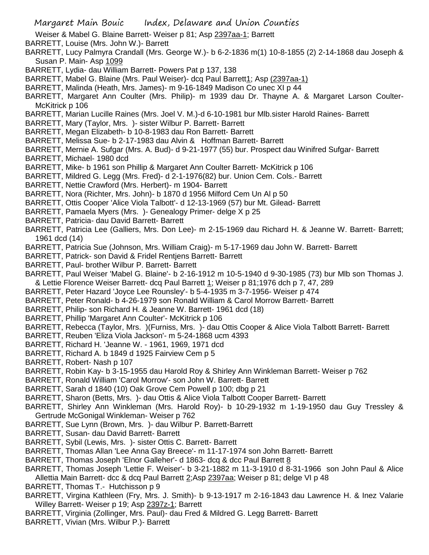- Weiser & Mabel G. Blaine Barrett- Weiser p 81; Asp 2397aa-1; Barrett
- BARRETT, Louise (Mrs. John W.)- Barrett
- BARRETT, Lucy Palmyra Crandall (Mrs. George W.)- b 6-2-1836 m(1) 10-8-1855 (2) 2-14-1868 dau Joseph & Susan P. Main- Asp 1099
- BARRETT, Lydia- dau William Barrett- Powers Pat p 137, 138
- BARRETT, Mabel G. Blaine (Mrs. Paul Weiser)- dcq Paul Barrett1; Asp (2397aa-1)
- BARRETT, Malinda (Heath, Mrs. James)- m 9-16-1849 Madison Co unec XI p 44
- BARRETT, Margaret Ann Coulter (Mrs. Philip)- m 1939 dau Dr. Thayne A. & Margaret Larson Coulter-McKitrick p 106
- BARRETT, Marian Lucille Raines (Mrs. Joel V. M.)-d 6-10-1981 bur Mlb.sister Harold Raines- Barrett
- BARRETT, Mary (Taylor, Mrs. )- sister Wilbur P. Barrett- Barrett
- BARRETT, Megan Elizabeth- b 10-8-1983 dau Ron Barrett- Barrett
- BARRETT, Melissa Sue- b 2-17-1983 dau Alvin & Hoffman Barrett- Barrett
- BARRETT, Mernie A. Sufgar (Mrs. A. Bud)- d 9-21-1977 (55) bur. Prospect dau Winifred Sufgar- Barrett
- BARRETT, Michael- 1980 dcd
- BARRETT, Mike- b 1961 son Phillip & Margaret Ann Coulter Barrett- McKitrick p 106
- BARRETT, Mildred G. Legg (Mrs. Fred)- d 2-1-1976(82) bur. Union Cem. Cols.- Barrett
- BARRETT, Nettie Crawford (Mrs. Herbert)- m 1904- Barrett
- BARRETT, Nora (Richter, Mrs. John)- b 1870 d 1956 Milford Cem Un Al p 50
- BARRETT, Ottis Cooper 'Alice Viola Talbott'- d 12-13-1969 (57) bur Mt. Gilead- Barrett
- BARRETT, Pamaela Myers (Mrs. )- Genealogy Primer- delge X p 25
- BARRETT, Patricia- dau David Barrett- Barrett
- BARRETT, Patricia Lee (Galliers, Mrs. Don Lee)- m 2-15-1969 dau Richard H. & Jeanne W. Barrett- Barrett; 1961 dcd (14)
- BARRETT, Patricia Sue (Johnson, Mrs. William Craig)- m 5-17-1969 dau John W. Barrett- Barrett
- BARRETT, Patrick- son David & Fridel Rentjens Barrett- Barrett
- BARRETT, Paul- brother Wilbur P. Barrett- Barrett
- BARRETT, Paul Weiser 'Mabel G. Blaine'- b 2-16-1912 m 10-5-1940 d 9-30-1985 (73) bur Mlb son Thomas J. & Lettie Florence Weiser Barrett- dcq Paul Barrett 1; Weiser p 81;1976 dch p 7, 47, 289
- BARRETT, Peter Hazard 'Joyce Lee Rounsley'- b 5-4-1935 m 3-7-1956- Weiser p 474
- BARRETT, Peter Ronald- b 4-26-1979 son Ronald William & Carol Morrow Barrett- Barrett
- BARRETT, Philip- son Richard H. & Jeanne W. Barrett- 1961 dcd (18)
- BARRETT, Phillip 'Margaret Ann Coulter'- McKitrick p 106
- BARRETT, Rebecca (Taylor, Mrs. )(Furniss, Mrs. )- dau Ottis Cooper & Alice Viola Talbott Barrett- Barrett
- BARRETT, Reuben 'Eliza Viola Jackson'- m 5-24-1868 ucm 4393
- BARRETT, Richard H. 'Jeanne W. 1961, 1969, 1971 dcd
- BARRETT, Richard A. b 1849 d 1925 Fairview Cem p 5
- BARRETT, Robert- Nash p 107
- BARRETT, Robin Kay- b 3-15-1955 dau Harold Roy & Shirley Ann Winkleman Barrett- Weiser p 762
- BARRETT, Ronald William 'Carol Morrow'- son John W. Barrett- Barrett
- BARRETT, Sarah d 1840 (10) Oak Grove Cem Powell p 100; dbg p 21
- BARRETT, Sharon (Betts, Mrs. )- dau Ottis & Alice Viola Talbott Cooper Barrett- Barrett
- BARRETT, Shirley Ann Winkleman (Mrs. Harold Roy)- b 10-29-1932 m 1-19-1950 dau Guy Tressley & Gertrude McGonigal Winkleman- Weiser p 762
- BARRETT, Sue Lynn (Brown, Mrs. )- dau Wilbur P. Barrett-Barrett
- BARRETT, Susan- dau David Barrett- Barrett
- BARRETT, Sybil (Lewis, Mrs. )- sister Ottis C. Barrett- Barrett
- BARRETT, Thomas Allan 'Lee Anna Gay Breece'- m 11-17-1974 son John Barrett- Barrett
- BARRETT, Thomas Joseph 'Elnor Galleher'- d 1863- dcq & dcc Paul Barrett 8
- BARRETT, Thomas Joseph 'Lettie F. Weiser'- b 3-21-1882 m 11-3-1910 d 8-31-1966 son John Paul & Alice Allettia Main Barrett- dcc & dcq Paul Barrett 2;Asp 2397aa; Weiser p 81; delge VI p 48
- BARRETT, Thomas T.- Hutchisson p 9
- BARRETT, Virgina Kathleen (Fry, Mrs. J. Smith)- b 9-13-1917 m 2-16-1843 dau Lawrence H. & Inez Valarie Willey Barrett- Weiser p 19; Asp 2397z-1; Barrett
- BARRETT, Virginia (Zollinger, Mrs. Paul)- dau Fred & Mildred G. Legg Barrett- Barrett
- BARRETT, Vivian (Mrs. Wilbur P.)- Barrett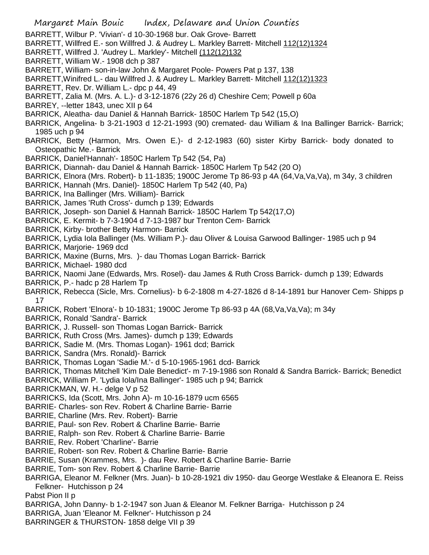- BARRETT, Wilbur P. 'Vivian'- d 10-30-1968 bur. Oak Grove- Barrett
- BARRETT, Willfred E.- son Willfred J. & Audrey L. Markley Barrett- Mitchell 112(12)1324
- BARRETT, Willfred J. 'Audrey L. Markley'- Mitchell (112(12)132
- BARRETT, William W.- 1908 dch p 387
- BARRETT, William- son-in-law John & Margaret Poole- Powers Pat p 137, 138
- BARRETT,Winifred L.- dau Willfred J. & Audrey L. Markley Barrett- Mitchell 112(12)1323
- BARRETT, Rev. Dr. William L.- dpc p 44, 49
- BARRETT, Zalia M. (Mrs. A. L.)- d 3-12-1876 (22y 26 d) Cheshire Cem; Powell p 60a
- BARREY, --letter 1843, unec XII p 64
- BARRICK, Aleatha- dau Daniel & Hannah Barrick- 1850C Harlem Tp 542 (15,O)
- BARRICK, Angelina- b 3-21-1903 d 12-21-1993 (90) cremated- dau William & Ina Ballinger Barrick- Barrick; 1985 uch p 94
- BARRICK, Betty (Harmon, Mrs. Owen E.)- d 2-12-1983 (60) sister Kirby Barrick- body donated to Osteopathic Me.- Barrick
- BARRICK, Daniel'Hannah'- 1850C Harlem Tp 542 (54, Pa)
- BARRICK, Diannah- dau Daniel & Hannah Barrick- 1850C Harlem Tp 542 (20 O)
- BARRICK, Elnora (Mrs. Robert)- b 11-1835; 1900C Jerome Tp 86-93 p 4A (64,Va,Va,Va), m 34y, 3 children
- BARRICK, Hannah (Mrs. Daniel)- 1850C Harlem Tp 542 (40, Pa)
- BARRICK, Ina Ballinger (Mrs. William)- Barrick
- BARRICK, James 'Ruth Cross'- dumch p 139; Edwards
- BARRICK, Joseph- son Daniel & Hannah Barrick- 1850C Harlem Tp 542(17,O)
- BARRICK, E. Kermit- b 7-3-1904 d 7-13-1987 bur Trenton Cem- Barrick
- BARRICK, Kirby- brother Betty Harmon- Barrick
- BARRICK, Lydia Iola Ballinger (Ms. William P.)- dau Oliver & Louisa Garwood Ballinger- 1985 uch p 94
- BARRICK, Marjorie- 1969 dcd
- BARRICK, Maxine (Burns, Mrs. )- dau Thomas Logan Barrick- Barrick
- BARRICK, Michael- 1980 dcd
- BARRICK, Naomi Jane (Edwards, Mrs. Rosel)- dau James & Ruth Cross Barrick- dumch p 139; Edwards
- BARRICK, P.- hadc p 28 Harlem Tp
- BARRICK, Rebecca (Sicle, Mrs. Cornelius)- b 6-2-1808 m 4-27-1826 d 8-14-1891 bur Hanover Cem- Shipps p 17
- BARRICK, Robert 'Elnora'- b 10-1831; 1900C Jerome Tp 86-93 p 4A (68,Va,Va,Va); m 34y
- BARRICK, Ronald 'Sandra'- Barrick
- BARRICK, J. Russell- son Thomas Logan Barrick- Barrick
- BARRICK, Ruth Cross (Mrs. James)- dumch p 139; Edwards
- BARRICK, Sadie M. (Mrs. Thomas Logan)- 1961 dcd; Barrick
- BARRICK, Sandra (Mrs. Ronald)- Barrick
- BARRICK, Thomas Logan 'Sadie M.'- d 5-10-1965-1961 dcd- Barrick
- BARRICK, Thomas Mitchell 'Kim Dale Benedict'- m 7-19-1986 son Ronald & Sandra Barrick- Barrick; Benedict
- BARRICK, William P. 'Lydia Iola/Ina Ballinger'- 1985 uch p 94; Barrick
- BARRICKMAN, W. H.- delge V p 52
- BARRICKS, Ida (Scott, Mrs. John A)- m 10-16-1879 ucm 6565
- BARRIE- Charles- son Rev. Robert & Charline Barrie- Barrie
- BARRIE, Charline (Mrs. Rev. Robert)- Barrie
- BARRIE, Paul- son Rev. Robert & Charline Barrie- Barrie
- BARRIE, Ralph- son Rev. Robert & Charline Barrie- Barrie
- BARRIE, Rev. Robert 'Charline'- Barrie
- BARRIE, Robert- son Rev. Robert & Charline Barrie- Barrie
- BARRIE, Susan (Krammes, Mrs. )- dau Rev. Robert & Charline Barrie- Barrie
- BARRIE, Tom- son Rev. Robert & Charline Barrie- Barrie
- BARRIGA, Eleanor M. Felkner (Mrs. Juan)- b 10-28-1921 div 1950- dau George Westlake & Eleanora E. Reiss Felkner- Hutchisson p 24
- Pabst Pion II p
- BARRIGA, John Danny- b 1-2-1947 son Juan & Eleanor M. Felkner Barriga- Hutchisson p 24
- BARRIGA, Juan 'Eleanor M. Felkner'- Hutchisson p 24
- BARRINGER & THURSTON- 1858 delge VII p 39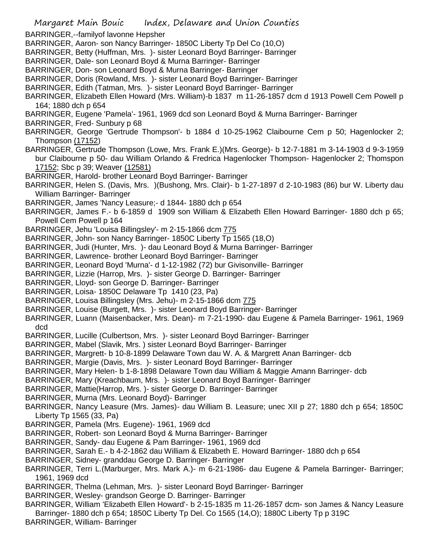Margaret Main Bouic Index, Delaware and Union Counties BARRINGER,--familyof lavonne Hepsher BARRINGER, Aaron- son Nancy Barringer- 1850C Liberty Tp Del Co (10,O) BARRINGER, Betty (Huffman, Mrs. )- sister Leonard Boyd Barringer- Barringer BARRINGER, Dale- son Leonard Boyd & Murna Barringer- Barringer BARRINGER, Don- son Leonard Boyd & Murna Barringer- Barringer BARRINGER, Doris (Rowland, Mrs. )- sister Leonard Boyd Barringer- Barringer BARRINGER, Edith (Tatman, Mrs. )- sister Leonard Boyd Barringer- Barringer BARRINGER, Elizabeth Ellen Howard (Mrs. William)-b 1837 m 11-26-1857 dcm d 1913 Powell Cem Powell p 164; 1880 dch p 654 BARRINGER, Eugene 'Pamela'- 1961, 1969 dcd son Leonard Boyd & Murna Barringer- Barringer BARRINGER, Fred- Sunbury p 68 BARRINGER, George 'Gertrude Thompson'- b 1884 d 10-25-1962 Claibourne Cem p 50; Hagenlocker 2; Thompson (17152) BARRINGER, Gertrude Thompson (Lowe, Mrs. Frank E.)(Mrs. George)- b 12-7-1881 m 3-14-1903 d 9-3-1959 bur Claibourne p 50- dau William Orlando & Fredrica Hagenlocker Thompson- Hagenlocker 2; Thomspon 17152; Sbc p 39; Weaver (12581) BARRINGER, Harold- brother Leonard Boyd Barringer- Barringer BARRINGER, Helen S. (Davis, Mrs. )(Bushong, Mrs. Clair)- b 1-27-1897 d 2-10-1983 (86) bur W. Liberty dau William Barringer- Barringer BARRINGER, James 'Nancy Leasure;- d 1844- 1880 dch p 654 BARRINGER, James F.- b 6-1859 d 1909 son William & Elizabeth Ellen Howard Barringer- 1880 dch p 65; Powell Cem Powell p 164 BARRINGER, Jehu 'Louisa Billingsley'- m 2-15-1866 dcm 775 BARRINGER, John- son Nancy Barringer- 1850C Liberty Tp 1565 (18,O) BARRINGER, Judi (Hunter, Mrs. )- dau Leonard Boyd & Murna Barringer- Barringer BARRINGER, Lawrence- brother Leonard Boyd Barringer- Barringer BARRINGER, Leonard Boyd 'Murna'- d 1-12-1982 (72) bur Givisonville- Barringer BARRINGER, Lizzie (Harrop, Mrs. )- sister George D. Barringer- Barringer BARRINGER, Lloyd- son George D. Barringer- Barringer BARRINGER, Loisa- 1850C Delaware Tp 1410 (23, Pa) BARRINGER, Louisa Billingsley (Mrs. Jehu)- m 2-15-1866 dcm 775 BARRINGER, Louise (Burgett, Mrs. )- sister Leonard Boyd Barringer- Barringer BARRINGER, Luann (Maisenbacker, Mrs. Dean)- m 7-21-1990- dau Eugene & Pamela Barringer- 1961, 1969 dcd BARRINGER, Lucille (Culbertson, Mrs. )- sister Leonard Boyd Barringer- Barringer BARRINGER, Mabel (Slavik, Mrs. ) sister Leonard Boyd Barringer- Barringer BARRINGER, Margrett- b 10-8-1899 Delaware Town dau W. A. & Margrett Anan Barringer- dcb BARRINGER, Margie (Davis, Mrs. )- sister Leonard Boyd Barringer- Barringer BARRINGER, Mary Helen- b 1-8-1898 Delaware Town dau William & Maggie Amann Barringer- dcb BARRINGER, Mary (Kreachbaum, Mrs. )- sister Leonard Boyd Barringer- Barringer BARRINGER, Mattie(Harrop, Mrs. )- sister George D. Barringer- Barringer BARRINGER, Murna (Mrs. Leonard Boyd)- Barringer BARRINGER, Nancy Leasure (Mrs. James)- dau William B. Leasure; unec XII p 27; 1880 dch p 654; 1850C Liberty Tp 1565 (33, Pa) BARRINGER, Pamela (Mrs. Eugene)- 1961, 1969 dcd BARRINGER, Robert- son Leonard Boyd & Murna Barringer- Barringer BARRINGER, Sandy- dau Eugene & Pam Barringer- 1961, 1969 dcd BARRINGER, Sarah E.- b 4-2-1862 dau William & Elizabeth E. Howard Barringer- 1880 dch p 654 BARRINGER, Sidney- granddau George D. Barringer- Barringer BARRINGER, Terri L.(Marburger, Mrs. Mark A.)- m 6-21-1986- dau Eugene & Pamela Barringer- Barringer; 1961, 1969 dcd BARRINGER, Thelma (Lehman, Mrs. )- sister Leonard Boyd Barringer- Barringer BARRINGER, Wesley- grandson George D. Barringer- Barringer BARRINGER, William 'Elizabeth Ellen Howard'- b 2-15-1835 m 11-26-1857 dcm- son James & Nancy Leasure Barringer- 1880 dch p 654; 1850C Liberty Tp Del. Co 1565 (14,O); 1880C Liberty Tp p 319C

BARRINGER, William- Barringer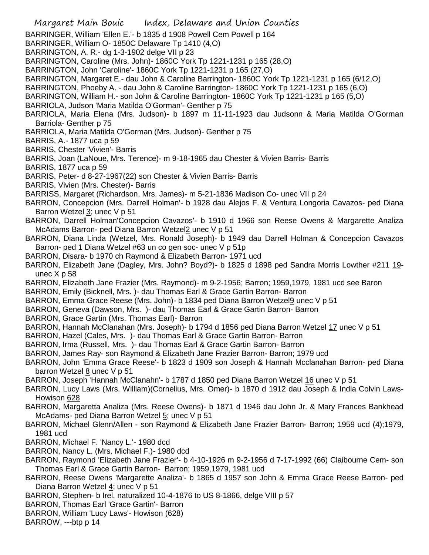- Margaret Main Bouic Index, Delaware and Union Counties BARRINGER, William 'Ellen E.'- b 1835 d 1908 Powell Cem Powell p 164 BARRINGER, William O- 1850C Delaware Tp 1410 (4,O) BARRINGTON, A. R.- dg 1-3-1902 delge VII p 23 BARRINGTON, Caroline (Mrs. John)- 1860C York Tp 1221-1231 p 165 (28,O) BARRINGTON, John 'Caroline'- 1860C York Tp 1221-1231 p 165 (27,O) BARRINGTON, Margaret E.- dau John & Caroline Barrington- 1860C York Tp 1221-1231 p 165 (6/12,O) BARRINGTON, Phoeby A. - dau John & Caroline Barrington- 1860C York Tp 1221-1231 p 165 (6,O) BARRINGTON, William H.- son John & Caroline Barrington- 1860C York Tp 1221-1231 p 165 (5,O) BARRIOLA, Judson 'Maria Matilda O'Gorman'- Genther p 75 BARRIOLA, Maria Elena (Mrs. Judson)- b 1897 m 11-11-1923 dau Judsonn & Maria Matilda O'Gorman Barriola- Genther p 75 BARRIOLA, Maria Matilda O'Gorman (Mrs. Judson)- Genther p 75 BARRIS, A.- 1877 uca p 59 BARRIS, Chester 'Vivien'- Barris BARRIS, Joan (LaNoue, Mrs. Terence)- m 9-18-1965 dau Chester & Vivien Barris- Barris BARRIS, 1877 uca p 59 BARRIS, Peter- d 8-27-1967(22) son Chester & Vivien Barris- Barris BARRIS, Vivien (Mrs. Chester)- Barris BARRISS, Margaret (Richardson, Mrs. James)- m 5-21-1836 Madison Co- unec VII p 24 BARRON, Concepcion (Mrs. Darrell Holman'- b 1928 dau Alejos F. & Ventura Longoria Cavazos- ped Diana Barron Wetzel 3; unec V p 51 BARRON, Darrell Holman'Concepcion Cavazos'- b 1910 d 1966 son Reese Owens & Margarette Analiza McAdams Barron- ped Diana Barron Wetzel2 unec V p 51 BARRON, Diana Linda (Wetzel, Mrs. Ronald Joseph)- b 1949 dau Darrell Holman & Concepcion Cavazos Barron- ped 1 Diana Wetzel #63 un co gen soc- unec V p 51p BARRON, Disara- b 1970 ch Raymond & Elizabeth Barron- 1971 ucd BARRON, Elizabeth Jane (Dagley, Mrs. John? Boyd?)- b 1825 d 1898 ped Sandra Morris Lowther #211 19unec X p 58 BARRON, Elizabeth Jane Frazier (Mrs. Raymond)- m 9-2-1956; Barron; 1959,1979, 1981 ucd see Baron BARRON, Emily (Bicknell, Mrs. )- dau Thomas Earl & Grace Gartin Barron- Barron BARRON, Emma Grace Reese (Mrs. John)- b 1834 ped Diana Barron Wetzel<sub>9</sub> unec V p 51 BARRON, Geneva (Dawson, Mrs. )- dau Thomas Earl & Grace Gartin Barron- Barron BARRON, Grace Gartin (Mrs. Thomas Earl)- Barron BARRON, Hannah McClanahan (Mrs. Joseph)- b 1794 d 1856 ped Diana Barron Wetzel 17 unec V p 51 BARRON, Hazel (Cales, Mrs. )- dau Thomas Earl & Grace Gartin Barron- Barron BARRON, Irma (Russell, Mrs. )- dau Thomas Earl & Grace Gartin Barron- Barron BARRON, James Ray- son Raymond & Elizabeth Jane Frazier Barron- Barron; 1979 ucd BARRON, John 'Emma Grace Reese'- b 1823 d 1909 son Joseph & Hannah Mcclanahan Barron- ped Diana barron Wetzel 8 unec V p 51 BARRON, Joseph 'Hannah McClanahn'- b 1787 d 1850 ped Diana Barron Wetzel 16 unec V p 51 BARRON, Lucy Laws (Mrs. William)(Cornelius, Mrs. Omer)- b 1870 d 1912 dau Joseph & India Colvin Laws-Howison 628 BARRON, Margaretta Analiza (Mrs. Reese Owens)- b 1871 d 1946 dau John Jr. & Mary Frances Bankhead McAdams- ped Diana Barron Wetzel 5; unec V p 51
- BARRON, Michael Glenn/Allen son Raymond & Elizabeth Jane Frazier Barron- Barron; 1959 ucd (4);1979, 1981 ucd
- BARRON, Michael F. 'Nancy L.'- 1980 dcd
- BARRON, Nancy L. (Mrs. Michael F.)- 1980 dcd
- BARRON, Raymond 'Elizabeth Jane Frazier'- b 4-10-1926 m 9-2-1956 d 7-17-1992 (66) Claibourne Cem- son Thomas Earl & Grace Gartin Barron- Barron; 1959,1979, 1981 ucd
- BARRON, Reese Owens 'Margarette Analiza'- b 1865 d 1957 son John & Emma Grace Reese Barron- ped Diana Barron Wetzel 4; unec V p 51
- BARRON, Stephen- b Irel. naturalized 10-4-1876 to US 8-1866, delge VIII p 57
- BARRON, Thomas Earl 'Grace Gartin'- Barron
- BARRON, William 'Lucy Laws'- Howison (628)
- BARROW, ---btp p 14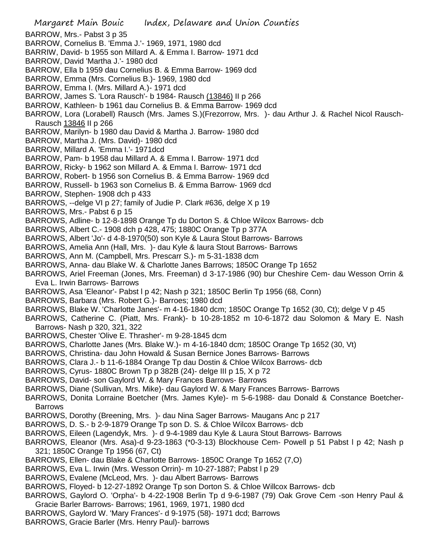- Margaret Main Bouic Index, Delaware and Union Counties BARROW, Mrs.- Pabst 3 p 35 BARROW, Cornelius B. 'Emma J.'- 1969, 1971, 1980 dcd BARRIW, David- b 1955 son Millard A. & Emma I. Barrow- 1971 dcd BARROW, David 'Martha J.'- 1980 dcd BARROW, Ella b 1959 dau Cornelius B. & Emma Barrow- 1969 dcd BARROW, Emma (Mrs. Cornelius B.)- 1969, 1980 dcd BARROW, Emma I. (Mrs. Millard A.)- 1971 dcd BARROW, James S. 'Lora Rausch'- b 1984- Rausch (13846) II p 266 BARROW, Kathleen- b 1961 dau Cornelius B. & Emma Barrow- 1969 dcd BARROW, Lora (Lorabell) Rausch (Mrs. James S.)(Frezorrow, Mrs. )- dau Arthur J. & Rachel Nicol Rausch-Rausch 13846 II p 266 BARROW, Marilyn- b 1980 dau David & Martha J. Barrow- 1980 dcd BARROW, Martha J. (Mrs. David)- 1980 dcd BARROW, Millard A. 'Emma I.'- 1971dcd BARROW, Pam- b 1958 dau Millard A. & Emma I. Barrow- 1971 dcd BARROW, Ricky- b 1962 son Millard A. & Emma I. Barrow- 1971 dcd BARROW, Robert- b 1956 son Cornelius B. & Emma Barrow- 1969 dcd BARROW, Russell- b 1963 son Cornelius B. & Emma Barrow- 1969 dcd BARROW, Stephen- 1908 dch p 433 BARROWS, --delge VI p 27; family of Judie P. Clark #636, delge X p 19 BARROWS, Mrs.- Pabst 6 p 15 BARROWS, Adline- b 12-8-1898 Orange Tp du Dorton S. & Chloe Wilcox Barrows- dcb BARROWS, Albert C.- 1908 dch p 428, 475; 1880C Orange Tp p 377A BARROWS, Albert 'Jo'- d 4-8-1970(50) son Kyle & Laura Stout Barrows- Barrows BARROWS, Amelia Ann (Hall, Mrs. )- dau Kyle & laura Stout Barrows- Barrows BARROWS, Ann M. (Campbell, Mrs. Prescarr S.)- m 5-31-1838 dcm BARROWS, Anna- dau Blake W. & Charlotte Janes Barrows; 1850C Orange Tp 1652 BARROWS, Ariel Freeman (Jones, Mrs. Freeman) d 3-17-1986 (90) bur Cheshire Cem- dau Wesson Orrin & Eva L. Irwin Barrows- Barrows BARROWS, Asa 'Eleanor'- Pabst l p 42; Nash p 321; 1850C Berlin Tp 1956 (68, Conn) BARROWS, Barbara (Mrs. Robert G.)- Barroes; 1980 dcd BARROWS, Blake W. 'Charlotte Janes'- m 4-16-1840 dcm; 1850C Orange Tp 1652 (30, Ct); delge V p 45 BARROWS, Catherine C. (Piatt, Mrs. Frank)- b 10-28-1852 m 10-6-1872 dau Solomon & Mary E. Nash Barrows- Nash p 320, 321, 322 BARROWS, Chester 'Olive E. Thrasher'- m 9-28-1845 dcm BARROWS, Charlotte Janes (Mrs. Blake W.)- m 4-16-1840 dcm; 1850C Orange Tp 1652 (30, Vt) BARROWS, Christina- dau John Howald & Susan Bernice Jones Barrows- Barrows BARROWS, Clara J.- b 11-6-1884 Orange Tp dau Dostin & Chloe Wilcox Barrows- dcb BARROWS, Cyrus- 1880C Brown Tp p 382B (24)- delge III p 15, X p 72 BARROWS, David- son Gaylord W. & Mary Frances Barrows- Barrows BARROWS, Diane (Sullivan, Mrs. Mike)- dau Gaylord W. & Mary Frances Barrows- Barrows BARROWS, Donita Lorraine Boetcher (Mrs. James Kyle)- m 5-6-1988- dau Donald & Constance Boetcher-Barrows BARROWS, Dorothy (Breening, Mrs. )- dau Nina Sager Barrows- Maugans Anc p 217 BARROWS, D. S.- b 2-9-1879 Orange Tp son D. S. & Chloe Wilcox Barrows- dcb BARROWS, Eileen (Lagendyk, Mrs. )- d 9-4-1989 dau Kyle & Laura Stout Barrows- Barrows BARROWS, Eleanor (Mrs. Asa)-d 9-23-1863 (\*0-3-13) Blockhouse Cem- Powell p 51 Pabst l p 42; Nash p 321; 1850C Orange Tp 1956 (67, Ct) BARROWS, Ellen- dau Blake & Charlotte Barrows- 1850C Orange Tp 1652 (7,O) BARROWS, Eva L. Irwin (Mrs. Wesson Orrin)- m 10-27-1887; Pabst l p 29 BARROWS, Evalene (McLeod, Mrs. )- dau Albert Barrows- Barrows BARROWS, Floyed- b 12-27-1892 Orange Tp son Dorton S. & Chloe Willcox Barrows- dcb BARROWS, Gaylord O. 'Orpha'- b 4-22-1908 Berlin Tp d 9-6-1987 (79) Oak Grove Cem -son Henry Paul & Gracie Barler Barrows- Barrows; 1961, 1969, 1971, 1980 dcd BARROWS, Gaylord W. 'Mary Frances'- d 9-1975 (58)- 1971 dcd; Barrows
- BARROWS, Gracie Barler (Mrs. Henry Paul)- barrows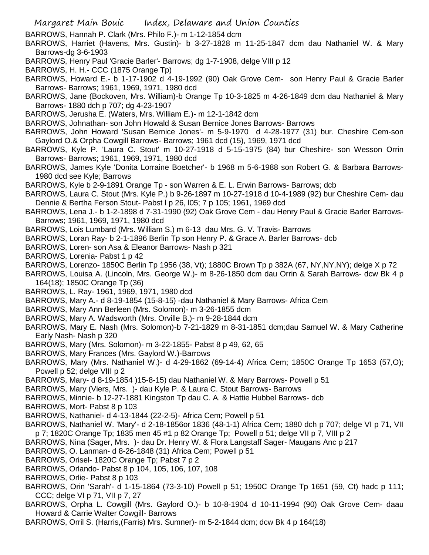BARROWS, Hannah P. Clark (Mrs. Philo F.)- m 1-12-1854 dcm

- BARROWS, Harriet (Havens, Mrs. Gustin)- b 3-27-1828 m 11-25-1847 dcm dau Nathaniel W. & Mary Barrows-dg 3-6-1903
- BARROWS, Henry Paul 'Gracie Barler'- Barrows; dg 1-7-1908, delge VIII p 12
- BARROWS, H. H.- CCC (1875 Orange Tp)
- BARROWS, Howard E.- b 1-17-1902 d 4-19-1992 (90) Oak Grove Cem- son Henry Paul & Gracie Barler Barrows- Barrows; 1961, 1969, 1971, 1980 dcd
- BARROWS, Jane (Bockoven, Mrs. William)-b Orange Tp 10-3-1825 m 4-26-1849 dcm dau Nathaniel & Mary Barrows- 1880 dch p 707; dg 4-23-1907
- BARROWS, Jerusha E. (Waters, Mrs. William E.)- m 12-1-1842 dcm
- BARROWS, Johnathan- son John Howald & Susan Bernice Jones Barrows- Barrows
- BARROWS, John Howard 'Susan Bernice Jones'- m 5-9-1970 d 4-28-1977 (31) bur. Cheshire Cem-son Gaylord O.& Orpha Cowgill Barrows- Barrows; 1961 dcd (15), 1969, 1971 dcd
- BARROWS, Kyle P. 'Laura C. Stout' m 10-27-1918 d 5-15-1975 (84) bur Cheshire- son Wesson Orrin Barrows- Barrows; 1961, 1969, 1971, 1980 dcd
- BARROWS, James Kyle 'Donita Lorraine Boetcher'- b 1968 m 5-6-1988 son Robert G. & Barbara Barrows-1980 dcd see Kyle; Barrows
- BARROWS, Kyle b 2-9-1891 Orange Tp son Warren & E. L. Erwin Barrows- Barrows; dcb
- BARROWS, Laura C. Stout (Mrs. Kyle P.) b 9-26-1897 m 10-27-1918 d 10-4-1989 (92) bur Cheshire Cem- dau Dennie & Bertha Ferson Stout- Pabst l p 26, l05; 7 p 105; 1961, 1969 dcd
- BARROWS, Lena J.- b 1-2-1898 d 7-31-1990 (92) Oak Grove Cem dau Henry Paul & Gracie Barler Barrows-Barrows; 1961, 1969, 1971, 1980 dcd
- BARROWS, Lois Lumbard (Mrs. William S.) m 6-13 dau Mrs. G. V. Travis- Barrows
- BARROWS, Loran Ray- b 2-1-1896 Berlin Tp son Henry P. & Grace A. Barler Barrows- dcb
- BARROWS, Loren- son Asa & Eleanor Barrows- Nash p 321
- BARROWS, Lorenia- Pabst 1 p 42
- BARROWS, Lorenzo- 1850C Berlin Tp 1956 (38, Vt); 1880C Brown Tp p 382A (67, NY,NY,NY); delge X p 72
- BARROWS, Louisa A. (Lincoln, Mrs. George W.)- m 8-26-1850 dcm dau Orrin & Sarah Barrows- dcw Bk 4 p 164(18); 1850C Orange Tp (36)
- BARROWS, L. Ray- 1961, 1969, 1971, 1980 dcd
- BARROWS, Mary A.- d 8-19-1854 (15-8-15) -dau Nathaniel & Mary Barrows- Africa Cem
- BARROWS, Mary Ann Berleen (Mrs. Solomon)- m 3-26-1855 dcm
- BARROWS, Mary A. Wadsworth (Mrs. Orville B.)- m 9-28-1844 dcm
- BARROWS, Mary E. Nash (Mrs. Solomon)-b 7-21-1829 m 8-31-1851 dcm;dau Samuel W. & Mary Catherine Early Nash- Nash p 320
- BARROWS, Mary (Mrs. Solomon)- m 3-22-1855- Pabst 8 p 49, 62, 65
- BARROWS, Mary Frances (Mrs. Gaylord W.)-Barrows
- BARROWS, Mary (Mrs. Nathaniel W.)- d 4-29-1862 (69-14-4) Africa Cem; 1850C Orange Tp 1653 (57,O); Powell p 52; delge VIII p 2
- BARROWS, Mary- d 8-19-1854 )15-8-15) dau Nathaniel W. & Mary Barrows- Powell p 51
- BARROWS, Mary (Viers, Mrs. )- dau Kyle P. & Laura C. Stout Barrows- Barrows
- BARROWS, Minnie- b 12-27-1881 Kingston Tp dau C. A. & Hattie Hubbel Barrows- dcb
- BARROWS, Mort- Pabst 8 p 103
- BARROWS, Nathaniel- d 4-13-1844 (22-2-5)- Africa Cem; Powell p 51
- BARROWS, Nathaniel W. 'Mary'- d 2-18-1856or 1836 (48-1-1) Africa Cem; 1880 dch p 707; delge VI p 71, VII p 7; 1820C Orange Tp; 1835 men 45 #1 p 82 Orange Tp; Powell p 51; delge VII p 7, VIII p 2
- BARROWS, Nina (Sager, Mrs. )- dau Dr. Henry W. & Flora Langstaff Sager- Maugans Anc p 217
- BARROWS, O. Lanman- d 8-26-1848 (31) Africa Cem; Powell p 51
- BARROWS, Orisel- 1820C Orange Tp; Pabst 7 p 2
- BARROWS, Orlando- Pabst 8 p 104, 105, 106, 107, 108
- BARROWS, Orlie- Pabst 8 p 103
- BARROWS, Orin 'Sarah'- d 1-15-1864 (73-3-10) Powell p 51; 1950C Orange Tp 1651 (59, Ct) hadc p 111; CCC; delge VI p 71, VII p 7, 27
- BARROWS, Orpha L. Cowgill (Mrs. Gaylord O.)- b 10-8-1904 d 10-11-1994 (90) Oak Grove Cem- daau Howard & Carrie Walter Cowgill- Barrows
- BARROWS, Orril S. (Harris,(Farris) Mrs. Sumner)- m 5-2-1844 dcm; dcw Bk 4 p 164(18)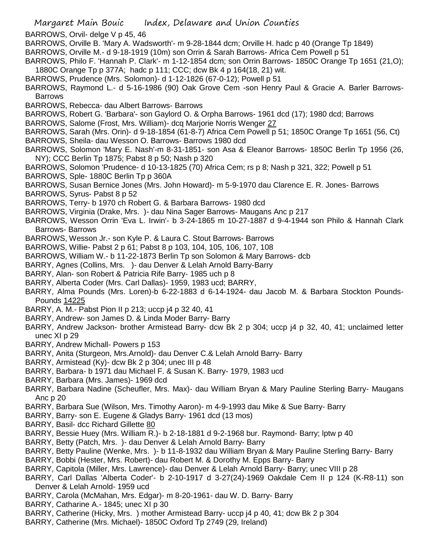- BARROWS, Orvil- delge V p 45, 46
- BARROWS, Orville B. 'Mary A. Wadsworth'- m 9-28-1844 dcm; Orville H. hadc p 40 (Orange Tp 1849)
- BARROWS, Orville M.- d 9-18-1919 (10m) son Orrin & Sarah Barrows- Africa Cem Powell p 51
- BARROWS, Philo F. 'Hannah P. Clark'- m 1-12-1854 dcm; son Orrin Barrows- 1850C Orange Tp 1651 (21,O); 1880C Orange Tp p 377A; hadc p 111; CCC; dcw Bk 4 p 164(18, 21) wit.
- BARROWS, Prudence (Mrs. Solomon)- d 1-12-1826 (67-0-12); Powell p 51
- BARROWS, Raymond L.- d 5-16-1986 (90) Oak Grove Cem -son Henry Paul & Gracie A. Barler Barrows-Barrows
- BARROWS, Rebecca- dau Albert Barrows- Barrows
- BARROWS, Robert G. 'Barbara'- son Gaylord O. & Orpha Barrows- 1961 dcd (17); 1980 dcd; Barrows
- BARROWS, Salome (Frost, Mrs. William)- dcq Marjorie Norris Wenger 27
- BARROWS, Sarah (Mrs. Orin)- d 9-18-1854 (61-8-7) Africa Cem Powell p 51; 1850C Orange Tp 1651 (56, Ct)
- BARROWS, Sheila- dau Wesson O. Barrows- Barrows 1980 dcd
- BARROWS, Solomon 'Mary E. Nash'-m 8-31-1851- son Asa & Eleanor Barrows- 1850C Berlin Tp 1956 (26, NY); CCC Berlin Tp 1875; Pabst 8 p 50; Nash p 320
- BARROWS, Solomon 'Prudence- d 10-13-1825 (70) Africa Cem; rs p 8; Nash p 321, 322; Powell p 51
- BARROWS, Sple- 1880C Berlin Tp p 360A
- BARROWS, Susan Bernice Jones (Mrs. John Howard)- m 5-9-1970 dau Clarence E. R. Jones- Barrows
- BARROWS, Syrus- Pabst 8 p 52
- BARROWS, Terry- b 1970 ch Robert G. & Barbara Barrows- 1980 dcd
- BARROWS, Virginia (Drake, Mrs. )- dau Nina Sager Barrows- Maugans Anc p 217
- BARROWS, Wesson Orrin 'Eva L. Irwin'- b 3-24-1865 m 10-27-1887 d 9-4-1944 son Philo & Hannah Clark Barrows- Barrows
- BARROWS, Wesson Jr.- son Kyle P. & Laura C. Stout Barrows- Barrows
- BARROWS, Willie- Pabst 2 p 61; Pabst 8 p 103, 104, 105, 106, 107, 108
- BARROWS, William W.- b 11-22-1873 Berlin Tp son Solomon & Mary Barrows- dcb
- BARRY, Agnes (Collins, Mrs. )- dau Denver & Lelah Arnold Barry-Barry
- BARRY, Alan- son Robert & Patricia Rife Barry- 1985 uch p 8
- BARRY, Alberta Coder (Mrs. Carl Dallas)- 1959, 1983 ucd; BARRY,
- BARRY, Alma Pounds (Mrs. Loren)-b 6-22-1883 d 6-14-1924- dau Jacob M. & Barbara Stockton Pounds-Pounds 14225
- BARRY, A. M.- Pabst Pion II p 213; uccp j4 p 32 40, 41
- BARRY, Andrew- son James D. & Linda Moder Barry- Barry
- BARRY, Andrew Jackson- brother Armistead Barry- dcw Bk 2 p 304; uccp j4 p 32, 40, 41; unclaimed letter unec XI p 29
- BARRY, Andrew Michall- Powers p 153
- BARRY, Anita (Sturgeon, Mrs.Arnold)- dau Denver C.& Lelah Arnold Barry- Barry
- BARRY, Armistead (Ky)- dcw Bk 2 p 304; unec III p 48
- BARRY, Barbara- b 1971 dau Michael F. & Susan K. Barry- 1979, 1983 ucd
- BARRY, Barbara (Mrs. James)- 1969 dcd
- BARRY, Barbara Nadine (Scheufler, Mrs. Max)- dau William Bryan & Mary Pauline Sterling Barry- Maugans Anc p 20
- BARRY, Barbara Sue (Wilson, Mrs. Timothy Aaron)- m 4-9-1993 dau Mike & Sue Barry- Barry
- BARRY, Barry- son E. Eugene & Gladys Barry- 1961 dcd (13 mos)
- BARRY, Basil- dcc Richard Gillette 80
- BARRY, Bessie Huey (Mrs. William R.)- b 2-18-1881 d 9-2-1968 bur. Raymond- Barry; lptw p 40
- BARRY, Betty (Patch, Mrs. )- dau Denver & Lelah Arnold Barry- Barry
- BARRY, Betty Pauline (Wenke, Mrs. )- b 11-8-1932 dau William Bryan & Mary Pauline Sterling Barry- Barry
- BARRY, Bobbi (Hester, Mrs. Robert)- dau Robert M. & Dorothy M. Epps Barry- Barry
- BARRY, Capitola (Miller, Mrs. Lawrence)- dau Denver & Lelah Arnold Barry- Barry; unec VIII p 28
- BARRY, Carl Dallas 'Alberta Coder'- b 2-10-1917 d 3-27(24)-1969 Oakdale Cem II p 124 (K-R8-11) son Denver & Lelah Arnold- 1959 ucd
- BARRY, Carola (McMahan, Mrs. Edgar)- m 8-20-1961- dau W. D. Barry- Barry
- BARRY, Catharine A.- 1845; unec XI p 30
- BARRY, Catherine (Hicky, Mrs. ) mother Armistead Barry- uccp j4 p 40, 41; dcw Bk 2 p 304
- BARRY, Catherine (Mrs. Michael)- 1850C Oxford Tp 2749 (29, Ireland)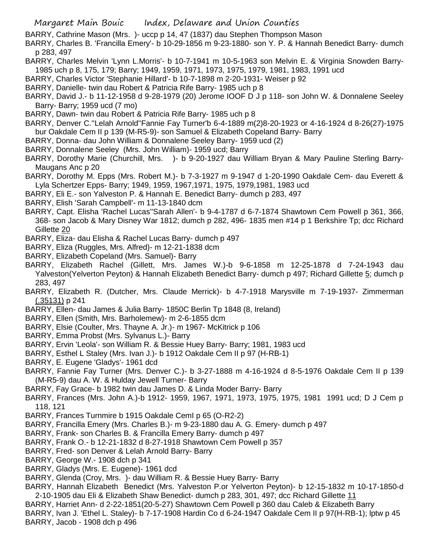- BARRY, Cathrine Mason (Mrs. )- uccp p 14, 47 (1837) dau Stephen Thompson Mason
- BARRY, Charles B. 'Francilla Emery'- b 10-29-1856 m 9-23-1880- son Y. P. & Hannah Benedict Barry- dumch p 283, 497
- BARRY, Charles Melvin 'Lynn L.Morris'- b 10-7-1941 m 10-5-1963 son Melvin E. & Virginia Snowden Barry-1985 uch p 8, 175, 179; Barry; 1949, 1959, 1971, 1973, 1975, 1979, 1981, 1983, 1991 ucd
- BARRY, Charles Victor 'Stephanie Hillard'- b 10-7-1898 m 2-20-1931- Weiser p 92
- BARRY, Danielle- twin dau Robert & Patricia Rife Barry- 1985 uch p 8
- BARRY, David J.- b 11-12-1958 d 9-28-1979 (20) Jerome IOOF D J p 118- son John W. & Donnalene Seeley Barry- Barry; 1959 ucd (7 mo)
- BARRY, Dawn- twin dau Robert & Patricia Rife Barry- 1985 uch p 8
- BARRY, Denver C.''Lelah Arnold''Fannie Fay Turner'b 6-4-1889 m(2)8-20-1923 or 4-16-1924 d 8-26(27)-1975 bur Oakdale Cem II p 139 (M-R5-9)- son Samuel & Elizabeth Copeland Barry- Barry
- BARRY, Donna- dau John William & Donnalene Seeley Barry- 1959 ucd (2)
- BARRY, Donnalene Seeley (Mrs. John William)- 1959 ucd; Barry
- BARRY, Dorothy Marie (Churchill, Mrs. )- b 9-20-1927 dau William Bryan & Mary Pauline Sterling Barry-Maugans Anc p 20
- BARRY, Dorothy M. Epps (Mrs. Robert M.)- b 7-3-1927 m 9-1947 d 1-20-1990 Oakdale Cem- dau Everett & Lyla Schertzer Epps- Barry; 1949, 1959, 1967,1971, 1975, 1979,1981, 1983 ucd
- BARRY, Eli E.- son Yalveston P. & Hannah E. Benedict Barry- dumch p 283, 497
- BARRY, Elish 'Sarah Campbell'- m 11-13-1840 dcm
- BARRY, Capt. Elisha 'Rachel Lucas''Sarah Allen'- b 9-4-1787 d 6-7-1874 Shawtown Cem Powell p 361, 366, 368- son Jacob & Mary Disney War 1812; dumch p 282, 496- 1835 men #14 p 1 Berkshire Tp; dcc Richard Gillette 20
- BARRY, Eliza- dau Elisha & Rachel Lucas Barry- dumch p 497
- BARRY, Eliza (Ruggles, Mrs. Alfred)- m 12-21-1838 dcm
- BARRY, Elizabeth Copeland (Mrs. Samuel)- Barry
- BARRY, Elizabeth Rachel (Gillett, Mrs. James W.)-b 9-6-1858 m 12-25-1878 d 7-24-1943 dau Yalveston(Yelverton Peyton) & Hannah Elizabeth Benedict Barry- dumch p 497; Richard Gillette 5; dumch p 283, 497
- BARRY, Elizabeth R. (Dutcher, Mrs. Claude Merrick)- b 4-7-1918 Marysville m 7-19-1937- Zimmerman (.35131) p 241
- BARRY, Ellen- dau James & Julia Barry- 1850C Berlin Tp 1848 (8, Ireland)
- BARRY, Ellen (Smith, Mrs. Barholemew)- m 2-6-1855 dcm
- BARRY, Elsie (Coulter, Mrs. Thayne A. Jr.)- m 1967- McKitrick p 106
- BARRY, Emma Probst (Mrs. Sylvanus L.)- Barry
- BARRY, Ervin 'Leola'- son William R. & Bessie Huey Barry- Barry; 1981, 1983 ucd
- BARRY, Esthel L Staley (Mrs. Ivan J.)- b 1912 Oakdale Cem II p 97 (H-RB-1)
- BARRY, E. Eugene 'Gladys'- 1961 dcd
- BARRY, Fannie Fay Turner (Mrs. Denver C.)- b 3-27-1888 m 4-16-1924 d 8-5-1976 Oakdale Cem II p 139 (M-R5-9) dau A. W. & Hulday Jewell Turner- Barry
- BARRY, Fay Grace- b 1982 twin dau James D. & Linda Moder Barry- Barry
- BARRY, Frances (Mrs. John A.)-b 1912- 1959, 1967, 1971, 1973, 1975, 1975, 1981 1991 ucd; D J Cem p 118, 121
- BARRY, Frances Turnmire b 1915 Oakdale CemI p 65 (O-R2-2)
- BARRY, Francilla Emery (Mrs. Charles B.)- m 9-23-1880 dau A. G. Emery- dumch p 497
- BARRY, Frank- son Charles B. & Francilla Emery Barry- dumch p 497
- BARRY, Frank O.- b 12-21-1832 d 8-27-1918 Shawtown Cem Powell p 357
- BARRY, Fred- son Denver & Lelah Arnold Barry- Barry
- BARRY, George W.- 1908 dch p 341
- BARRY, Gladys (Mrs. E. Eugene)- 1961 dcd
- BARRY, Glenda (Croy, Mrs. )- dau William R. & Bessie Huey Barry- Barry
- BARRY, Hannah Elizabeth Benedict (Mrs. Yalveston P.or Yelverton Peyton)- b 12-15-1832 m 10-17-1850-d 2-10-1905 dau Eli & Elizabeth Shaw Benedict- dumch p 283, 301, 497; dcc Richard Gillette 11
- BARRY, Harriet Ann- d 2-22-1851(20-5-27) Shawtown Cem Powell p 360 dau Caleb & Elizabeth Barry
- BARRY, Ivan J. 'Ethel L. Staley)- b 7-17-1908 Hardin Co d 6-24-1947 Oakdale Cem II p 97(H-RB-1); lptw p 45 BARRY, Jacob - 1908 dch p 496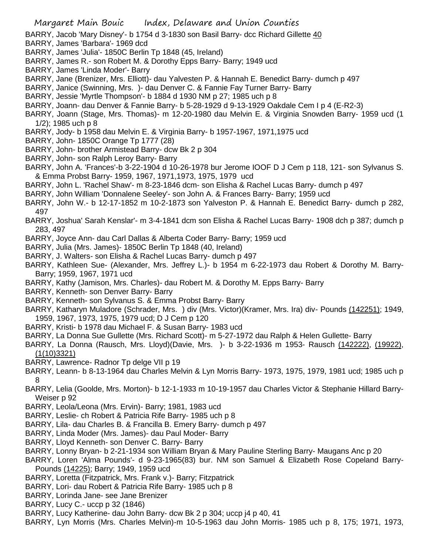- BARRY, Jacob 'Mary Disney'- b 1754 d 3-1830 son Basil Barry- dcc Richard Gillette 40
- BARRY, James 'Barbara'- 1969 dcd
- BARRY, James 'Julia'- 1850C Berlin Tp 1848 (45, Ireland)
- BARRY, James R.- son Robert M. & Dorothy Epps Barry- Barry; 1949 ucd
- BARRY, James 'Linda Moder'- Barry
- BARRY, Jane (Brenizer, Mrs. Elliott)- dau Yalvesten P. & Hannah E. Benedict Barry- dumch p 497
- BARRY, Janice (Swinning, Mrs. )- dau Denver C. & Fannie Fay Turner Barry- Barry
- BARRY, Jessie 'Myrtle Thompson'- b 1884 d 1930 NM p 27; 1985 uch p 8
- BARRY, Joann- dau Denver & Fannie Barry- b 5-28-1929 d 9-13-1929 Oakdale Cem I p 4 (E-R2-3)
- BARRY, Joann (Stage, Mrs. Thomas)- m 12-20-1980 dau Melvin E. & Virginia Snowden Barry- 1959 ucd (1 1/2); 1985 uch p 8
- BARRY, Jody- b 1958 dau Melvin E. & Virginia Barry- b 1957-1967, 1971,1975 ucd
- BARRY, John- 1850C Orange Tp 1777 (28)
- BARRY, John- brother Armistead Barry- dcw Bk 2 p 304
- BARRY, John- son Ralph Leroy Barry- Barry
- BARRY, John A. 'Frances'-b 3-22-1904 d 10-26-1978 bur Jerome IOOF D J Cem p 118, 121- son Sylvanus S. & Emma Probst Barry- 1959, 1967, 1971,1973, 1975, 1979 ucd
- BARRY, John L. 'Rachel Shaw'- m 8-23-1846 dcm- son Elisha & Rachel Lucas Barry- dumch p 497
- BARRY, John William 'Donnalene Seeley'- son John A. & Frances Barry- Barry; 1959 ucd
- BARRY, John W.- b 12-17-1852 m 10-2-1873 son Yalveston P. & Hannah E. Benedict Barry- dumch p 282, 497
- BARRY, Joshua' Sarah Kenslar'- m 3-4-1841 dcm son Elisha & Rachel Lucas Barry- 1908 dch p 387; dumch p 283, 497
- BARRY, Joyce Ann- dau Carl Dallas & Alberta Coder Barry- Barry; 1959 ucd
- BARRY, Julia (Mrs. James)- 1850C Berlin Tp 1848 (40, Ireland)
- BARRY, J. Walters- son Elisha & Rachel Lucas Barry- dumch p 497
- BARRY, Kathleen Sue- (Alexander, Mrs. Jeffrey L.)- b 1954 m 6-22-1973 dau Robert & Dorothy M. Barry-Barry; 1959, 1967, 1971 ucd
- BARRY, Kathy (Jamison, Mrs. Charles)- dau Robert M. & Dorothy M. Epps Barry- Barry
- BARRY, Kenneth- son Denver Barry- Barry
- BARRY, Kenneth- son Sylvanus S. & Emma Probst Barry- Barry
- BARRY, Katharyn Muladore (Schrader, Mrs. ) div (Mrs. Victor)(Kramer, Mrs. Ira) div- Pounds (142251); 1949, 1959, 1967, 1973, 1975, 1979 ucd; D J Cem p 120
- BARRY, Kristi- b 1978 dau Michael F. & Susan Barry- 1983 ucd
- BARRY, La Donna Sue Gullette (Mrs. Richard Scott)- m 5-27-1972 dau Ralph & Helen Gullette- Barry
- BARRY, La Donna (Rausch, Mrs. Lloyd)(Davie, Mrs. )- b 3-22-1936 m 1953- Rausch (142222), (19922), (1(10)3321)
- BARRY, Lawrence- Radnor Tp delge VII p 19
- BARRY, Leann- b 8-13-1964 dau Charles Melvin & Lyn Morris Barry- 1973, 1975, 1979, 1981 ucd; 1985 uch p 8
- BARRY, Lelia (Goolde, Mrs. Morton)- b 12-1-1933 m 10-19-1957 dau Charles Victor & Stephanie Hillard Barry-Weiser p 92
- BARRY, Leola/Leona (Mrs. Ervin)- Barry; 1981, 1983 ucd
- BARRY, Leslie- ch Robert & Patricia Rife Barry- 1985 uch p 8
- BARRY, Lila- dau Charles B. & Francilla B. Emery Barry- dumch p 497
- BARRY, Linda Moder (Mrs. James)- dau Paul Moder- Barry
- BARRY, Lloyd Kenneth- son Denver C. Barry- Barry
- BARRY, Lonny Bryan- b 2-21-1934 son William Bryan & Mary Pauline Sterling Barry- Maugans Anc p 20
- BARRY, Loren 'Alma Pounds'- d 9-23-1965(83) bur. NM son Samuel & Elizabeth Rose Copeland Barry-Pounds (14225); Barry; 1949, 1959 ucd
- BARRY, Loretta (Fitzpatrick, Mrs. Frank v.)- Barry; Fitzpatrick
- BARRY, Lori- dau Robert & Patricia Rife Barry- 1985 uch p 8
- BARRY, Lorinda Jane- see Jane Brenizer
- BARRY, Lucy C.- uccp p 32 (1846)
- BARRY, Lucy Katherine- dau John Barry- dcw Bk 2 p 304; uccp j4 p 40, 41
- BARRY, Lyn Morris (Mrs. Charles Melvin)-m 10-5-1963 dau John Morris- 1985 uch p 8, 175; 1971, 1973,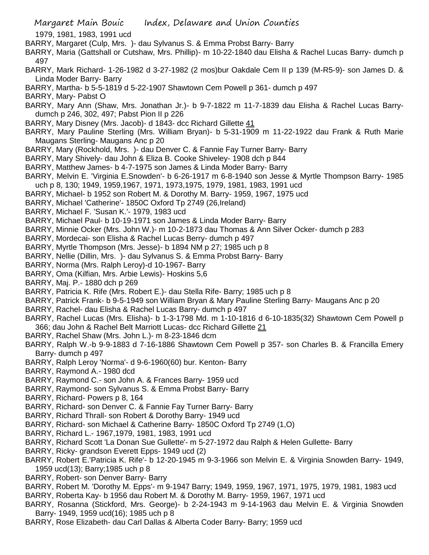1979, 1981, 1983, 1991 ucd

- BARRY, Margaret (Culp, Mrs. )- dau Sylvanus S. & Emma Probst Barry- Barry
- BARRY, Maria (Gattshall or Cutshaw, Mrs. Phillip)- m 10-22-1840 dau Elisha & Rachel Lucas Barry- dumch p 497
- BARRY, Mark Richard- 1-26-1982 d 3-27-1982 (2 mos)bur Oakdale Cem II p 139 (M-R5-9)- son James D. & Linda Moder Barry- Barry
- BARRY, Martha- b 5-5-1819 d 5-22-1907 Shawtown Cem Powell p 361- dumch p 497
- BARRY, Mary- Pabst O
- BARRY, Mary Ann (Shaw, Mrs. Jonathan Jr.)- b 9-7-1822 m 11-7-1839 dau Elisha & Rachel Lucas Barrydumch p 246, 302, 497; Pabst Pion II p 226
- BARRY, Mary Disney (Mrs. Jacob)- d 1843- dcc Richard Gillette 41
- BARRY, Mary Pauline Sterling (Mrs. William Bryan)- b 5-31-1909 m 11-22-1922 dau Frank & Ruth Marie Maugans Sterling- Maugans Anc p 20
- BARRY, Mary (Rockhold, Mrs. )- dau Denver C. & Fannie Fay Turner Barry- Barry
- BARRY, Mary Shively- dau John & Eliza B. Cooke Shiveley- 1908 dch p 844
- BARRY, Matthew James- b 4-7-1975 son James & Linda Moder Barry- Barry
- BARRY, Melvin E. 'Virginia E.Snowden'- b 6-26-1917 m 6-8-1940 son Jesse & Myrtle Thompson Barry- 1985 uch p 8, 130; 1949, 1959,1967, 1971, 1973,1975, 1979, 1981, 1983, 1991 ucd
- BARRY, Michael- b 1952 son Robert M. & Dorothy M. Barry- 1959, 1967, 1975 ucd
- BARRY, Michael 'Catherine'- 1850C Oxford Tp 2749 (26,Ireland)
- BARRY, Michael F. 'Susan K.'- 1979, 1983 ucd
- BARRY, Michael Paul- b 10-19-1971 son James & Linda Moder Barry- Barry
- BARRY, Minnie Ocker (Mrs. John W.)- m 10-2-1873 dau Thomas & Ann Silver Ocker- dumch p 283
- BARRY, Mordecai- son Elisha & Rachel Lucas Berry- dumch p 497
- BARRY, Myrtle Thompson (Mrs. Jesse)- b 1894 NM p 27; 1985 uch p 8
- BARRY, Nellie (Dillin, Mrs. )- dau Sylvanus S. & Emma Probst Barry- Barry
- BARRY, Norma (Mrs. Ralph Leroy)-d 10-1967- Barry
- BARRY, Oma (Kilfian, Mrs. Arbie Lewis)- Hoskins 5,6
- BARRY, Maj. P.- 1880 dch p 269
- BARRY, Patricia K. Rife (Mrs. Robert E.)- dau Stella Rife- Barry; 1985 uch p 8
- BARRY, Patrick Frank- b 9-5-1949 son William Bryan & Mary Pauline Sterling Barry- Maugans Anc p 20
- BARRY, Rachel- dau Elisha & Rachel Lucas Barry- dumch p 497
- BARRY, Rachel Lucas (Mrs. Elisha)- b 1-3-1798 Md. m 1-10-1816 d 6-10-1835(32) Shawtown Cem Powell p 366; dau John & Rachel Belt Marriott Lucas- dcc Richard Gillette 21
- BARRY, Rachel Shaw (Mrs. John L.)- m 8-23-1846 dcm
- BARRY, Ralph W.-b 9-9-1883 d 7-16-1886 Shawtown Cem Powell p 357- son Charles B. & Francilla Emery Barry- dumch p 497
- BARRY, Ralph Leroy 'Norma'- d 9-6-1960(60) bur. Kenton- Barry
- BARRY, Raymond A.- 1980 dcd
- BARRY, Raymond C.- son John A. & Frances Barry- 1959 ucd
- BARRY, Raymond- son Sylvanus S. & Emma Probst Barry- Barry
- BARRY, Richard- Powers p 8, 164
- BARRY, Richard- son Denver C. & Fannie Fay Turner Barry- Barry
- BARRY, Richard Thrall- son Robert & Dorothy Barry- 1949 ucd
- BARRY, Richard- son Michael & Catherine Barry- 1850C Oxford Tp 2749 (1,O)
- BARRY, Richard L.- 1967,1979, 1981, 1983, 1991 ucd
- BARRY, Richard Scott 'La Donan Sue Gullette'- m 5-27-1972 dau Ralph & Helen Gullette- Barry
- BARRY, Ricky- grandson Everett Epps- 1949 ucd (2)
- BARRY, Robert E.'Patricia K. Rife'- b 12-20-1945 m 9-3-1966 son Melvin E. & Virginia Snowden Barry- 1949, 1959 ucd(13); Barry;1985 uch p 8
- BARRY, Robert- son Denver Barry- Barry
- BARRY, Robert M. 'Dorothy M. Epps'- m 9-1947 Barry; 1949, 1959, 1967, 1971, 1975, 1979, 1981, 1983 ucd
- BARRY, Roberta Kay- b 1956 dau Robert M. & Dorothy M. Barry- 1959, 1967, 1971 ucd
- BARRY, Rosanna (Stickford, Mrs. George)- b 2-24-1943 m 9-14-1963 dau Melvin E. & Virginia Snowden Barry- 1949, 1959 ucd(16); 1985 uch p 8
- BARRY, Rose Elizabeth- dau Carl Dallas & Alberta Coder Barry- Barry; 1959 ucd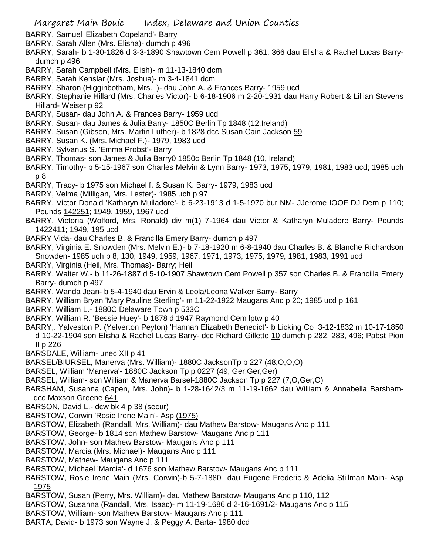- BARRY, Samuel 'Elizabeth Copeland'- Barry
- BARRY, Sarah Allen (Mrs. Elisha)- dumch p 496
- BARRY, Sarah- b 1-30-1826 d 3-3-1890 Shawtown Cem Powell p 361, 366 dau Elisha & Rachel Lucas Barrydumch p 496
- BARRY, Sarah Campbell (Mrs. Elish)- m 11-13-1840 dcm
- BARRY, Sarah Kenslar (Mrs. Joshua)- m 3-4-1841 dcm
- BARRY, Sharon (Higginbotham, Mrs. )- dau John A. & Frances Barry- 1959 ucd
- BARRY, Stephanie Hillard (Mrs. Charles Victor)- b 6-18-1906 m 2-20-1931 dau Harry Robert & Lillian Stevens Hillard- Weiser p 92
- BARRY, Susan- dau John A. & Frances Barry- 1959 ucd
- BARRY, Susan- dau James & Julia Barry- 1850C Berlin Tp 1848 (12,Ireland)
- BARRY, Susan (Gibson, Mrs. Martin Luther)- b 1828 dcc Susan Cain Jackson 59
- BARRY, Susan K. (Mrs. Michael F.)- 1979, 1983 ucd
- BARRY, Sylvanus S. 'Emma Probst'- Barry
- BARRY, Thomas- son James & Julia Barry0 1850c Berlin Tp 1848 (10, Ireland)
- BARRY, Timothy- b 5-15-1967 son Charles Melvin & Lynn Barry- 1973, 1975, 1979, 1981, 1983 ucd; 1985 uch p 8
- BARRY, Tracy- b 1975 son Michael f. & Susan K. Barry- 1979, 1983 ucd
- BARRY, Velma (Milligan, Mrs. Lester)- 1985 uch p 97
- BARRY, Victor Donald 'Katharyn Muiladore'- b 6-23-1913 d 1-5-1970 bur NM- JJerome IOOF DJ Dem p 110; Pounds 142251; 1949, 1959, 1967 ucd
- BARRY, Victoria (Wolford, Mrs. Ronald) div m(1) 7-1964 dau Victor & Katharyn Muladore Barry- Pounds 1422411; 1949, 195 ucd
- BARRY Vida- dau Charles B. & Francilla Emery Barry- dumch p 497
- BARRY, Virginia E. Snowden (Mrs. Melvin E.)- b 7-18-1920 m 6-8-1940 dau Charles B. & Blanche Richardson Snowden- 1985 uch p 8, 130; 1949, 1959, 1967, 1971, 1973, 1975, 1979, 1981, 1983, 1991 ucd
- BARRY, Virginia (Heil, Mrs. Thomas)- Barry; Heil
- BARRY, Walter W.- b 11-26-1887 d 5-10-1907 Shawtown Cem Powell p 357 son Charles B. & Francilla Emery Barry- dumch p 497
- BARRY, Wanda Jean- b 5-4-1940 dau Ervin & Leola/Leona Walker Barry- Barry
- BARRY, William Bryan 'Mary Pauline Sterling'- m 11-22-1922 Maugans Anc p 20; 1985 ucd p 161
- BARRY, William L.- 1880C Delaware Town p 533C
- BARRY, William R. 'Bessie Huey'- b 1878 d 1947 Raymond Cem lptw p 40
- BARRY,. Yalveston P. (Yelverton Peyton) 'Hannah Elizabeth Benedict'- b Licking Co 3-12-1832 m 10-17-1850 d 10-22-1904 son Elisha & Rachel Lucas Barry- dcc Richard Gillette 10 dumch p 282, 283, 496; Pabst Pion II p 226
- BARSDALE, William- unec XII p 41
- BARSEL/BIURSEL, Manerva (Mrs. William)- 1880C JacksonTp p 227 (48,O,O,O)
- BARSEL, William 'Manerva'- 1880C Jackson Tp p 0227 (49, Ger,Ger,Ger)
- BARSEL, William- son William & Manerva Barsel-1880C Jackson Tp p 227 (7,O,Ger,O)
- BARSHAM, Susanna (Capen, Mrs. John)- b 1-28-1642/3 m 11-19-1662 dau William & Annabella Barshamdcc Maxson Greene 641
- BARSON, David L.- dcw bk 4 p 38 (secur)
- BARSTOW, Corwin 'Rosie Irene Main'- Asp (1975)
- BARSTOW, Elizabeth (Randall, Mrs. William)- dau Mathew Barstow- Maugans Anc p 111
- BARSTOW, George- b 1814 son Mathew Barstow- Maugans Anc p 111
- BARSTOW, John- son Mathew Barstow- Maugans Anc p 111
- BARSTOW, Marcia (Mrs. Michael)- Maugans Anc p 111
- BARSTOW, Mathew- Maugans Anc p 111
- BARSTOW, Michael 'Marcia'- d 1676 son Mathew Barstow- Maugans Anc p 111
- BARSTOW, Rosie Irene Main (Mrs. Corwin)-b 5-7-1880 dau Eugene Frederic & Adelia Stillman Main- Asp 1975
- BARSTOW, Susan (Perry, Mrs. William)- dau Mathew Barstow- Maugans Anc p 110, 112
- BARSTOW, Susanna (Randall, Mrs. Isaac)- m 11-19-1686 d 2-16-1691/2- Maugans Anc p 115
- BARSTOW, William- son Mathew Barstow- Maugans Anc p 111
- BARTA, David- b 1973 son Wayne J. & Peggy A. Barta- 1980 dcd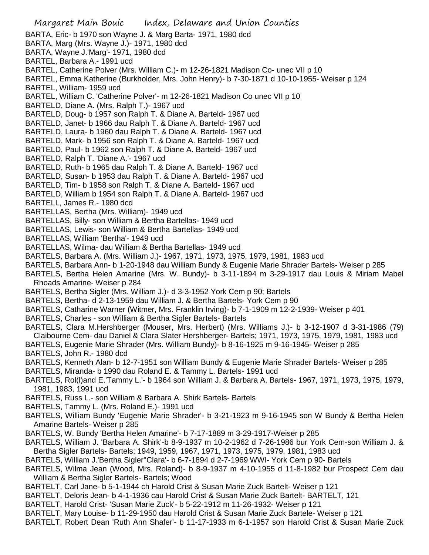Margaret Main Bouic Index, Delaware and Union Counties BARTA, Eric- b 1970 son Wayne J. & Marg Barta- 1971, 1980 dcd BARTA, Marg (Mrs. Wayne J.)- 1971, 1980 dcd BARTA, Wayne J.'Marg'- 1971, 1980 dcd BARTEL, Barbara A.- 1991 ucd BARTEL, Catherine Polver (Mrs. William C.)- m 12-26-1821 Madison Co- unec VII p 10 BARTEL, Emma Katherine (Burkholder, Mrs. John Henry)- b 7-30-1871 d 10-10-1955- Weiser p 124 BARTEL, William- 1959 ucd BARTEL, William C. 'Catherine Polver'- m 12-26-1821 Madison Co unec VII p 10 BARTELD, Diane A. (Mrs. Ralph T.)- 1967 ucd BARTELD, Doug- b 1957 son Ralph T. & Diane A. Barteld- 1967 ucd BARTELD, Janet- b 1966 dau Ralph T. & Diane A. Barteld- 1967 ucd BARTELD, Laura- b 1960 dau Ralph T. & Diane A. Barteld- 1967 ucd BARTELD, Mark- b 1956 son Ralph T. & Diane A. Barteld- 1967 ucd BARTELD, Paul- b 1962 son Ralph T. & Diane A. Barteld- 1967 ucd BARTELD, Ralph T. 'Diane A.'- 1967 ucd BARTELD, Ruth- b 1965 dau Ralph T. & Diane A. Barteld- 1967 ucd BARTELD, Susan- b 1953 dau Ralph T. & Diane A. Barteld- 1967 ucd BARTELD, Tim- b 1958 son Ralph T. & Diane A. Barteld- 1967 ucd BARTELD, William b 1954 son Ralph T. & Diane A. Barteld- 1967 ucd BARTELL, James R.- 1980 dcd BARTELLAS, Bertha (Mrs. William)- 1949 ucd BARTELLAS, Billy- son William & Bertha Bartellas- 1949 ucd BARTELLAS, Lewis- son William & Bertha Bartellas- 1949 ucd BARTELLAS, William 'Bertha'- 1949 ucd BARTELLAS, Wilma- dau William & Bertha Bartellas- 1949 ucd BARTELS, Barbara A. (Mrs. William J.)- 1967, 1971, 1973, 1975, 1979, 1981, 1983 ucd BARTELS, Barbara Ann- b 1-20-1948 dau William Bundy & Eugenie Marie Shrader Bartels- Weiser p 285 BARTELS, Bertha Helen Amarine (Mrs. W. Bundy)- b 3-11-1894 m 3-29-1917 dau Louis & Miriam Mabel Rhoads Amarine- Weiser p 284 BARTELS, Bertha Sigler (Mrs. William J.)- d 3-3-1952 York Cem p 90; Bartels BARTELS, Bertha- d 2-13-1959 dau William J. & Bertha Bartels- York Cem p 90 BARTELS, Catharine Warner (Witmer, Mrs. Franklin Irving)- b 7-1-1909 m 12-2-1939- Weiser p 401 BARTELS, Charles - son William & Bertha Sigler Bartels- Bartels BARTELS, Clara M.Hershberger (Mouser, Mrs. Herbert) (Mrs. Williams J.)- b 3-12-1907 d 3-31-1986 (79) Claibourne Cem- dau Daniel & Clara Slater Hershberger- Bartels; 1971, 1973, 1975, 1979, 1981, 1983 ucd BARTELS, Eugenie Marie Shrader (Mrs. William Bundy)- b 8-16-1925 m 9-16-1945- Weiser p 285 BARTELS, John R.- 1980 dcd BARTELS, Kenneth Alan- b 12-7-1951 son William Bundy & Eugenie Marie Shrader Bartels- Weiser p 285 BARTELS, Miranda- b 1990 dau Roland E. & Tammy L. Bartels- 1991 ucd BARTELS, Rol(l)and E.'Tammy L.'- b 1964 son William J. & Barbara A. Bartels- 1967, 1971, 1973, 1975, 1979, 1981, 1983, 1991 ucd BARTELS, Russ L.- son William & Barbara A. Shirk Bartels- Bartels

- BARTELS, Tammy L. (Mrs. Roland E.)- 1991 ucd
- BARTELS, William Bundy 'Eugenie Marie Shrader'- b 3-21-1923 m 9-16-1945 son W Bundy & Bertha Helen Amarine Bartels- Weiser p 285
- BARTELS, W. Bundy 'Bertha Helen Amarine'- b 7-17-1889 m 3-29-1917-Weiser p 285
- BARTELS, William J. 'Barbara A. Shirk'-b 8-9-1937 m 10-2-1962 d 7-26-1986 bur York Cem-son William J. & Bertha Sigler Bartels- Bartels; 1949, 1959, 1967, 1971, 1973, 1975, 1979, 1981, 1983 ucd
- BARTELS, William J.'Bertha Sigler''Clara'- b 6-7-1894 d 2-7-1969 WWI- York Cem p 90- Bartels
- BARTELS, Wilma Jean (Wood, Mrs. Roland)- b 8-9-1937 m 4-10-1955 d 11-8-1982 bur Prospect Cem dau William & Bertha Sigler Bartels- Bartels; Wood
- BARTELT, Carl Jane- b 5-1-1944 ch Harold Crist & Susan Marie Zuck Bartelt- Weiser p 121
- BARTELT, Deloris Jean- b 4-1-1936 cau Harold Crist & Susan Marie Zuck Bartelt- BARTELT, 121
- BARTELT, Harold Crist- 'Susan Marie Zuck'- b 5-22-1912 m 11-26-1932- Weiser p 121
- BARTELT, Mary Louise- b 11-29-1950 dau Harold Crist & Susan Marie Zuck Bartele- Weiser p 121
- BARTELT, Robert Dean 'Ruth Ann Shafer'- b 11-17-1933 m 6-1-1957 son Harold Crist & Susan Marie Zuck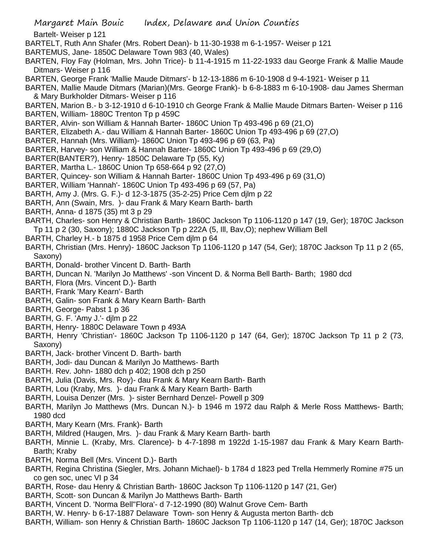- BARTELT, Ruth Ann Shafer (Mrs. Robert Dean)- b 11-30-1938 m 6-1-1957- Weiser p 121
- BARTEMUS, Jane- 1850C Delaware Town 983 (40, Wales)
- BARTEN, Floy Fay (Holman, Mrs. John Trice)- b 11-4-1915 m 11-22-1933 dau George Frank & Mallie Maude Ditmars- Weiser p 116
- BARTEN, George Frank 'Mallie Maude Ditmars'- b 12-13-1886 m 6-10-1908 d 9-4-1921- Weiser p 11
- BARTEN, Mallie Maude Ditmars (Marian)(Mrs. George Frank)- b 6-8-1883 m 6-10-1908- dau James Sherman & Mary Burkholder Ditmars- Weiser p 116
- BARTEN, Marion B.- b 3-12-1910 d 6-10-1910 ch George Frank & Mallie Maude Ditmars Barten- Weiser p 116 BARTEN, William- 1880C Trenton Tp p 459C
- BARTER, Alvin- son William & Hannah Barter- 1860C Union Tp 493-496 p 69 (21,O)
- BARTER, Elizabeth A.- dau William & Hannah Barter- 1860C Union Tp 493-496 p 69 (27,O)
- BARTER, Hannah (Mrs. William)- 1860C Union Tp 493-496 p 69 (63, Pa)
- BARTER, Harvey- son William & Hannah Barter- 1860C Union Tp 493-496 p 69 (29,O)
- BARTER(BANTER?), Henry- 1850C Delaware Tp (55, Ky)
- BARTER, Martha L.- 1860C Union Tp 658-664 p 92 (27,O)
- BARTER, Quincey- son William & Hannah Barter- 1860C Union Tp 493-496 p 69 (31,O)
- BARTER, William 'Hannah'- 1860C Union Tp 493-496 p 69 (57, Pa)
- BARTH, Amy J. (Mrs. G. F.)- d 12-3-1875 (35-2-25) Price Cem djlm p 22
- BARTH, Ann (Swain, Mrs. )- dau Frank & Mary Kearn Barth- barth
- BARTH, Anna- d 1875 (35) mt 3 p 29
- BARTH, Charles- son Henry & Christian Barth- 1860C Jackson Tp 1106-1120 p 147 (19, Ger); 1870C Jackson Tp 11 p 2 (30, Saxony); 1880C Jackson Tp p 222A (5, Ill, Bav,O); nephew William Bell
- BARTH, Charley H.- b 1875 d 1958 Price Cem djlm p 64
- BARTH, Christian (Mrs. Henry)- 1860C Jackson Tp 1106-1120 p 147 (54, Ger); 1870C Jackson Tp 11 p 2 (65, Saxony)
- BARTH, Donald- brother Vincent D. Barth- Barth
- BARTH, Duncan N. 'Marilyn Jo Matthews' -son Vincent D. & Norma Bell Barth- Barth; 1980 dcd
- BARTH, Flora (Mrs. Vincent D.)- Barth
- BARTH, Frank 'Mary Kearn'- Barth
- BARTH, Galin- son Frank & Mary Kearn Barth- Barth
- BARTH, George- Pabst 1 p 36
- BARTH, G. F. 'Amy J.'- djlm p 22
- BARTH, Henry- 1880C Delaware Town p 493A
- BARTH, Henry 'Christian'- 1860C Jackson Tp 1106-1120 p 147 (64, Ger); 1870C Jackson Tp 11 p 2 (73, Saxony)
- BARTH, Jack- brother Vincent D. Barth- barth
- BARTH, Jodi- dau Duncan & Marilyn Jo Matthews- Barth
- BARTH. Rev. John- 1880 dch p 402; 1908 dch p 250
- BARTH, Julia (Davis, Mrs. Roy)- dau Frank & Mary Kearn Barth- Barth
- BARTH, Lou (Kraby, Mrs. )- dau Frank & Mary Kearn Barth- Barth
- BARTH, Louisa Denzer (Mrs. )- sister Bernhard Denzel- Powell p 309
- BARTH, Marilyn Jo Matthews (Mrs. Duncan N.)- b 1946 m 1972 dau Ralph & Merle Ross Matthews- Barth; 1980 dcd
- BARTH, Mary Kearn (Mrs. Frank)- Barth
- BARTH, Mildred (Haugen, Mrs. )- dau Frank & Mary Kearn Barth- barth
- BARTH, Minnie L. (Kraby, Mrs. Clarence)- b 4-7-1898 m 1922d 1-15-1987 dau Frank & Mary Kearn Barth-Barth; Kraby
- BARTH, Norma Bell (Mrs. Vincent D.)- Barth
- BARTH, Regina Christina (Siegler, Mrs. Johann Michael)- b 1784 d 1823 ped Trella Hemmerly Romine #75 un co gen soc, unec VI p 34
- BARTH, Rose- dau Henry & Christian Barth- 1860C Jackson Tp 1106-1120 p 147 (21, Ger)
- BARTH, Scott- son Duncan & Marilyn Jo Matthews Barth- Barth
- BARTH, Vincent D. 'Norma Bell''Flora'- d 7-12-1990 (80) Walnut Grove Cem- Barth
- BARTH, W. Henry- b 6-17-1887 Delaware Town- son Henry & Augusta merton Barth- dcb
- BARTH, William- son Henry & Christian Barth- 1860C Jackson Tp 1106-1120 p 147 (14, Ger); 1870C Jackson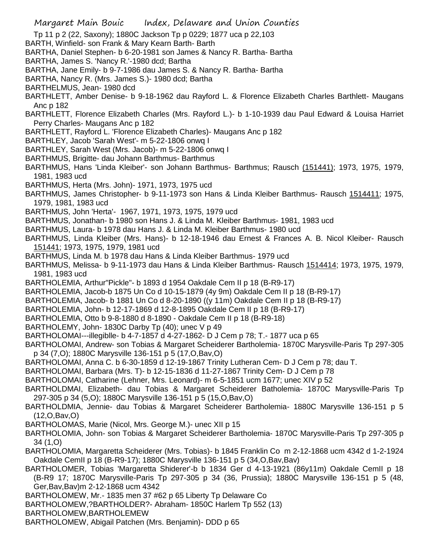- Tp 11 p 2 (22, Saxony); 1880C Jackson Tp p 0229; 1877 uca p 22,103
- BARTH, Winfield- son Frank & Mary Kearn Barth- Barth
- BARTHA, Daniel Stephen- b 6-20-1981 son James & Nancy R. Bartha- Bartha
- BARTHA, James S. 'Nancy R.'-1980 dcd; Bartha
- BARTHA, Jane Emily- b 9-7-1986 dau James S. & Nancy R. Bartha- Bartha
- BARTHA, Nancy R. (Mrs. James S.)- 1980 dcd; Bartha
- BARTHELMUS, Jean- 1980 dcd
- BARTHLETT, Amber Denise- b 9-18-1962 dau Rayford L. & Florence Elizabeth Charles Barthlett- Maugans Anc p 182
- BARTHLETT, Florence Elizabeth Charles (Mrs. Rayford L.)- b 1-10-1939 dau Paul Edward & Louisa Harriet Perry Charles- Maugans Anc p 182
- BARTHLETT, Rayford L. 'Florence Elizabeth Charles)- Maugans Anc p 182
- BARTHLEY, Jacob 'Sarah West'- m 5-22-1806 onwq I
- BARTHLEY, Sarah West (Mrs. Jacob)- m 5-22-1806 onwq I
- BARTHMUS, Brigitte- dau Johann Barthmus- Barthmus
- BARTHMUS, Hans 'Linda Kleiber'- son Johann Barthmus- Barthmus; Rausch (151441); 1973, 1975, 1979, 1981, 1983 ucd
- BARTHMUS, Herta (Mrs. John)- 1971, 1973, 1975 ucd
- BARTHMUS, James Christopher- b 9-11-1973 son Hans & Linda Kleiber Barthmus- Rausch 1514411; 1975, 1979, 1981, 1983 ucd
- BARTHMUS, John 'Herta'- 1967, 1971, 1973, 1975, 1979 ucd
- BARTHMUS, Jonathan- b 1980 son Hans J. & Linda M. Kleiber Barthmus- 1981, 1983 ucd
- BARTHMUS, Laura- b 1978 dau Hans J. & Linda M. Kleiber Barthmus- 1980 ucd
- BARTHMUS, Linda Kleiber (Mrs. Hans)- b 12-18-1946 dau Ernest & Frances A. B. Nicol Kleiber- Rausch 151441; 1973, 1975, 1979, 1981 ucd
- BARTHMUS, Linda M. b 1978 dau Hans & Linda Kleiber Barthmus- 1979 ucd
- BARTHMUS, Melissa- b 9-11-1973 dau Hans & Linda Kleiber Barthmus- Rausch 1514414; 1973, 1975, 1979, 1981, 1983 ucd
- BARTHOLEMIA, Arthur"Pickle"- b 1893 d 1954 Oakdale Cem II p 18 (B-R9-17)
- BARTHOLEMIA, Jacob-b 1875 Un Co d 10-15-1879 (4y 9m) Oakdale Cem II p 18 (B-R9-17)
- BARTHOLEMIA, Jacob- b 1881 Un Co d 8-20-1890 ((y 11m) Oakdale Cem II p 18 (B-R9-17)
- BARTHOLEMIA, John- b 12-17-1869 d 12-8-1895 Oakdale Cem II p 18 (B-R9-17)
- BARTHOLEMIA, Otto b 9-8-1880 d 8-1890 Oakdale Cem II p 18 (B-R9-18)
- BARTHOLEMY, John- 1830C Darby Tp (40); unec V p 49
- BARTHOLOMAI---illegiblle- b 4-7-1857 d 4-27-1862- D J Cem p 78; T.- 1877 uca p 65
- BARTHOLOMAI, Andrew- son Tobias & Margaret Scheiderer Bartholemia- 1870C Marysville-Paris Tp 297-305 p 34 (7,O); 1880C Marysville 136-151 p 5 (17,O,Bav,O)
- BARTHOLOMAI, Anna C. b 6-30-1859 d 12-19-1867 Trinity Lutheran Cem- D J Cem p 78; dau T.
- BARTHOLOMAI, Barbara (Mrs. T)- b 12-15-1836 d 11-27-1867 Trinity Cem- D J Cem p 78
- BARTHOLOMAI, Catharine (Lehner, Mrs. Leonard)- m 6-5-1851 ucm 1677; unec XIV p 52
- BARTHOLDMAI, Elizabeth- dau Tobias & Margaret Scheiderer Batholemia- 1870C Marysville-Paris Tp 297-305 p 34 (5,O); 1880C Marysville 136-151 p 5 (15,O,Bav,O)
- BARTHOLDMIA, Jennie- dau Tobias & Margaret Scheiderer Bartholemia- 1880C Marysville 136-151 p 5 (12,O,Bav,O)
- BARTHOLOMAS, Marie (Nicol, Mrs. George M.)- unec XII p 15
- BARTHOLOMIA, John- son Tobias & Margaret Scheiderer Bartholemia- 1870C Marysville-Paris Tp 297-305 p 34 (1,O)
- BARTHOLOMIA, Margaretta Scheiderer (Mrs. Tobias)- b 1845 Franklin Co m 2-12-1868 ucm 4342 d 1-2-1924 Oakdale CemII p 18 (B-R9-17); 1880C Marysville 136-151 p 5 (34,O,Bav,Bav)
- BARTHOLOMER, Tobias 'Margaretta Shiderer'-b b 1834 Ger d 4-13-1921 (86y11m) Oakdale CemII p 18 (B-R9 17; 1870C Marysville-Paris Tp 297-305 p 34 (36, Prussia); 1880C Marysville 136-151 p 5 (48, Ger,Bav,Bav)m 2-12-1868 ucm 4342
- BARTHOLOMEW, Mr.- 1835 men 37 #62 p 65 Liberty Tp Delaware Co
- BARTHOLOMEW,?BARTHOLDER?- Abraham- 1850C Harlem Tp 552 (13)
- BARTHOLOMEW,BARTHOLEMEW
- BARTHOLOMEW, Abigail Patchen (Mrs. Benjamin)- DDD p 65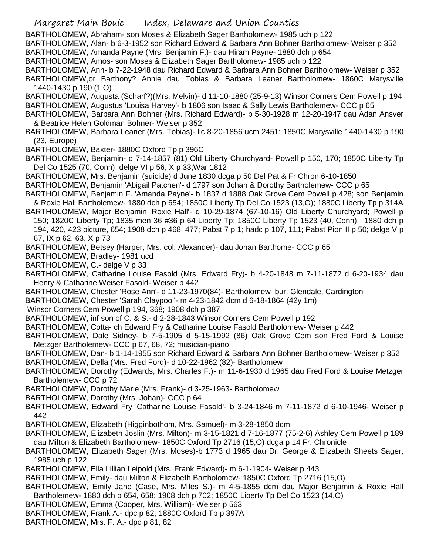BARTHOLOMEW, Abraham- son Moses & Elizabeth Sager Bartholomew- 1985 uch p 122

BARTHOLOMEW, Alan- b 6-3-1952 son Richard Edward & Barbara Ann Bohner Bartholomew- Weiser p 352 BARTHOLOMEW, Amanda Payne (Mrs. Benjamin F.)- dau Hiram Payne- 1880 dch p 654

BARTHOLOMEW, Amos- son Moses & Elizabeth Sager Bartholomew- 1985 uch p 122

BARTHOLOMEW, Ann- b 7-22-1948 dau Richard Edward & Barbara Ann Bohner Bartholomew- Weiser p 352 BARTHOLOMEW,or Barthony? Annie dau Tobias & Barbara Leaner Bartholomew- 1860C Marysville 1440-1430 p 190 (1,O)

BARTHOLOMEW, Augusta (Scharf?)(Mrs. Melvin)- d 11-10-1880 (25-9-13) Winsor Corners Cem Powell p 194 BARTHOLOMEW, Augustus 'Louisa Harvey'- b 1806 son Isaac & Sally Lewis Bartholemew- CCC p 65

BARTHOLOMEW, Barbara Ann Bohner (Mrs. Richard Edward)- b 5-30-1928 m 12-20-1947 dau Adan Ansver & Beatrice Helen Goldman Bohner- Weiser p 352

BARTHOLOMEW, Barbara Leaner (Mrs. Tobias)- lic 8-20-1856 ucm 2451; 1850C Marysville 1440-1430 p 190 (23, Europe)

BARTHOLOMEW, Baxter- 1880C Oxford Tp p 396C

BARTHOLOMEW, Benjamin- d 7-14-1857 (81) Old Liberty Churchyard- Powell p 150, 170; 1850C Liberty Tp Del Co 1525 (70, Conn); delge VI p 56, X p 33;War 1812

BARTHOLOMEW, Mrs. Benjamin (suicide) d June 1830 dcga p 50 Del Pat & Fr Chron 6-10-1850

BARTHOLOMEW, Benjamin 'Abigail Patchen'- d 1797 son Johan & Dorothy Bartholemew- CCC p 65

BARTHOLOMEW, Benjamin F. 'Amanda Payne'- b 1837 d 1888 Oak Grove Cem Powell p 428; son Benjamin & Roxie Hall Bartholemew- 1880 dch p 654; 1850C Liberty Tp Del Co 1523 (13,O); 1880C Liberty Tp p 314A

BARTHOLOMEW, Major Benjamin 'Roxie Hall'- d 10-29-1874 (67-10-16) Old Liberty Churchyard; Powell p 150; 1820C Liberty Tp; 1835 men 36 #36 p 64 Liberty Tp; 1850C Liberty Tp 1523 (40, Conn); 1880 dch p 194, 420, 423 picture, 654; 1908 dch p 468, 477; Pabst 7 p 1; hadc p 107, 111; Pabst Pion II p 50; delge V p 67, IX p 62, 63, X p 73

BARTHOLOMEW, Betsey (Harper, Mrs. col. Alexander)- dau Johan Barthome- CCC p 65

BARTHOLOMEW, Bradley- 1981 ucd

BARTHOLOMEW, C.- delge V p 33

BARTHOLOMEW, Catharine Louise Fasold (Mrs. Edward Fry)- b 4-20-1848 m 7-11-1872 d 6-20-1934 dau Henry & Catharine Weiser Fasold- Weiser p 442

BARTHOLOMEW, Chester 'Rose Ann'- d 11-23-1970(84)- Bartholomew bur. Glendale, Cardington

BARTHOLOMEW, Chester 'Sarah Claypool'- m 4-23-1842 dcm d 6-18-1864 (42y 1m)

Winsor Corners Cem Powell p 194, 368; 1908 dch p 387

BARTHOLOMEW, inf son of C. & S.- d 2-28-1843 Winsor Corners Cem Powell p 192

BARTHOLOMEW, Cotta- ch Edward Fry & Catharine Louise Fasold Bartholomew- Weiser p 442

BARTHOLOMEW, Dale Sidney- b 7-5-1905 d 5-15-1992 (86) Oak Grove Cem son Fred Ford & Louise Metzger Bartholemew- CCC p 67, 68, 72; musician-piano

BARTHOLOMEW, Dan- b 1-14-1955 son Richard Edward & Barbara Ann Bohner Bartholomew- Weiser p 352 BARTHOLOMEW, Della (Mrs. Fred Ford)- d 10-22-1962 (82)- Bartholomew

BARTHOLOMEW, Dorothy (Edwards, Mrs. Charles F.)- m 11-6-1930 d 1965 dau Fred Ford & Louise Metzger Bartholemew- CCC p 72

BARTHOLOMEW, Dorothy Marie (Mrs. Frank)- d 3-25-1963- Bartholomew

BARTHOLOMEW, Dorothy (Mrs. Johan)- CCC p 64

BARTHOLOMEW, Edward Fry 'Catharine Louise Fasold'- b 3-24-1846 m 7-11-1872 d 6-10-1946- Weiser p 442

BARTHOLOMEW, Elizabeth (Higginbothom, Mrs. Samuel)- m 3-28-1850 dcm

BARTHOLOMEW, Elizabeth Joslin (Mrs. Milton)- m 3-15-1821 d 7-16-1877 (75-2-6) Ashley Cem Powell p 189 dau Milton & Elizabeth Bartholomew- 1850C Oxford Tp 2716 (15,O) dcga p 14 Fr. Chronicle

BARTHOLOMEW, Elizabeth Sager (Mrs. Moses)-b 1773 d 1965 dau Dr. George & Elizabeth Sheets Sager; 1985 uch p 122

BARTHOLOMEW, Ella Lillian Leipold (Mrs. Frank Edward)- m 6-1-1904- Weiser p 443

BARTHOLOMEW, Emily- dau Milton & Elizabeth Bartholomew- 1850C Oxford Tp 2716 (15,O)

BARTHOLOMEW, Emily Jane (Case, Mrs. Miles S.)- m 4-5-1855 dcm dau Major Benjamin & Roxie Hall Bartholemew- 1880 dch p 654, 658; 1908 dch p 702; 1850C Liberty Tp Del Co 1523 (14,O)

BARTHOLOMEW, Emma (Cooper, Mrs. William)- Weiser p 563

BARTHOLOMEW, Frank A.- dpc p 82; 1880C Oxford Tp p 397A

BARTHOLOMEW, Mrs. F. A.- dpc p 81, 82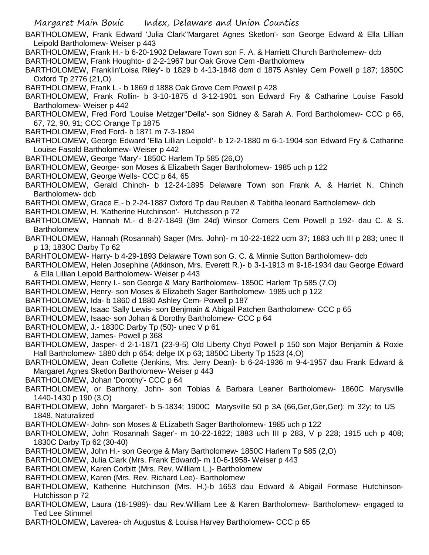BARTHOLOMEW, Frank Edward 'Julia Clark''Margaret Agnes Sketlon'- son George Edward & Ella Lillian Leipold Bartholomew- Weiser p 443

BARTHOLOMEW, Frank H.- b 6-20-1902 Delaware Town son F. A. & Harriett Church Bartholemew- dcb

BARTHOLOMEW, Frank Houghto- d 2-2-1967 bur Oak Grove Cem -Bartholomew

BARTHOLOMEW, Franklin'Loisa Riley'- b 1829 b 4-13-1848 dcm d 1875 Ashley Cem Powell p 187; 1850C Oxford Tp 2776 (21,O)

BARTHOLOMEW, Frank L.- b 1869 d 1888 Oak Grove Cem Powell p 428

BARTHOLOMEW, Frank Rollin- b 3-10-1875 d 3-12-1901 son Edward Fry & Catharine Louise Fasold Bartholomew- Weiser p 442

BARTHOLOMEW, Fred Ford 'Louise Metzger''Della'- son Sidney & Sarah A. Ford Bartholomew- CCC p 66, 67, 72, 90, 91; CCC Orange Tp 1875

BARTHOLOMEW, Fred Ford- b 1871 m 7-3-1894

BARTHOLOMEW, George Edward 'Ella Lillian Leipold'- b 12-2-1880 m 6-1-1904 son Edward Fry & Catharine Louise Fasold Bartholomew- Weiser p 442

BARTHOLOMEW, George 'Mary'- 1850C Harlem Tp 585 (26,O)

BARTHOLOMEW, George- son Moses & Elizabeth Sager Bartholomew- 1985 uch p 122

BARTHOLOMEW, George Wells- CCC p 64, 65

BARTHOLOMEW, Gerald Chinch- b 12-24-1895 Delaware Town son Frank A. & Harriet N. Chinch Bartholomew- dcb

BARTHOLOMEW, Grace E.- b 2-24-1887 Oxford Tp dau Reuben & Tabitha leonard Bartholemew- dcb

BARTHOLOMEW, H. 'Katherine Hutchinson'- Hutchisson p 72

BARTHOLOMEW, Hannah M.- d 8-27-1849 (9m 24d) Winsor Corners Cem Powell p 192- dau C. & S. Bartholomew

BARTHOLOMEW, Hannah (Rosannah) Sager (Mrs. John)- m 10-22-1822 ucm 37; 1883 uch III p 283; unec II p 13; 1830C Darby Tp 62

BARHTOLOMEW- Harry- b 4-29-1893 Delaware Town son G. C. & Minnie Sutton Bartholomew- dcb

BARTHOLOMEW, Helen Josephine (Atkinson, Mrs. Everett R.)- b 3-1-1913 m 9-18-1934 dau George Edward & Ella Lillian Leipold Bartholomew- Weiser p 443

BARTHOLOMEW, Henry I.- son George & Mary Bartholomew- 1850C Harlem Tp 585 (7,O)

BARTHOLOMEW, Henry- son Moses & Elizabeth Sager Bartholomew- 1985 uch p 122

BARTHOLOMEW, Ida- b 1860 d 1880 Ashley Cem- Powell p 187

BARTHOLOMEW, Isaac 'Sally Lewis- son Benjmain & Abigail Patchen Bartholomew- CCC p 65

BARTHOLOMEW, Isaac- son Johan & Dorothy Bartholomew- CCC p 64

BARTHOLOMEW, J.- 1830C Darby Tp (50)- unec V p 61

BARTHOLOMEW, James- Powell p 368

BARTHOLOMEW, Jasper- d 2-1-1871 (23-9-5) Old Liberty Chyd Powell p 150 son Major Benjamin & Roxie Hall Bartholomew- 1880 dch p 654; delge IX p 63; 1850C Liberty Tp 1523 (4,O)

BARTHOLOMEW, Jean Collette (Jenkins, Mrs. Jerry Dean)- b 6-24-1936 m 9-4-1957 dau Frank Edward & Margaret Agnes Sketlon Bartholomew- Weiser p 443

BARTHOLOMEW, Johan 'Dorothy'- CCC p 64

BARTHOLOMEW, or Barthony, John- son Tobias & Barbara Leaner Bartholomew- 1860C Marysville 1440-1430 p 190 (3,O)

BARTHOLOMEW, John 'Margaret'- b 5-1834; 1900C Marysville 50 p 3A (66,Ger,Ger,Ger); m 32y; to US 1848, Naturalized

BARTHOLOMEW- John- son Moses & ELizabeth Sager Bartholomew- 1985 uch p 122

BARTHOLOMEW, John 'Rosannah Sager'- m 10-22-1822; 1883 uch III p 283, V p 228; 1915 uch p 408; 1830C Darby Tp 62 (30-40)

BARTHOLOMEW, John H.- son George & Mary Bartholomew- 1850C Harlem Tp 585 (2,O)

BARTHOLOMEW, Julia Clark (Mrs. Frank Edward)- m 10-6-1958- Weiser p 443

BARTHOLOMEW, Karen Corbitt (Mrs. Rev. William L.)- Bartholomew

BARTHOLOMEW, Karen (Mrs. Rev. Richard Lee)- Bartholomew

BARTHOLOMEW, Katherine Hutchinson (Mrs. H.)-b 1653 dau Edward & Abigail Formase Hutchinson-Hutchisson p 72

BARTHOLOMEW, Laura (18-1989)- dau Rev.William Lee & Karen Bartholomew- Bartholomew- engaged to Ted Lee Stimmel

BARTHOLOMEW, Laverea- ch Augustus & Louisa Harvey Bartholomew- CCC p 65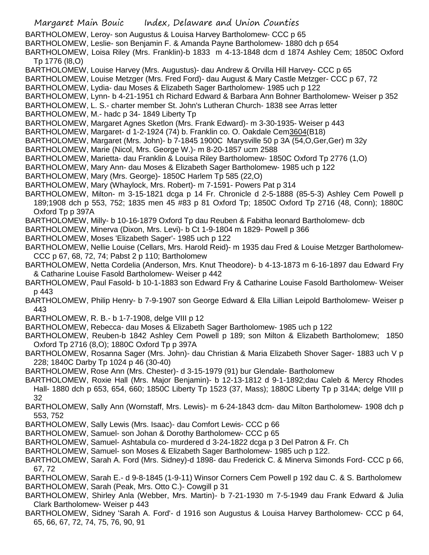Margaret Main Bouic Index, Delaware and Union Counties BARTHOLOMEW, Leroy- son Augustus & Louisa Harvey Bartholomew- CCC p 65 BARTHOLOMEW, Leslie- son Benjamin F. & Amanda Payne Bartholomew- 1880 dch p 654 BARTHOLOMEW, Loisa Riley (Mrs. Franklin)-b 1833 m 4-13-1848 dcm d 1874 Ashley Cem; 1850C Oxford Tp 1776 (l8,O) BARTHOLOMEW, Louise Harvey (Mrs. Augustus)- dau Andrew & Orvilla Hill Harvey- CCC p 65 BARTHOLOMEW, Louise Metzger (Mrs. Fred Ford)- dau August & Mary Castle Metzger- CCC p 67, 72 BARTHOLOMEW, Lydia- dau Moses & Elizabeth Sager Bartholomew- 1985 uch p 122 BARTHOLOMEW, Lynn- b 4-21-1951 ch Richard Edward & Barbara Ann Bohner Bartholomew- Weiser p 352 BARTHOLOMEW, L. S.- charter member St. John's Lutheran Church- 1838 see Arras letter BARTHOLOMEW, M.- hadc p 34- 1849 Liberty Tp BARTHOLOMEW, Margaret Agnes Sketlon (Mrs. Frank Edward)- m 3-30-1935- Weiser p 443 BARTHOLOMEW, Margaret- d 1-2-1924 (74) b. Franklin co. O. Oakdale Cem3604(B18) BARTHOLOMEW, Margaret (Mrs. John)- b 7-1845 1900C Marysville 50 p 3A (54,O,Ger,Ger) m 32y BARTHOLOMEW, Marie (Nicol, Mrs. George W.)- m 8-20-1857 ucm 2588 BARTHOLOMEW, Marietta- dau Franklin & Louisa Riley Bartholomew- 1850C Oxford Tp 2776 (1,O) BARTHOLOMEW, Mary Ann- dau Moses & Elizabeth Sager Bartholomew- 1985 uch p 122 BARTHOLOMEW, Mary (Mrs. George)- 1850C Harlem Tp 585 (22,O) BARTHOLOMEW, Mary (Whaylock, Mrs. Robert)- m 7-1591- Powers Pat p 314 BARTHOLOMEW, Milton- m 3-15-1821 dcga p 14 Fr. Chronicle d 2-5-1888 (85-5-3) Ashley Cem Powell p 189;1908 dch p 553, 752; 1835 men 45 #83 p 81 Oxford Tp; 1850C Oxford Tp 2716 (48, Conn); 1880C Oxford Tp p 397A BARTHOLOMEW, Milly- b 10-16-1879 Oxford Tp dau Reuben & Fabitha leonard Bartholomew- dcb BARTHOLOMEW, Minerva (Dixon, Mrs. Levi)- b Ct 1-9-1804 m 1829- Powell p 366 BARTHOLOMEW, Moses 'Elizabeth Sager'- 1985 uch p 122 BARTHOLOMEW, Nellie Louise (Cellars, Mrs. Harold Reid)- m 1935 dau Fred & Louise Metzger Bartholomew-CCC p 67, 68, 72, 74; Pabst 2 p 110; Bartholomew BARTHOLOMEW, Netta Cordelia (Anderson, Mrs. Knut Theodore)- b 4-13-1873 m 6-16-1897 dau Edward Fry & Catharine Louise Fasold Bartholomew- Weiser p 442 BARTHOLOMEW, Paul Fasold- b 10-1-1883 son Edward Fry & Catharine Louise Fasold Bartholomew- Weiser p 443 BARTHOLOMEW, Philip Henry- b 7-9-1907 son George Edward & Ella Lillian Leipold Bartholomew- Weiser p 443 BARTHOLOMEW, R. B.- b 1-7-1908, delge VIII p 12 BARTHOLOMEW, Rebecca- dau Moses & Elizabeth Sager Bartholomew- 1985 uch p 122 BARTHOLOMEW, Reuben-b 1842 Ashley Cem Powell p 189; son Milton & Elizabeth Bartholomew; 1850 Oxford Tp 2716 (8,O); 1880C Oxford Tp p 397A BARTHOLOMEW, Rosanna Sager (Mrs. John)- dau Christian & Maria Elizabeth Shover Sager- 1883 uch V p 228; 1840C Darby Tp 1024 p 46 (30-40) BARTHOLOMEW, Rose Ann (Mrs. Chester)- d 3-15-1979 (91) bur Glendale- Bartholomew BARTHOLOMEW, Roxie Hall (Mrs. Major Benjamin)- b 12-13-1812 d 9-1-1892;dau Caleb & Mercy Rhodes Hall- 1880 dch p 653, 654, 660; 1850C Liberty Tp 1523 (37, Mass); 1880C Liberty Tp p 314A; delge VIII p 32 BARTHOLOMEW, Sally Ann (Wornstaff, Mrs. Lewis)- m 6-24-1843 dcm- dau Milton Bartholomew- 1908 dch p 553, 752 BARTHOLOMEW, Sally Lewis (Mrs. Isaac)- dau Comfort Lewis- CCC p 66 BARTHOLOMEW, Samuel- son Johan & Dorothy Bartholomew- CCC p 65 BARTHOLOMEW, Samuel- Ashtabula co- murdered d 3-24-1822 dcga p 3 Del Patron & Fr. Ch BARTHOLOMEW, Samuel- son Moses & Elizabeth Sager Bartholomew- 1985 uch p 122. BARTHOLOMEW, Sarah A. Ford (Mrs. Sidney)-d 1898- dau Frederick C. & Minerva Simonds Ford- CCC p 66, 67, 72 BARTHOLOMEW, Sarah E.- d 9-8-1845 (1-9-11) Winsor Corners Cem Powell p 192 dau C. & S. Bartholomew BARTHOLOMEW, Sarah (Peak, Mrs. Otto C.)- Cowgill p 31 BARTHOLOMEW, Shirley Anla (Webber, Mrs. Martin)- b 7-21-1930 m 7-5-1949 dau Frank Edward & Julia Clark Bartholomew- Weiser p 443 BARTHOLOMEW, Sidney 'Sarah A. Ford'- d 1916 son Augustus & Louisa Harvey Bartholomew- CCC p 64, 65, 66, 67, 72, 74, 75, 76, 90, 91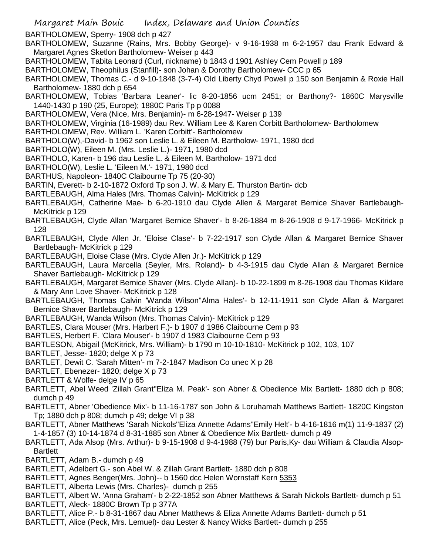BARTHOLOMEW, Sperry- 1908 dch p 427

BARTHOLOMEW, Suzanne (Rains, Mrs. Bobby George)- v 9-16-1938 m 6-2-1957 dau Frank Edward & Margaret Agnes Sketlon Bartholomew- Weiser p 443

BARTHOLOMEW, Tabita Leonard (Curl, nickname) b 1843 d 1901 Ashley Cem Powell p 189

BARTHOLOMEW, Theophilus (Stanfill)- son Johan & Dorothy Bartholomew- CCC p 65

BARTHOLOMEW, Thomas C.- d 9-10-1848 (3-7-4) Old Liberty Chyd Powell p 150 son Benjamin & Roxie Hall Bartholomew- 1880 dch p 654

BARTHOLOMEW, Tobias 'Barbara Leaner'- lic 8-20-1856 ucm 2451; or Barthony?- 1860C Marysville 1440-1430 p 190 (25, Europe); 1880C Paris Tp p 0088

BARTHOLOMEW, Vera (Nice, Mrs. Benjamin)- m 6-28-1947- Weiser p 139

BARTHOLOMEW, Virginia (16-1989) dau Rev. William Lee & Karen Corbitt Bartholomew- Bartholomew

BARTHOLOMEW, Rev. William L. 'Karen Corbitt'- Bartholomew

BARTHOLO(W),-David- b 1962 son Leslie L. & Eileen M. Bartholow- 1971, 1980 dcd

- BARTHOLO(W), Eileen M. (Mrs. Leslie L.)- 1971, 1980 dcd
- BARTHOLO, Karen- b 196 dau Leslie L. & Eileen M. Bartholow- 1971 dcd
- BARTHOLO(W), Leslie L. 'Eileen M.'- 1971, 1980 dcd

BARTHUS, Napoleon- 1840C Claibourne Tp 75 (20-30)

BARTIN, Everett- b 2-10-1872 Oxford Tp son J. W. & Mary E. Thurston Bartin- dcb

- BARTLEBAUGH, Alma Hales (Mrs. Thomas Calvin)- McKitrick p 129
- BARTLEBAUGH, Catherine Mae- b 6-20-1910 dau Clyde Allen & Margaret Bernice Shaver Bartlebaugh-McKitrick p 129
- BARTLEBAUGH, Clyde Allan 'Margaret Bernice Shaver'- b 8-26-1884 m 8-26-1908 d 9-17-1966- McKitrick p 128
- BARTLEBAUGH, Clyde Allen Jr. 'Eloise Clase'- b 7-22-1917 son Clyde Allan & Margaret Bernice Shaver Bartlebaugh- McKitrick p 129
- BARTLEBAUGH, Eloise Clase (Mrs. Clyde Allen Jr.)- McKitrick p 129
- BARTLEBAUGH, Laura Marcella (Seyler, Mrs. Roland)- b 4-3-1915 dau Clyde Allan & Margaret Bernice Shaver Bartlebaugh- McKitrick p 129
- BARTLEBAUGH, Margaret Bernice Shaver (Mrs. Clyde Allan)- b 10-22-1899 m 8-26-1908 dau Thomas Kildare & Mary Ann Love Shaver- McKitrick p 128
- BARTLEBAUGH, Thomas Calvin 'Wanda Wilson''Alma Hales'- b 12-11-1911 son Clyde Allan & Margaret Bernice Shaver Bartlebaugh- McKitrick p 129
- BARTLEBAUGH, Wanda Wilson (Mrs. Thomas Calvin)- McKitrick p 129
- BARTLES, Clara Mouser (Mrs. Harbert F.)- b 1907 d 1986 Claibourne Cem p 93

BARTLES, Herbert F. 'Clara Mouser'- b 1907 d 1983 Claibourne Cem p 93

BARTLESON, Abigail (McKitrick, Mrs. William)- b 1790 m 10-10-1810- McKitrick p 102, 103, 107

BARTLET, Jesse- 1820; delge X p 73

BARTLET, Dewit C. 'Sarah Mitten'- m 7-2-1847 Madison Co unec X p 28

- BARTLET, Ebenezer- 1820; delge X p 73
- BARTLETT & Wolfe- delge IV p 65
- BARTLETT, Abel Weed 'Zillah Grant''Eliza M. Peak'- son Abner & Obedience Mix Bartlett- 1880 dch p 808; dumch p 49
- BARTLETT, Abner 'Obedience Mix'- b 11-16-1787 son John & Loruhamah Matthews Bartlett- 1820C Kingston Tp; 1880 dch p 808; dumch p 49; delge VI p 38
- BARTLETT, Abner Matthews 'Sarah Nickols''Eliza Annette Adams''Emily Helt'- b 4-16-1816 m(1) 11-9-1837 (2) 1-4-1857 (3) 10-14-1874 d 8-31-1885 son Abner & Obedience Mix Bartlett- dumch p 49
- BARTLETT, Ada Alsop (Mrs. Arthur)- b 9-15-1908 d 9-4-1988 (79) bur Paris,Ky- dau William & Claudia Alsop-**Bartlett**
- BARTLETT, Adam B.- dumch p 49
- BARTLETT, Adelbert G.- son Abel W. & Zillah Grant Bartlett- 1880 dch p 808
- BARTLETT, Agnes Benger(Mrs. John)-- b 1560 dcc Helen Wornstaff Kern 5353
- BARTLETT, Alberta Lewis (Mrs. Charles)- dumch p 255
- BARTLETT, Albert W. 'Anna Graham'- b 2-22-1852 son Abner Matthews & Sarah Nickols Bartlett- dumch p 51
- BARTLETT, Aleck- 1880C Brown Tp p 377A
- BARTLETT, Alice P.- b 8-31-1867 dau Abner Matthews & Eliza Annette Adams Bartlett- dumch p 51
- BARTLETT, Alice (Peck, Mrs. Lemuel)- dau Lester & Nancy Wicks Bartlett- dumch p 255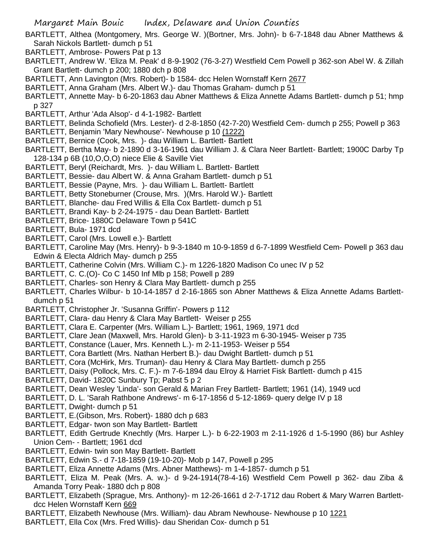- BARTLETT, Althea (Montgomery, Mrs. George W. )(Bortner, Mrs. John)- b 6-7-1848 dau Abner Matthews & Sarah Nickols Bartlett- dumch p 51
- BARTLETT, Ambrose- Powers Pat p 13
- BARTLETT, Andrew W. 'Eliza M. Peak' d 8-9-1902 (76-3-27) Westfield Cem Powell p 362-son Abel W. & Zillah Grant Bartlett- dumch p 200; 1880 dch p 808
- BARTLETT, Ann Lavington (Mrs. Robert)- b 1584- dcc Helen Wornstaff Kern 2677
- BARTLETT, Anna Graham (Mrs. Albert W.)- dau Thomas Graham- dumch p 51
- BARTLETT, Annette May- b 6-20-1863 dau Abner Matthews & Eliza Annette Adams Bartlett- dumch p 51; hmp p 327
- BARTLETT, Arthur 'Ada Alsop'- d 4-1-1982- Bartlett
- BARTLETT, Belinda Schofield (Mrs. Lester)- d 2-8-1850 (42-7-20) Westfield Cem- dumch p 255; Powell p 363
- BARTLETT, Benjamin 'Mary Newhouse'- Newhouse p 10 (1222)
- BARTLETT, Bernice (Cook, Mrs. )- dau William L. Bartlett- Bartlett
- BARTLETT, Bertha May- b 2-1890 d 3-16-1961 dau William J. & Clara Neer Bartlett- Bartlett; 1900C Darby Tp 128-134 p 6B (10,O,O,O) niece Elie & Saville Viet
- BARTLETT, Beryl (Reichardt, Mrs. )- dau William L. Bartlett- Bartlett
- BARTLETT, Bessie- dau Albert W. & Anna Graham Bartlett- dumch p 51
- BARTLETT, Bessie (Payne, Mrs. )- dau William L. Bartlett- Bartlett
- BARTLETT, Betty Stoneburner (Crouse, Mrs. )(Mrs. Harold W.)- Bartlett
- BARTLETT, Blanche- dau Fred Willis & Ella Cox Bartlett- dumch p 51
- BARTLETT, Brandi Kay- b 2-24-1975 dau Dean Bartlett- Bartlett
- BARTLETT, Brice- 1880C Delaware Town p 541C
- BARTLETT, Bula- 1971 dcd
- BARTLETT, Carol (Mrs. Lowell e.)- Bartlett
- BARTLETT, Caroline May (Mrs. Henry)- b 9-3-1840 m 10-9-1859 d 6-7-1899 Westfield Cem- Powell p 363 dau Edwin & Electa Aldrich May- dumch p 255
- BARTLETT, Catherine Colvin (Mrs. William C.)- m 1226-1820 Madison Co unec IV p 52
- BARTLETT, C. C.(O)- Co C 1450 Inf Mlb p 158; Powell p 289
- BARTLETT, Charles- son Henry & Clara May Bartlett- dumch p 255
- BARTLETT, Charles Wilbur- b 10-14-1857 d 2-16-1865 son Abner Matthews & Eliza Annette Adams Bartlettdumch p 51
- BARTLETT, Christopher Jr. 'Susanna Griffin'- Powers p 112
- BARTLETT, Clara- dau Henry & Clara May Bartlett- Weiser p 255
- BARTLETT, Clara E. Carpenter (Mrs. William L.)- Bartlett; 1961, 1969, 1971 dcd
- BARTLETT, Clare Jean (Maxwell, Mrs. Harold Glen)- b 3-11-1923 m 6-30-1945- Weiser p 735
- BARTLETT, Constance (Lauer, Mrs. Kenneth L.)- m 2-11-1953- Weiser p 554
- BARTLETT, Cora Bartlett (Mrs. Nathan Herbert B.)- dau Dwight Bartlett- dumch p 51
- BARTLETT, Cora (McHirk, Mrs. Truman)- dau Henry & Clara May Bartlett- dumch p 255
- BARTLETT, Daisy (Pollock, Mrs. C. F.)- m 7-6-1894 dau Elroy & Harriet Fisk Bartlett- dumch p 415
- BARTLETT, David- 1820C Sunbury Tp; Pabst 5 p 2
- BARTLETT, Dean Wesley 'Linda'- son Gerald & Marian Frey Bartlett- Bartlett; 1961 (14), 1949 ucd
- BARTLETT, D. L. 'Sarah Rathbone Andrews'- m 6-17-1856 d 5-12-1869- query delge IV p 18
- BARTLETT, Dwight- dumch p 51
- BARTLETT, E.(Gibson, Mrs. Robert)- 1880 dch p 683
- BARTLETT, Edgar- twon son May Bartlett- Bartlett
- BARTLETT, Edith Gertrude Knechtly (Mrs. Harper L.)- b 6-22-1903 m 2-11-1926 d 1-5-1990 (86) bur Ashley Union Cem- - Bartlett; 1961 dcd
- BARTLETT, Edwin- twin son May Bartlett- Bartlett
- BARTLETT, Edwin S.- d 7-18-1859 (19-10-20)- Mob p 147, Powell p 295
- BARTLETT, Eliza Annette Adams (Mrs. Abner Matthews)- m 1-4-1857- dumch p 51
- BARTLETT, Eliza M. Peak (Mrs. A. w.)- d 9-24-1914(78-4-16) Westfield Cem Powell p 362- dau Ziba & Amanda Torry Peak- 1880 dch p 808
- BARTLETT, Elizabeth (Sprague, Mrs. Anthony)- m 12-26-1661 d 2-7-1712 dau Robert & Mary Warren Bartlettdcc Helen Wornstaff Kern 669
- BARTLETT, Elizabeth Newhouse (Mrs. William)- dau Abram Newhouse- Newhouse p 10 1221
- BARTLETT, Ella Cox (Mrs. Fred Willis)- dau Sheridan Cox- dumch p 51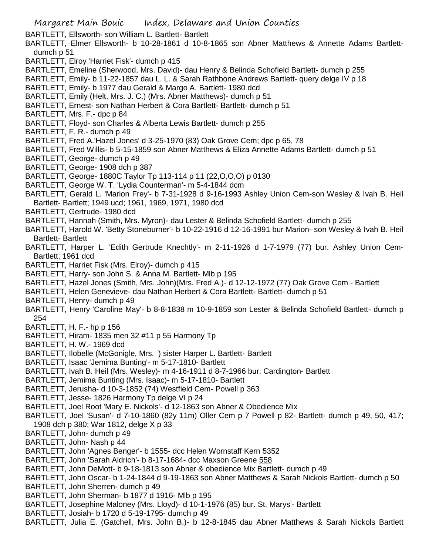BARTLETT, Ellsworth- son William L. Bartlett- Bartlett

- BARTLETT, Elmer Ellsworth- b 10-28-1861 d 10-8-1865 son Abner Matthews & Annette Adams Bartlettdumch p 51
- BARTLETT, Elroy 'Harriet Fisk'- dumch p 415
- BARTLETT, Emeline (Sherwood, Mrs. David)- dau Henry & Belinda Schofield Bartlett- dumch p 255
- BARTLETT, Emily- b 11-22-1857 dau L. L. & Sarah Rathbone Andrews Bartlett- query delge IV p 18
- BARTLETT, Emily- b 1977 dau Gerald & Margo A. Bartlett- 1980 dcd
- BARTLETT, Emily (Helt, Mrs. J. C.) (Mrs. Abner Matthews)- dumch p 51
- BARTLETT, Ernest- son Nathan Herbert & Cora Bartlett- Bartlett- dumch p 51
- BARTLETT, Mrs. F.- dpc p 84
- BARTLETT, Floyd- son Charles & Alberta Lewis Bartlett- dumch p 255
- BARTLETT, F. R.- dumch p 49
- BARTLETT, Fred A.'Hazel Jones' d 3-25-1970 (83) Oak Grove Cem; dpc p 65, 78
- BARTLETT, Fred Willis- b 5-15-1859 son Abner Matthews & Eliza Annette Adams Bartlett- dumch p 51
- BARTLETT, George- dumch p 49
- BARTLETT, George- 1908 dch p 387
- BARTLETT, George- 1880C Taylor Tp 113-114 p 11 (22,O,O,O) p 0130
- BARTLETT, George W. T. 'Lydia Counterman'- m 5-4-1844 dcm
- BARTLETT, Gerald L. 'Marion Frey'- b 7-31-1928 d 9-16-1993 Ashley Union Cem-son Wesley & Ivah B. Heil Bartlett- Bartlett; 1949 ucd; 1961, 1969, 1971, 1980 dcd
- BARTLETT, Gertrude- 1980 dcd
- BARTLETT, Hannah (Smith, Mrs. Myron)- dau Lester & Belinda Schofield Bartlett- dumch p 255
- BARTLETT, Harold W. 'Betty Stoneburner'- b 10-22-1916 d 12-16-1991 bur Marion- son Wesley & Ivah B. Heil Bartlett- Bartlett
- BARTLETT, Harper L. 'Edith Gertrude Knechtly'- m 2-11-1926 d 1-7-1979 (77) bur. Ashley Union Cem-Bartlett; 1961 dcd
- BARTLETT, Harriet Fisk (Mrs. Elroy)- dumch p 415
- BARTLETT, Harry- son John S. & Anna M. Bartlett- Mlb p 195
- BARTLETT, Hazel Jones (Smith, Mrs. John)(Mrs. Fred A.)- d 12-12-1972 (77) Oak Grove Cem Bartlett
- BARTLETT, Helen Genevieve- dau Nathan Herbert & Cora Bartlett- Bartlett- dumch p 51
- BARTLETT, Henry- dumch p 49
- BARTLETT, Henry 'Caroline May'- b 8-8-1838 m 10-9-1859 son Lester & Belinda Schofield Bartlett- dumch p 254
- BARTLETT, H. F.- hp p 156
- BARTLETT, Hiram- 1835 men 32 #11 p 55 Harmony Tp
- BARTLETT, H. W.- 1969 dcd
- BARTLETT, Ilobelle (McGonigle, Mrs. ) sister Harper L. Bartlett- Bartlett
- BARTLETT, Isaac 'Jemima Bunting'- m 5-17-1810- Bartlett
- BARTLETT, Ivah B. Heil (Mrs. Wesley)- m 4-16-1911 d 8-7-1966 bur. Cardington- Bartlett
- BARTLETT, Jemima Bunting (Mrs. Isaac)- m 5-17-1810- Bartlett
- BARTLETT, Jerusha- d 10-3-1852 (74) Westfield Cem- Powell p 363
- BARTLETT, Jesse- 1826 Harmony Tp delge VI p 24
- BARTLETT, Joel Root 'Mary E. Nickols'- d 12-1863 son Abner & Obedience Mix
- BARTLETT, Joel 'Susan'- d 7-10-1860 (82y 11m) Oller Cem p 7 Powell p 82- Bartlett- dumch p 49, 50, 417; 1908 dch p 380; War 1812, delge X p 33
- BARTLETT, John- dumch p 49
- BARTLETT, John- Nash p 44
- BARTLETT, John 'Agnes Benger'- b 1555- dcc Helen Wornstaff Kern 5352
- BARTLETT, John 'Sarah Aldrich'- b 8-17-1684- dcc Maxson Greene 558
- BARTLETT, John DeMott- b 9-18-1813 son Abner & obedience Mix Bartlett- dumch p 49
- BARTLETT, John Oscar- b 1-24-1844 d 9-19-1863 son Abner Matthews & Sarah Nickols Bartlett- dumch p 50 BARTLETT, John Sherren- dumch p 49
- BARTLETT, John Sherman- b 1877 d 1916- Mlb p 195
- BARTLETT, Josephine Maloney (Mrs. Lloyd)- d 10-1-1976 (85) bur. St. Marys'- Bartlett
- BARTLETT, Josiah- b 1720 d 5-19-1795- dumch p 49
- BARTLETT, Julia E. (Gatchell, Mrs. John B.)- b 12-8-1845 dau Abner Matthews & Sarah Nickols Bartlett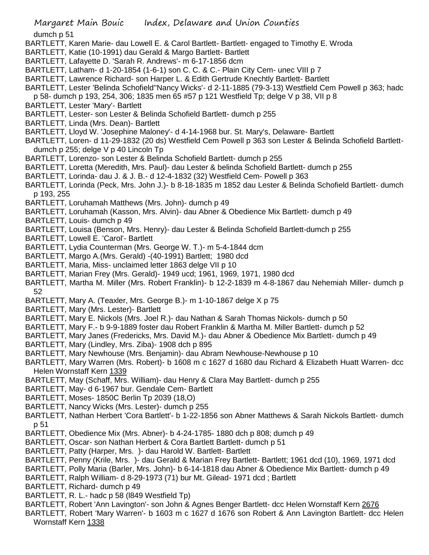dumch p 51

- BARTLETT, Karen Marie- dau Lowell E. & Carol Bartlett- Bartlett- engaged to Timothy E. Wroda
- BARTLETT, Katie (10-1991) dau Gerald & Margo Bartlett- Bartlett
- BARTLETT, Lafayette D. 'Sarah R. Andrews'- m 6-17-1856 dcm
- BARTLETT, Latham- d 1-20-1854 (1-6-1) son C. C. & C.- Plain City Cem- unec VIII p 7
- BARTLETT, Lawrence Richard- son Harper L. & Edith Gertrude Knechtly Bartlett- Bartlett
- BARTLETT, Lester 'Belinda Schofield''Nancy Wicks'- d 2-11-1885 (79-3-13) Westfield Cem Powell p 363; hadc
- p 58- dumch p 193, 254, 306; 1835 men 65 #57 p 121 Westfield Tp; delge V p 38, VII p 8
- BARTLETT, Lester 'Mary'- Bartlett
- BARTLETT, Lester- son Lester & Belinda Schofield Bartlett- dumch p 255
- BARTLETT, Linda (Mrs. Dean)- Bartlett
- BARTLETT, Lloyd W. 'Josephine Maloney'- d 4-14-1968 bur. St. Mary's, Delaware- Bartlett
- BARTLETT, Loren- d 11-29-1832 (20 ds) Westfield Cem Powell p 363 son Lester & Belinda Schofield Bartlettdumch p 255; delge V p 40 Lincoln Tp
- BARTLETT, Lorenzo- son Lester & Belinda Schofield Bartlett- dumch p 255
- BARTLETT, Loretta (Meredith, Mrs. Paul)- dau Lester & belinda Schofield Bartlett- dumch p 255
- BARTLETT, Lorinda- dau J. & J. B.- d 12-4-1832 (32) Westfield Cem- Powell p 363
- BARTLETT, Lorinda (Peck, Mrs. John J.)- b 8-18-1835 m 1852 dau Lester & Belinda Schofield Bartlett- dumch p 193, 255
- BARTLETT, Loruhamah Matthews (Mrs. John)- dumch p 49
- BARTLETT, Loruhamah (Kasson, Mrs. Alvin)- dau Abner & Obedience Mix Bartlett- dumch p 49
- BARTLETT, Louis- dumch p 49
- BARTLETT, Louisa (Benson, Mrs. Henry)- dau Lester & Belinda Schofield Bartlett-dumch p 255
- BARTLETT, Lowell E. 'Carol'- Bartlett
- BARTLETT, Lydia Counterman (Mrs. George W. T.)- m 5-4-1844 dcm
- BARTLETT, Margo A.(Mrs. Gerald) -(40-1991) Bartlett; 1980 dcd
- BARTLETT, Maria, Miss- unclaimed letter 1863 delge VII p 10
- BARTLETT, Marian Frey (Mrs. Gerald)- 1949 ucd; 1961, 1969, 1971, 1980 dcd
- BARTLETT, Martha M. Miller (Mrs. Robert Franklin)- b 12-2-1839 m 4-8-1867 dau Nehemiah Miller- dumch p 52
- BARTLETT, Mary A. (Teaxler, Mrs. George B.)- m 1-10-1867 delge X p 75
- BARTLETT, Mary (Mrs. Lester)- Bartlett
- BARTLETT, Mary E. Nickols (Mrs. Joel R.)- dau Nathan & Sarah Thomas Nickols- dumch p 50
- BARTLETT, Mary F.- b 9-9-1889 foster dau Robert Franklin & Martha M. Miller Bartlett- dumch p 52
- BARTLETT, Mary Janes (Fredericks, Mrs. David M.)- dau Abner & Obedience Mix Bartlett- dumch p 49
- BARTLETT, Mary (Lindley, Mrs. Ziba)- 1908 dch p 895
- BARTLETT, Mary Newhouse (Mrs. Benjamin)- dau Abram Newhouse-Newhouse p 10
- BARTLETT, Mary Warren (Mrs. Robert)- b 1608 m c 1627 d 1680 dau Richard & Elizabeth Huatt Warren- dcc Helen Wornstaff Kern 1339
- BARTLETT, May (Schaff, Mrs. William)- dau Henry & Clara May Bartlett- dumch p 255
- BARTLETT, May- d 6-1967 bur. Gendale Cem- Bartlett
- BARTLETT, Moses- 1850C Berlin Tp 2039 (18,O)
- BARTLETT, Nancy Wicks (Mrs. Lester)- dumch p 255
- BARTLETT, Nathan Herbert 'Cora Bartlett'- b 1-22-1856 son Abner Matthews & Sarah Nickols Bartlett- dumch p 51
- BARTLETT, Obedience Mix (Mrs. Abner)- b 4-24-1785- 1880 dch p 808; dumch p 49
- BARTLETT, Oscar- son Nathan Herbert & Cora Bartlett Bartlett- dumch p 51
- BARTLETT, Patty (Harper, Mrs. )- dau Harold W. Bartlett- Bartlett
- BARTLETT, Penny (Krile, Mrs. )- dau Gerald & Marian Frey Bartlett- Bartlett; 1961 dcd (10), 1969, 1971 dcd
- BARTLETT, Polly Maria (Barler, Mrs. John)- b 6-14-1818 dau Abner & Obedience Mix Bartlett- dumch p 49
- BARTLETT, Ralph William- d 8-29-1973 (71) bur Mt. Gilead- 1971 dcd ; Bartlett
- BARTLETT, Richard- dumch p 49
- BARTLETT, R. L.- hadc p 58 (l849 Westfield Tp)
- BARTLETT, Robert 'Ann Lavington'- son John & Agnes Benger Bartlett- dcc Helen Wornstaff Kern 2676
- BARTLETT, Robert 'Mary Warren'- b 1603 m c 1627 d 1676 son Robert & Ann Lavington Bartlett- dcc Helen Wornstaff Kern 1338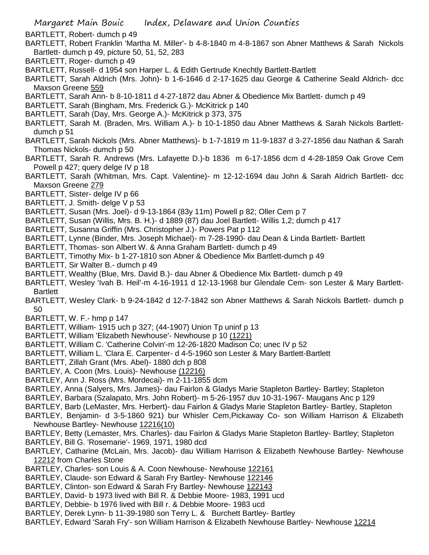- BARTLETT, Robert- dumch p 49
- BARTLETT, Robert Franklin 'Martha M. Miller'- b 4-8-1840 m 4-8-1867 son Abner Matthews & Sarah Nickols Bartlett- dumch p 49, picture 50, 51, 52, 283
- BARTLETT, Roger- dumch p 49
- BARTLETT, Russell- d 1954 son Harper L. & Edith Gertrude Knechtly Bartlett-Bartlett
- BARTLETT, Sarah Aldrich (Mrs. John)- b 1-6-1646 d 2-17-1625 dau George & Catherine Seald Aldrich- dcc Maxson Greene 559
- BARTLETT, Sarah Ann- b 8-10-1811 d 4-27-1872 dau Abner & Obedience Mix Bartlett- dumch p 49
- BARTLETT, Sarah (Bingham, Mrs. Frederick G.)- McKitrick p 140
- BARTLETT, Sarah (Day, Mrs. George A.)- McKitrick p 373, 375
- BARTLETT, Sarah M. (Braden, Mrs. William A.)- b 10-1-1850 dau Abner Matthews & Sarah Nickols Bartlettdumch p 51
- BARTLETT, Sarah Nickols (Mrs. Abner Matthews)- b 1-7-1819 m 11-9-1837 d 3-27-1856 dau Nathan & Sarah Thomas Nickols- dumch p 50
- BARTLETT, Sarah R. Andrews (Mrs. Lafayette D.)-b 1836 m 6-17-1856 dcm d 4-28-1859 Oak Grove Cem Powell p 427; query delge IV p 18
- BARTLETT, Sarah (Whitman, Mrs. Capt. Valentine)- m 12-12-1694 dau John & Sarah Aldrich Bartlett- dcc Maxson Greene 279
- BARTLETT, Sister- delge IV p 66
- BARTLETT, J. Smith- delge V p 53
- BARTLETT, Susan (Mrs. Joel)- d 9-13-1864 (83y 11m) Powell p 82; Oller Cem p 7
- BARTLETT, Susan (Willis, Mrs. B. H.)- d 1889 (87) dau Joel Bartlett- Willis 1,2; dumch p 417
- BARTLETT, Susanna Griffin (Mrs. Christopher J.)- Powers Pat p 112
- BARTLETT, Lynne (Binder, Mrs. Joseph Michael)- m 7-28-1990- dau Dean & Linda Bartlett- Bartlett
- BARTLETT, Thomas- son Albert W. & Anna Graham Bartlett- dumch p 49
- BARTLETT, Timothy Mix- b 1-27-1810 son Abner & Obedience Mix Bartlett-dumch p 49
- BARTLETT, Sir Walter B.- dumch p 49
- BARTLETT, Wealthy (Blue, Mrs. David B.)- dau Abner & Obedience Mix Bartlett- dumch p 49
- BARTLETT, Wesley 'Ivah B. Heil'-m 4-16-1911 d 12-13-1968 bur Glendale Cem- son Lester & Mary Bartlett-**Bartlett**
- BARTLETT, Wesley Clark- b 9-24-1842 d 12-7-1842 son Abner Matthews & Sarah Nickols Bartlett- dumch p 50
- BARTLETT, W. F.- hmp p 147
- BARTLETT, William- 1915 uch p 327; (44-1907) Union Tp uninf p 13
- BARTLETT, William 'Elizabeth Newhouse'- Newhouse p 10 (1221)
- BARTLETT, William C. 'Catherine Colvin'-m 12-26-1820 Madison Co; unec IV p 52
- BARTLETT, William L. 'Clara E. Carpenter- d 4-5-1960 son Lester & Mary Bartlett-Bartlett
- BARTLETT, Zillah Grant (Mrs. Abel)- 1880 dch p 808
- BARTLEY, A. Coon (Mrs. Louis)- Newhouse (12216)
- BARTLEY, Ann J. Ross (Mrs. Mordecai)- m 2-11-1855 dcm
- BARTLEY, Anna (Salyers, Mrs. James)- dau Fairlon & Gladys Marie Stapleton Bartley- Bartley; Stapleton
- BARTLEY, Barbara (Szalapato, Mrs. John Robert)- m 5-26-1957 duv 10-31-1967- Maugans Anc p 129
- BARTLEY, Barb (LeMaster, Mrs. Herbert)- dau Fairlon & Gladys Marie Stapleton Bartley- Bartley, Stapleton
- BARTLEY, Benjamin- d 3-5-1860 921) bur Whisler Cem,Pickaway Co- son William Harrison & Elizabeth Newhouse Bartley- Newhouse 12216(10)
- BARTLEY, Betty (Lemaster, Mrs. Charles)- dau Fairlon & Gladys Marie Stapleton Bartley- Bartley; Stapleton BARTLEY, Bill G. 'Rosemarie'- 1969, 1971, 1980 dcd
- BARTLEY, Catharine (McLain, Mrs. Jacob)- dau William Harrison & Elizabeth Newhouse Bartley- Newhouse 12212 from Charles Stone
- BARTLEY, Charles- son Louis & A. Coon Newhouse- Newhouse 122161
- BARTLEY, Claude- son Edward & Sarah Fry Bartley- Newhouse 122146
- BARTLEY, Clinton- son Edward & Sarah Fry Bartley- Newhouse 122143
- BARTLEY, David- b 1973 lived with Bill R. & Debbie Moore- 1983, 1991 ucd
- BARTLEY, Debbie- b 1976 lived with Bill r. & Debbie Moore- 1983 ucd
- BARTLEY, Derek Lynn- b 11-39-1980 son Terry L. & Burchett Bartley- Bartley
- BARTLEY, Edward 'Sarah Fry'- son William Harrison & Elizabeth Newhouse Bartley- Newhouse 12214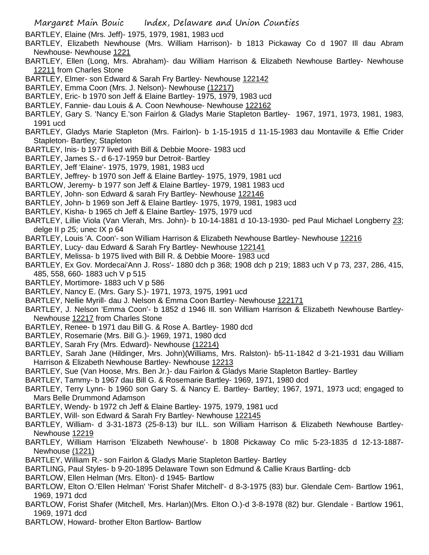- BARTLEY, Elaine (Mrs. Jeff)- 1975, 1979, 1981, 1983 ucd
- BARTLEY, Elizabeth Newhouse (Mrs. William Harrison)- b 1813 Pickaway Co d 1907 Ill dau Abram Newhouse- Newhouse 1221
- BARTLEY, Ellen (Long, Mrs. Abraham)- dau William Harrison & Elizabeth Newhouse Bartley- Newhouse 12211 from Charles Stone
- BARTLEY, Elmer- son Edward & Sarah Fry Bartley- Newhouse 122142
- BARTLEY, Emma Coon (Mrs. J. Nelson)- Newhouse (12217)
- BARTLEY, Eric- b 1970 son Jeff & Elaine Bartley- 1975, 1979, 1983 ucd
- BARTLEY, Fannie- dau Louis & A. Coon Newhouse- Newhouse 122162
- BARTLEY, Gary S. 'Nancy E.'son Fairlon & Gladys Marie Stapleton Bartley- 1967, 1971, 1973, 1981, 1983, 1991 ucd
- BARTLEY, Gladys Marie Stapleton (Mrs. Fairlon)- b 1-15-1915 d 11-15-1983 dau Montaville & Effie Crider Stapleton- Bartley; Stapleton
- BARTLEY, Inis- b 1977 lived with Bill & Debbie Moore- 1983 ucd
- BARTLEY, James S.- d 6-17-1959 bur Detroit- Bartley
- BARTLEY, Jeff 'Elaine'- 1975, 1979, 1981, 1983 ucd
- BARTLEY, Jeffrey- b 1970 son Jeff & Elaine Bartley- 1975, 1979, 1981 ucd
- BARTLOW, Jeremy- b 1977 son Jeff & Elaine Bartley- 1979, 1981 1983 ucd
- BARTLEY, John- son Edward & sarah Fry Bartley- Newhouse 122146
- BARTLEY, John- b 1969 son Jeff & Elaine Bartley- 1975, 1979, 1981, 1983 ucd
- BARTLEY, Kisha- b 1965 ch Jeff & Elaine Bartley- 1975, 1979 ucd
- BARTLEY, Lillie Viola (Van Vlerah, Mrs. John)- b 10-14-1881 d 10-13-1930- ped Paul Michael Longberry 23; delge II p 25; unec IX p 64
- BARTLEY, Louis 'A. Coon'- son William Harrison & Elizabeth Newhouse Bartley- Newhouse 12216
- BARTLEY, Lucy- dau Edward & Sarah Fry Bartley- Newhouse 122141
- BARTLEY, Melissa- b 1975 lived with Bill R. & Debbie Moore- 1983 ucd
- BARTLEY, Ex Gov. Mordecai'Ann J. Ross'- 1880 dch p 368; 1908 dch p 219; 1883 uch V p 73, 237, 286, 415, 485, 558, 660- 1883 uch V p 515
- BARTLEY, Mortimore- 1883 uch V p 586
- BARTLEY, Nancy E. (Mrs. Gary S.)- 1971, 1973, 1975, 1991 ucd
- BARTLEY, Nellie Myrill- dau J. Nelson & Emma Coon Bartley- Newhouse 122171
- BARTLEY, J. Nelson 'Emma Coon'- b 1852 d 1946 Ill. son William Harrison & Elizabeth Newhouse Bartley-Newhouse 12217 from Charles Stone
- BARTLEY, Renee- b 1971 dau Bill G. & Rose A. Bartley- 1980 dcd
- BARTLEY, Rosemarie (Mrs. Bill G.)- 1969, 1971, 1980 dcd
- BARTLEY, Sarah Fry (Mrs. Edward)- Newhouse (12214)
- BARTLEY, Sarah Jane (Hildinger, Mrs. John)(Williams, Mrs. Ralston)- b5-11-1842 d 3-21-1931 dau William Harrison & Elizabeth Newhouse Bartley- Newhouse 12213
- BARTLEY, Sue (Van Hoose, Mrs. Ben Jr.)- dau Fairlon & Gladys Marie Stapleton Bartley- Bartley
- BARTLEY, Tammy- b 1967 dau Bill G. & Rosemarie Bartley- 1969, 1971, 1980 dcd
- BARTLEY, Terry Lynn- b 1960 son Gary S. & Nancy E. Bartley- Bartley; 1967, 1971, 1973 ucd; engaged to Mars Belle Drummond Adamson
- BARTLEY, Wendy- b 1972 ch Jeff & Elaine Bartley- 1975, 1979, 1981 ucd
- BARTLEY, Will- son Edward & Sarah Fry Bartley- Newhouse 122145
- BARTLEY, William- d 3-31-1873 (25-8-13) bur ILL. son William Harrison & Elizabeth Newhouse Bartley-Newhouse 12219
- BARTLEY, William Harrison 'Elizabeth Newhouse'- b 1808 Pickaway Co mlic 5-23-1835 d 12-13-1887- Newhouse (1221)
- BARTLEY, William R.- son Fairlon & Gladys Marie Stapleton Bartley- Bartley
- BARTLING, Paul Styles- b 9-20-1895 Delaware Town son Edmund & Callie Kraus Bartling- dcb
- BARTLOW, Ellen Helman (Mrs. Elton)- d 1945- Bartlow
- BARTLOW, Elton O.'Ellen Helman' 'Forist Shafer Mitchell'- d 8-3-1975 (83) bur. Glendale Cem- Bartlow 1961, 1969, 1971 dcd
- BARTLOW, Forist Shafer (Mitchell, Mrs. Harlan)(Mrs. Elton O.)-d 3-8-1978 (82) bur. Glendale Bartlow 1961, 1969, 1971 dcd
- BARTLOW, Howard- brother Elton Bartlow- Bartlow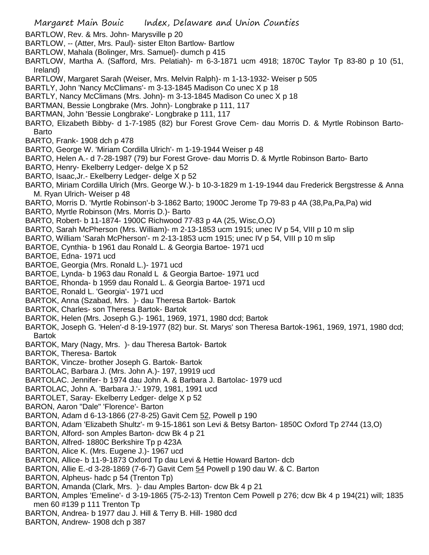Margaret Main Bouic Index, Delaware and Union Counties BARTLOW, Rev. & Mrs. John- Marysville p 20 BARTLOW, -- (Atter, Mrs. Paul)- sister Elton Bartlow- Bartlow BARTLOW, Mahala (Bolinger, Mrs. Samuel)- dumch p 415 BARTLOW, Martha A. (Safford, Mrs. Pelatiah)- m 6-3-1871 ucm 4918; 1870C Taylor Tp 83-80 p 10 (51, Ireland) BARTLOW, Margaret Sarah (Weiser, Mrs. Melvin Ralph)- m 1-13-1932- Weiser p 505 BARTLY, John 'Nancy McClimans'- m 3-13-1845 Madison Co unec X p 18 BARTLY, Nancy McClimans (Mrs. John)- m 3-13-1845 Madison Co unec X p 18 BARTMAN, Bessie Longbrake (Mrs. John)- Longbrake p 111, 117 BARTMAN, John 'Bessie Longbrake'- Longbrake p 111, 117 BARTO, Elizabeth Bibby- d 1-7-1985 (82) bur Forest Grove Cem- dau Morris D. & Myrtle Robinson Barto-Barto BARTO, Frank- 1908 dch p 478 BARTO, George W. 'Miriam Cordilla Ulrich'- m 1-19-1944 Weiser p 48 BARTO, Helen A.- d 7-28-1987 (79) bur Forest Grove- dau Morris D. & Myrtle Robinson Barto- Barto BARTO, Henry- Ekelberry Ledger- delge X p 52 BARTO, Isaac,Jr.- Ekelberry Ledger- delge X p 52 BARTO, Miriam Cordilla Ulrich (Mrs. George W.)- b 10-3-1829 m 1-19-1944 dau Frederick Bergstresse & Anna M. Ryan Ulrich- Weiser p 48 BARTO, Morris D. 'Myrtle Robinson'-b 3-1862 Barto; 1900C Jerome Tp 79-83 p 4A (38,Pa,Pa,Pa) wid BARTO, Myrtle Robinson (Mrs. Morris D.)- Barto BARTO, Robert- b 11-1874- 1900C Richwood 77-83 p 4A (25, Wisc,O,O) BARTO, Sarah McPherson (Mrs. William)- m 2-13-1853 ucm 1915; unec IV p 54, VIII p 10 m slip BARTO, William 'Sarah McPherson'- m 2-13-1853 ucm 1915; unec IV p 54, VIII p 10 m slip BARTOE, Cynthia- b 1961 dau Ronald L. & Georgia Bartoe- 1971 ucd BARTOE, Edna- 1971 ucd BARTOE, Georgia (Mrs. Ronald L.)- 1971 ucd BARTOE, Lynda- b 1963 dau Ronald L & Georgia Bartoe- 1971 ucd BARTOE, Rhonda- b 1959 dau Ronald L. & Georgia Bartoe- 1971 ucd BARTOE, Ronald L. 'Georgia'- 1971 ucd BARTOK, Anna (Szabad, Mrs. )- dau Theresa Bartok- Bartok BARTOK, Charles- son Theresa Bartok- Bartok BARTOK, Helen (Mrs. Joseph G.)- 1961, 1969, 1971, 1980 dcd; Bartok BARTOK, Joseph G. 'Helen'-d 8-19-1977 (82) bur. St. Marys' son Theresa Bartok-1961, 1969, 1971, 1980 dcd; Bartok BARTOK, Mary (Nagy, Mrs. )- dau Theresa Bartok- Bartok BARTOK, Theresa- Bartok BARTOK, Vincze- brother Joseph G. Bartok- Bartok BARTOLAC, Barbara J. (Mrs. John A.)- 197, 19919 ucd BARTOLAC. Jennifer- b 1974 dau John A. & Barbara J. Bartolac- 1979 ucd BARTOLAC, John A. 'Barbara J.'- 1979, 1981, 1991 ucd BARTOLET, Saray- Ekelberry Ledger- delge X p 52 BARON, Aaron "Dale" 'Florence'- Barton BARTON, Adam d 6-13-1866 (27-8-25) Gavit Cem 52, Powell p 190 BARTON, Adam 'Elizabeth Shultz'- m 9-15-1861 son Levi & Betsy Barton- 1850C Oxford Tp 2744 (13,O) BARTON, Alford- son Amples Barton- dcw Bk 4 p 21 BARTON, Alfred- 1880C Berkshire Tp p 423A BARTON, Alice K. (Mrs. Eugene J.)- 1967 ucd BARTON, Allice- b 11-9-1873 Oxford Tp dau Levi & Hettie Howard Barton- dcb BARTON, Allie E.-d 3-28-1869 (7-6-7) Gavit Cem 54 Powell p 190 dau W. & C. Barton BARTON, Alpheus- hadc p 54 (Trenton Tp) BARTON, Amanda (Clark, Mrs. )- dau Amples Barton- dcw Bk 4 p 21 BARTON, Amples 'Emeline'- d 3-19-1865 (75-2-13) Trenton Cem Powell p 276; dcw Bk 4 p 194(21) will; 1835 men 60 #139 p 111 Trenton Tp BARTON, Andrea- b 1977 dau J. Hill & Terry B. Hill- 1980 dcd BARTON, Andrew- 1908 dch p 387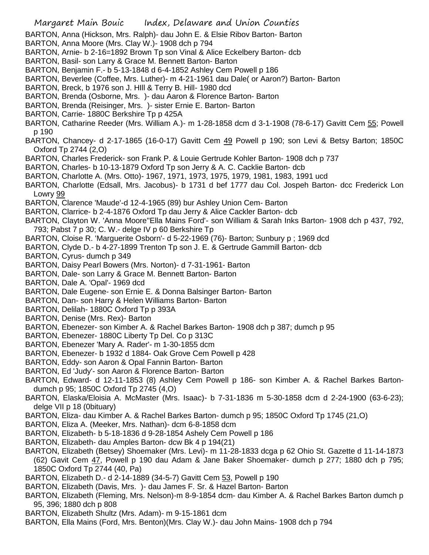BARTON, Anna (Hickson, Mrs. Ralph)- dau John E. & Elsie Ribov Barton- Barton

- BARTON, Anna Moore (Mrs. Clay W.)- 1908 dch p 794
- BARTON, Arnie- b 2-16=1892 Brown Tp son Vinal & Alice Eckelbery Barton- dcb
- BARTON, Basil- son Larry & Grace M. Bennett Barton- Barton
- BARTON, Benjamin F.- b 5-13-1848 d 6-4-1852 Ashley Cem Powell p 186
- BARTON, Beverlee (Coffee, Mrs. Luther)- m 4-21-1961 dau Dale( or Aaron?) Barton- Barton
- BARTON, Breck, b 1976 son J. HIll & Terry B. Hill- 1980 dcd
- BARTON, Brenda (Osborne, Mrs. )- dau Aaron & Florence Barton- Barton
- BARTON, Brenda (Reisinger, Mrs. )- sister Ernie E. Barton- Barton
- BARTON, Carrie- 1880C Berkshire Tp p 425A
- BARTON, Catharine Reeder (Mrs. William A.)- m 1-28-1858 dcm d 3-1-1908 (78-6-17) Gavitt Cem 55; Powell p 190
- BARTON, Chancey- d 2-17-1865 (16-0-17) Gavitt Cem 49 Powell p 190; son Levi & Betsy Barton; 1850C Oxford Tp 2744 (2,O)
- BARTON, Charles Frederick- son Frank P. & Louie Gertrude Kohler Barton- 1908 dch p 737
- BARTON, Charles- b 10-13-1879 Oxford Tp son Jerry & A. C. Cacklie Barton- dcb
- BARTON, Charlotte A. (Mrs. Otto)- 1967, 1971, 1973, 1975, 1979, 1981, 1983, 1991 ucd
- BARTON, Charlotte (Edsall, Mrs. Jacobus)- b 1731 d bef 1777 dau Col. Jospeh Barton- dcc Frederick Lon Lowry 99
- BARTON, Clarence 'Maude'-d 12-4-1965 (89) bur Ashley Union Cem- Barton
- BARTON, Clarrice- b 2-4-1876 Oxford Tp dau Jerry & Alice Cackler Barton- dcb
- BARTON, Clayton W. 'Anna Moore''Ella Mains Ford'- son William & Sarah Inks Barton- 1908 dch p 437, 792, 793; Pabst 7 p 30; C. W.- delge IV p 60 Berkshire Tp
- BARTON, Cloise R. 'Marguerite Osborn'- d 5-22-1969 (76)- Barton; Sunbury p ; 1969 dcd
- BARTON, Clyde D.- b 4-27-1899 Trenton Tp son J. E. & Gertrude Gammill Barton- dcb
- BARTON, Cyrus- dumch p 349
- BARTON, Daisy Pearl Bowers (Mrs. Norton)- d 7-31-1961- Barton
- BARTON, Dale- son Larry & Grace M. Bennett Barton- Barton
- BARTON, Dale A. 'Opal'- 1969 dcd
- BARTON, Dale Eugene- son Ernie E. & Donna Balsinger Barton- Barton
- BARTON, Dan- son Harry & Helen Williams Barton- Barton
- BARTON, Delilah- 1880C Oxford Tp p 393A
- BARTON, Denise (Mrs. Rex)- Barton
- BARTON, Ebenezer- son Kimber A. & Rachel Barkes Barton- 1908 dch p 387; dumch p 95
- BARTON, Ebenezer- 1880C Liberty Tp Del. Co p 313C
- BARTON, Ebenezer 'Mary A. Rader'- m 1-30-1855 dcm
- BARTON, Ebenezer- b 1932 d 1884- Oak Grove Cem Powell p 428
- BARTON, Eddy- son Aaron & Opal Fannin Barton- Barton
- BARTON, Ed 'Judy'- son Aaron & Florence Barton- Barton
- BARTON, Edward- d 12-11-1853 (8) Ashley Cem Powell p 186- son Kimber A. & Rachel Barkes Bartondumch p 95; 1850C Oxford Tp 2745 (4,O)
- BARTON, Elaska/Eloisia A. McMaster (Mrs. Isaac)- b 7-31-1836 m 5-30-1858 dcm d 2-24-1900 (63-6-23); delge VII p 18 (0bituary)
- BARTON, Eliza- dau Kimber A. & Rachel Barkes Barton- dumch p 95; 1850C Oxford Tp 1745 (21,O)
- BARTON, Eliza A. (Meeker, Mrs. Nathan)- dcm 6-8-1858 dcm
- BARTON, Elizabeth- b 5-18-1836 d 9-28-1854 Ashely Cem Powell p 186
- BARTON, Elizabeth- dau Amples Barton- dcw Bk 4 p 194(21)
- BARTON, Elizabeth (Betsey) Shoemaker (Mrs. Levi)- m 11-28-1833 dcga p 62 Ohio St. Gazette d 11-14-1873 (62) Gavit Cem 47, Powell p 190 dau Adam & Jane Baker Shoemaker- dumch p 277; 1880 dch p 795; 1850C Oxford Tp 2744 (40, Pa)
- BARTON, Elizabeth D.- d 2-14-1889 (34-5-7) Gavitt Cem 53, Powell p 190
- BARTON, Elizabeth (Davis, Mrs. )- dau James F. Sr. & Hazel Barton- Barton
- BARTON, Elizabeth (Fleming, Mrs. Nelson)-m 8-9-1854 dcm- dau Kimber A. & Rachel Barkes Barton dumch p 95, 396; 1880 dch p 808
- BARTON, Elizabeth Shultz (Mrs. Adam)- m 9-15-1861 dcm
- BARTON, Ella Mains (Ford, Mrs. Benton)(Mrs. Clay W.)- dau John Mains- 1908 dch p 794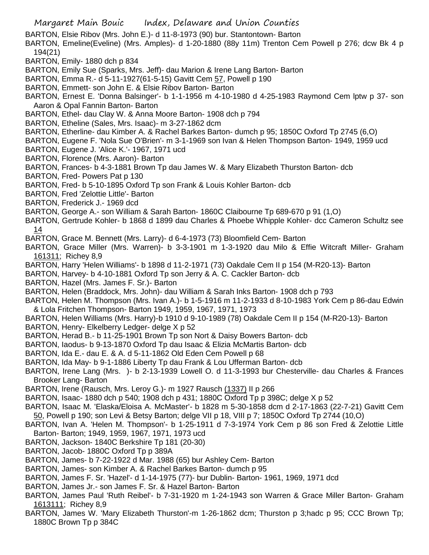BARTON, Elsie Ribov (Mrs. John E.)- d 11-8-1973 (90) bur. Stantontown- Barton

- BARTON, Emeline(Eveline) (Mrs. Amples)- d 1-20-1880 (88y 11m) Trenton Cem Powell p 276; dcw Bk 4 p 194(21)
- BARTON, Emily- 1880 dch p 834
- BARTON, Emily Sue (Sparks, Mrs. Jeff)- dau Marion & Irene Lang Barton- Barton
- BARTON, Emma R.- d 5-11-1927(61-5-15) Gavitt Cem 57, Powell p 190
- BARTON, Emmett- son John E. & Elsie Ribov Barton- Barton
- BARTON, Ernest E. 'Donna Balsinger'- b 1-1-1956 m 4-10-1980 d 4-25-1983 Raymond Cem lptw p 37- son Aaron & Opal Fannin Barton- Barton
- BARTON, Ethel- dau Clay W. & Anna Moore Barton- 1908 dch p 794
- BARTON, Etheline (Sales, Mrs. Isaac)- m 3-27-1862 dcm
- BARTON, Etherline- dau Kimber A. & Rachel Barkes Barton- dumch p 95; 1850C Oxford Tp 2745 (6,O)
- BARTON, Eugene F. 'Nola Sue O'Brien'- m 3-1-1969 son Ivan & Helen Thompson Barton- 1949, 1959 ucd
- BARTON, Eugene J. 'Alice K.'- 1967, 1971 ucd
- BARTON, Florence (Mrs. Aaron)- Barton
- BARTON, Frances- b 4-3-1881 Brown Tp dau James W. & Mary Elizabeth Thurston Barton- dcb
- BARTON, Fred- Powers Pat p 130
- BARTON, Fred- b 5-10-1895 Oxford Tp son Frank & Louis Kohler Barton- dcb
- BARTON, Fred 'Zelottie Little'- Barton
- BARTON, Frederick J.- 1969 dcd
- BARTON, George A.- son William & Sarah Barton- 1860C Claibourne Tp 689-670 p 91 (1,O)
- BARTON, Gertrude Kohler- b 1868 d 1899 dau Charles & Phoebe Whipple Kohler- dcc Cameron Schultz see 14
- BARTON, Grace M. Bennett (Mrs. Larry)- d 6-4-1973 (73) Bloomfield Cem- Barton
- BARTON, Grace Miller (Mrs. Warren)- b 3-3-1901 m 1-3-1920 dau Milo & Effie Witcraft Miller- Graham 161311; Richey 8,9
- BARTON, Harry 'Helen Williams'- b 1898 d 11-2-1971 (73) Oakdale Cem II p 154 (M-R20-13)- Barton
- BARTON, Harvey- b 4-10-1881 Oxford Tp son Jerry & A. C. Cackler Barton- dcb
- BARTON, Hazel (Mrs. James F. Sr.)- Barton
- BARTON, Helen (Braddock, Mrs. John)- dau William & Sarah Inks Barton- 1908 dch p 793
- BARTON, Helen M. Thompson (Mrs. Ivan A.)- b 1-5-1916 m 11-2-1933 d 8-10-1983 York Cem p 86-dau Edwin & Lola Fritchen Thompson- Barton 1949, 1959, 1967, 1971, 1973
- BARTON, Helen Williams (Mrs. Harry)-b 1910 d 9-10-1989 (78) Oakdale Cem II p 154 (M-R20-13)- Barton
- BARTON, Henry- Elkelberry Ledger- delge X p 52
- BARTON, Herad B.- b 11-25-1901 Brown Tp son Nort & Daisy Bowers Barton- dcb
- BARTON, Iaodus- b 9-13-1870 Oxford Tp dau Isaac & Elizia McMartis Barton- dcb
- BARTON, Ida E.- dau E. & A. d 5-11-1862 Old Eden Cem Powell p 68
- BARTON, Ida May- b 9-1-1886 Liberty Tp dau Frank & Lou Ufferman Barton- dcb
- BARTON, Irene Lang (Mrs. )- b 2-13-1939 Lowell O. d 11-3-1993 bur Chesterville- dau Charles & Frances Brooker Lang- Barton
- BARTON, Irene (Rausch, Mrs. Leroy G.)- m 1927 Rausch (1337) II p 266
- BARTON, Isaac- 1880 dch p 540; 1908 dch p 431; 1880C Oxford Tp p 398C; delge X p 52
- BARTON, Isaac M. 'Elaska/Eloisa A. McMaster'- b 1828 m 5-30-1858 dcm d 2-17-1863 (22-7-21) Gavitt Cem 50, Powell p 190; son Levi & Betsy Barton; delge VII p 18, VIII p 7; 1850C Oxford Tp 2744 (10,O)
- BARTON, Ivan A. 'Helen M. Thompson'- b 1-25-1911 d 7-3-1974 York Cem p 86 son Fred & Zelottie Little Barton- Barton; 1949, 1959, 1967, 1971, 1973 ucd
- BARTON, Jackson- 1840C Berkshire Tp 181 (20-30)
- BARTON, Jacob- 1880C Oxford Tp p 389A
- BARTON, James- b 7-22-1922 d Mar. 1988 (65) bur Ashley Cem- Barton
- BARTON, James- son Kimber A. & Rachel Barkes Barton- dumch p 95
- BARTON, James F. Sr. 'Hazel'- d 1-14-1975 (77)- bur Dublin- Barton- 1961, 1969, 1971 dcd
- BARTON, James Jr.- son James F. Sr. & Hazel Barton- Barton
- BARTON, James Paul 'Ruth Reibel'- b 7-31-1920 m 1-24-1943 son Warren & Grace Miller Barton- Graham 1613111; Richey 8,9
- BARTON, James W. 'Mary Elizabeth Thurston'-m 1-26-1862 dcm; Thurston p 3;hadc p 95; CCC Brown Tp; 1880C Brown Tp p 384C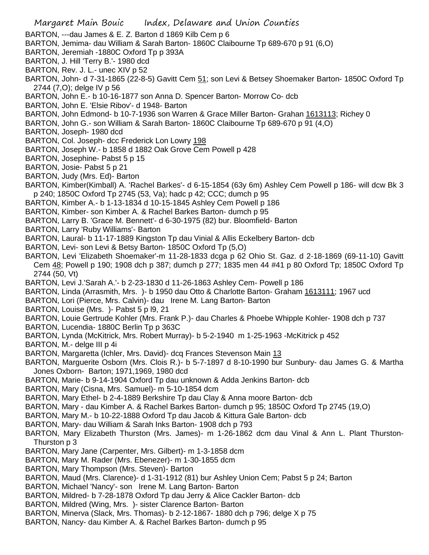- BARTON, ---dau James & E. Z. Barton d 1869 Kilb Cem p 6
- BARTON, Jemima- dau William & Sarah Barton- 1860C Claibourne Tp 689-670 p 91 (6,O)
- BARTON, Jeremiah -1880C Oxford Tp p 393A
- BARTON, J. Hill 'Terry B.'- 1980 dcd
- BARTON, Rev. J. L.- unec XIV p 52
- BARTON, John- d 7-31-1865 (22-8-5) Gavitt Cem 51; son Levi & Betsey Shoemaker Barton- 1850C Oxford Tp 2744 (7,O); delge IV p 56
- BARTON, John E.- b 10-16-1877 son Anna D. Spencer Barton- Morrow Co- dcb
- BARTON, John E. 'Elsie Ribov'- d 1948- Barton
- BARTON, John Edmond- b 10-7-1936 son Warren & Grace Miller Barton- Grahan 1613113; Richey 0
- BARTON, John G.- son William & Sarah Barton- 1860C Claibourne Tp 689-670 p 91 (4,O)
- BARTON, Joseph- 1980 dcd
- BARTON, Col. Joseph- dcc Frederick Lon Lowry 198
- BARTON, Joseph W.- b 1858 d 1882 Oak Grove Cem Powell p 428
- BARTON, Josephine- Pabst 5 p 15
- BARTON, Josie- Pabst 5 p 21
- BARTON, Judy (Mrs. Ed)- Barton
- BARTON, Kimber(Kimball) A. 'Rachel Barkes'- d 6-15-1854 (63y 6m) Ashley Cem Powell p 186- will dcw Bk 3 p 240; 1850C Oxford Tp 2745 (53, Va); hadc p 42; CCC; dumch p 95
- BARTON, Kimber A.- b 1-13-1834 d 10-15-1845 Ashley Cem Powell p 186
- BARTON, Kimber- son Kimber A. & Rachel Barkes Barton- dumch p 95
- BARTON, Larry B. 'Grace M. Bennett'- d 6-30-1975 (82) bur. Bloomfield- Barton
- BARTON, Larry 'Ruby Williams'- Barton
- BARTON, Laural- b 11-17-1889 Kingston Tp dau Vinial & Allis Eckelbery Barton- dcb
- BARTON, Levi- son Levi & Betsy Barton- 1850C Oxford Tp (5,O)
- BARTON, Levi 'Elizabeth Shoemaker'-m 11-28-1833 dcga p 62 Ohio St. Gaz. d 2-18-1869 (69-11-10) Gavitt Cem 48; Powell p 190; 1908 dch p 387; dumch p 277; 1835 men 44 #41 p 80 Oxford Tp; 1850C Oxford Tp 2744 (50, Vt)
- BARTON, Levi J.'Sarah A.'- b 2-23-1830 d 11-26-1863 Ashley Cem- Powell p 186
- BARTON, Linda (Arrasmith, Mrs. )- b 1950 dau Otto & Charlotte Barton- Graham 1613111; 1967 ucd
- BARTON, Lori (Pierce, Mrs. Calvin)- dau Irene M. Lang Barton- Barton
- BARTON, Louise (Mrs. )- Pabst 5 p l9, 21
- BARTON, Louie Gertrude Kohler (Mrs. Frank P.)- dau Charles & Phoebe Whipple Kohler- 1908 dch p 737
- BARTON, Lucendia- 1880C Berlin Tp p 363C
- BARTON, Lynda (McKitrick, Mrs. Robert Murray)- b 5-2-1940 m 1-25-1963 -McKitrick p 452
- BARTON, M.- delge III p 4i
- BARTON, Margaretta (Ichler, Mrs. David)- dcq Frances Stevenson Main 13
- BARTON, Marguerite Osborn (Mrs. Clois R.)- b 5-7-1897 d 8-10-1990 bur Sunbury- dau James G. & Martha Jones Oxborn- Barton; 1971,1969, 1980 dcd
- BARTON, Marie- b 9-14-1904 Oxford Tp dau unknown & Adda Jenkins Barton- dcb
- BARTON, Mary (Cisna, Mrs. Samuel)- m 5-10-1854 dcm
- BARTON, Mary Ethel- b 2-4-1889 Berkshire Tp dau Clay & Anna moore Barton- dcb
- BARTON, Mary dau Kimber A. & Rachel Barkes Barton- dumch p 95; 1850C Oxford Tp 2745 (19,O)
- BARTON, Mary M.- b 10-22-1888 Oxford Tp dau Jacob & Kittura Gale Barton- dcb
- BARTON, Mary- dau William & Sarah Inks Barton- 1908 dch p 793
- BARTON, Mary Elizabeth Thurston (Mrs. James)- m 1-26-1862 dcm dau Vinal & Ann L. Plant Thurston-Thurston p 3
- BARTON, Mary Jane (Carpenter, Mrs. Gilbert)- m 1-3-1858 dcm
- BARTON, Mary M. Rader (Mrs. Ebenezer)- m 1-30-1855 dcm
- BARTON, Mary Thompson (Mrs. Steven)- Barton
- BARTON, Maud (Mrs. Clarence)- d 1-31-1912 (81) bur Ashley Union Cem; Pabst 5 p 24; Barton
- BARTON, Michael 'Nancy'- son Irene M. Lang Barton- Barton
- BARTON, Mildred- b 7-28-1878 Oxford Tp dau Jerry & Alice Cackler Barton- dcb
- BARTON, Mildred (Wing, Mrs. )- sister Clarence Barton- Barton
- BARTON, Minerva (Slack, Mrs. Thomas)- b 2-12-1867- 1880 dch p 796; delge X p 75
- BARTON, Nancy- dau Kimber A. & Rachel Barkes Barton- dumch p 95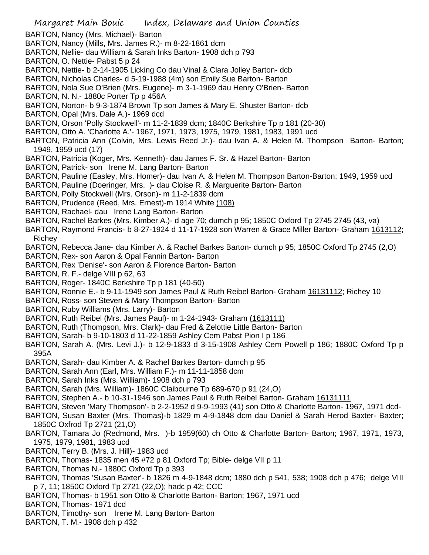- Margaret Main Bouic Index, Delaware and Union Counties
- BARTON, Nancy (Mrs. Michael)- Barton
- BARTON, Nancy (Mills, Mrs. James R.)- m 8-22-1861 dcm
- BARTON, Nellie- dau William & Sarah Inks Barton- 1908 dch p 793
- BARTON, O. Nettie- Pabst 5 p 24
- BARTON, Nettie- b 2-14-1905 Licking Co dau Vinal & Clara Jolley Barton- dcb
- BARTON, Nicholas Charles- d 5-19-1988 (4m) son Emily Sue Barton- Barton
- BARTON, Nola Sue O'Brien (Mrs. Eugene)- m 3-1-1969 dau Henry O'Brien- Barton
- BARTON, N. N.- 1880c Porter Tp p 456A
- BARTON, Norton- b 9-3-1874 Brown Tp son James & Mary E. Shuster Barton- dcb
- BARTON, Opal (Mrs. Dale A.)- 1969 dcd
- BARTON, Orson 'Polly Stockwell'- m 11-2-1839 dcm; 1840C Berkshire Tp p 181 (20-30)
- BARTON, Otto A. 'Charlotte A.'- 1967, 1971, 1973, 1975, 1979, 1981, 1983, 1991 ucd
- BARTON, Patricia Ann (Colvin, Mrs. Lewis Reed Jr.)- dau Ivan A. & Helen M. Thompson Barton- Barton; 1949, 1959 ucd (17)
- BARTON, Patricia (Koger, Mrs. Kenneth)- dau James F. Sr. & Hazel Barton- Barton
- BARTON, Patrick- son Irene M. Lang Barton- Barton
- BARTON, Pauline (Easley, Mrs. Homer)- dau Ivan A. & Helen M. Thompson Barton-Barton; 1949, 1959 ucd
- BARTON, Pauline (Doeringer, Mrs. )- dau Cloise R. & Marguerite Barton- Barton
- BARTON, Polly Stockwell (Mrs. Orson)- m 11-2-1839 dcm
- BARTON, Prudence (Reed, Mrs. Ernest)-m 1914 White (108)
- BARTON, Rachael- dau Irene Lang Barton- Barton
- BARTON, Rachel Barkes (Mrs. Kimber A.)- d age 70; dumch p 95; 1850C Oxford Tp 2745 2745 (43, va)
- BARTON, Raymond Francis- b 8-27-1924 d 11-17-1928 son Warren & Grace Miller Barton- Graham 1613112; Richey
- BARTON, Rebecca Jane- dau Kimber A. & Rachel Barkes Barton- dumch p 95; 1850C Oxford Tp 2745 (2,O)
- BARTON, Rex- son Aaron & Opal Fannin Barton- Barton
- BARTON, Rex 'Denise'- son Aaron & Florence Barton- Barton
- BARTON, R. F.- delge VIII p 62, 63
- BARTON, Roger- 1840C Berkshire Tp p 181 (40-50)
- BARTON, Ronnie E.- b 9-11-1949 son James Paul & Ruth Reibel Barton- Graham 16131112; Richey 10
- BARTON, Ross- son Steven & Mary Thompson Barton- Barton
- BARTON, Ruby Williams (Mrs. Larry)- Barton
- BARTON, Ruth Reibel (Mrs. James Paul)- m 1-24-1943- Graham (1613111)
- BARTON, Ruth (Thompson, Mrs. Clark)- dau Fred & Zelottie Little Barton- Barton
- BARTON, Sarah- b 9-10-1803 d 11-22-1859 Ashley Cem Pabst Pion I p 186
- BARTON, Sarah A. (Mrs. Levi J.)- b 12-9-1833 d 3-15-1908 Ashley Cem Powell p 186; 1880C Oxford Tp p 395A
- BARTON, Sarah- dau Kimber A. & Rachel Barkes Barton- dumch p 95
- BARTON, Sarah Ann (Earl, Mrs. William F.)- m 11-11-1858 dcm
- BARTON, Sarah Inks (Mrs. William)- 1908 dch p 793
- BARTON, Sarah (Mrs. William)- 1860C Claibourne Tp 689-670 p 91 (24,O)
- BARTON, Stephen A.- b 10-31-1946 son James Paul & Ruth Reibel Barton- Graham 16131111
- BARTON, Steven 'Mary Thompson'- b 2-2-1952 d 9-9-1993 (41) son Otto & Charlotte Barton- 1967, 1971 dcd-
- BARTON, Susan Baxter (Mrs. Thomas)-b 1829 m 4-9-1848 dcm dau Daniel & Sarah Herod Baxter- Baxter; 1850C Oxfrod Tp 2721 (21,O)
- BARTON, Tamara Jo (Redmond, Mrs. )-b 1959(60) ch Otto & Charlotte Barton- Barton; 1967, 1971, 1973, 1975, 1979, 1981, 1983 ucd
- BARTON, Terry B. (Mrs. J. Hill)- 1983 ucd
- BARTON, Thomas- 1835 men 45 #72 p 81 Oxford Tp; Bible- delge VII p 11
- BARTON, Thomas N.- 1880C Oxford Tp p 393
- BARTON, Thomas 'Susan Baxter'- b 1826 m 4-9-1848 dcm; 1880 dch p 541, 538; 1908 dch p 476; delge VIII p 7, 11; 1850C Oxford Tp 2721 (22,O); hadc p 42; CCC
- BARTON, Thomas- b 1951 son Otto & Charlotte Barton- Barton; 1967, 1971 ucd
- BARTON, Thomas- 1971 dcd
- BARTON, Timothy- son Irene M. Lang Barton- Barton
- BARTON, T. M.- 1908 dch p 432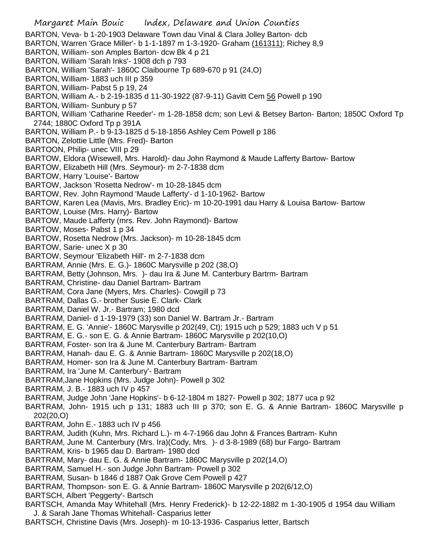Margaret Main Bouic Index, Delaware and Union Counties BARTON, Veva- b 1-20-1903 Delaware Town dau Vinal & Clara Jolley Barton- dcb BARTON, Warren 'Grace Miller'- b 1-1-1897 m 1-3-1920- Graham (161311); Richey 8,9 BARTON, William- son Amples Barton- dcw Bk 4 p 21 BARTON, William 'Sarah Inks'- 1908 dch p 793 BARTON, William 'Sarah'- 1860C Claibourne Tp 689-670 p 91 (24,O) BARTON, William- 1883 uch III p 359 BARTON, William- Pabst 5 p 19, 24 BARTON, William A.- b 2-19-1835 d 11-30-1922 (87-9-11) Gavitt Cem 56 Powell p 190 BARTON, William- Sunbury p 57 BARTON, William 'Catharine Reeder'- m 1-28-1858 dcm; son Levi & Betsey Barton- Barton; 1850C Oxford Tp 2744; 1880C Oxford Tp p 391A BARTON, William P.- b 9-13-1825 d 5-18-1856 Ashley Cem Powell p 186 BARTON, Zelottie Little (Mrs. Fred)- Barton BARTOON, Philip- unec VIII p 29 BARTOW, Eldora (Wisewell, Mrs. Harold)- dau John Raymond & Maude Lafferty Bartow- Bartow BARTOW, Elizabeth Hill (Mrs. Seymour)- m 2-7-1838 dcm BARTOW, Harry 'Louise'- Bartow BARTOW, Jackson 'Rosetta Nedrow'- m 10-28-1845 dcm BARTOW, Rev. John Raymond 'Maude Lafferty'- d 1-10-1962- Bartow BARTOW, Karen Lea (Mavis, Mrs. Bradley Eric)- m 10-20-1991 dau Harry & Louisa Bartow- Bartow BARTOW, Louise (Mrs. Harry)- Bartow BARTOW, Maude Lafferty (mrs. Rev. John Raymond)- Bartow BARTOW, Moses- Pabst 1 p 34 BARTOW, Rosetta Nedrow (Mrs. Jackson)- m 10-28-1845 dcm BARTOW, Sarie- unec X p 30 BARTOW, Seymour 'Elizabeth Hill'- m 2-7-1838 dcm BARTRAM, Annie (Mrs. E. G.)- 1860C Marysville p 202 (38,O) BARTRAM, Betty (Johnson, Mrs. )- dau Ira & June M. Canterbury Bartrm- Bartram BARTRAM, Christine- dau Daniel Bartram- Bartram BARTRAM, Cora Jane (Myers, Mrs. Charles)- Cowgill p 73 BARTRAM, Dallas G.- brother Susie E. Clark- Clark BARTRAM, Daniel W. Jr.- Bartram; 1980 dcd BARTRAM, Daniel- d 1-19-1979 (33) son Daniel W. Bartram Jr.- Bartram BARTRAM, E. G. 'Annie'- 1860C Marysville p 202(49, Ct); 1915 uch p 529; 1883 uch V p 51 BARTRAM, E. G.- son E. G. & Annie Bartram- 1860C Marysville p 202(10,O) BARTRAM, Foster- son Ira & June M. Canterbury Bartram- Bartram BARTRAM, Hanah- dau E. G. & Annie Bartram- 1860C Marysville p 202(18,O) BARTRAM, Homer- son Ira & June M. Canterbury Bartram- Bartram BARTRAM, Ira 'June M. Canterbury'- Bartram BARTRAM,Jane Hopkins (Mrs. Judge John)- Powell p 302 BARTRAM, J. B.- 1883 uch IV p 457 BARTRAM, Judge John 'Jane Hopkins'- b 6-12-1804 m 1827- Powell p 302; 1877 uca p 92 BARTRAM, John- 1915 uch p 131; 1883 uch III p 370; son E. G. & Annie Bartram- 1860C Marysville p 202(20,O) BARTRAM, John E.- 1883 uch IV p 456 BARTRAM, Judith (Kuhn, Mrs. Richard L.)- m 4-7-1966 dau John & Frances Bartram- Kuhn BARTRAM, June M. Canterbury (Mrs. Ira)(Cody, Mrs. )- d 3-8-1989 (68) bur Fargo- Bartram BARTRAM, Kris- b 1965 dau D. Bartram- 1980 dcd BARTRAM, Mary- dau E. G. & Annie Bartram- 1860C Marysville p 202(14,O) BARTRAM, Samuel H.- son Judge John Bartram- Powell p 302 BARTRAM, Susan- b 1846 d 1887 Oak Grove Cem Powell p 427 BARTRAM, Thompson- son E. G. & Annie Bartram- 1860C Marysville p 202(6/12,O) BARTSCH, Albert 'Peggerty'- Bartsch BARTSCH, Amanda May Whitehall (Mrs. Henry Frederick)- b 12-22-1882 m 1-30-1905 d 1954 dau William J. & Sarah Jane Thomas Whitehall- Casparius letter BARTSCH, Christine Davis (Mrs. Joseph)- m 10-13-1936- Casparius letter, Bartsch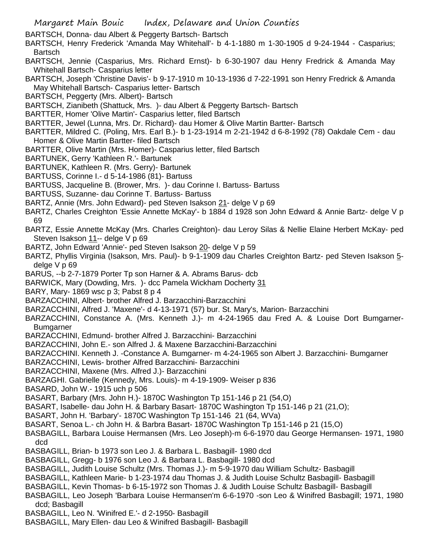BARTSCH, Donna- dau Albert & Peggerty Bartsch- Bartsch

BARTSCH, Henry Frederick 'Amanda May Whitehall'- b 4-1-1880 m 1-30-1905 d 9-24-1944 - Casparius; Bartsch

- BARTSCH, Jennie (Casparius, Mrs. Richard Ernst)- b 6-30-1907 dau Henry Fredrick & Amanda May Whitehall Bartsch- Casparius letter
- BARTSCH, Joseph 'Christine Davis'- b 9-17-1910 m 10-13-1936 d 7-22-1991 son Henry Fredrick & Amanda May Whitehall Bartsch- Casparius letter- Bartsch
- BARTSCH, Peggerty (Mrs. Albert)- Bartsch
- BARTSCH, Zianibeth (Shattuck, Mrs. )- dau Albert & Peggerty Bartsch- Bartsch
- BARTTER, Homer 'Olive Martin'- Casparius letter, filed Bartsch
- BARTTER, Jewel (Lunna, Mrs. Dr. Richard)- dau Homer & Olive Martin Bartter- Bartsch
- BARTTER, Mildred C. (Poling, Mrs. Earl B.)- b 1-23-1914 m 2-21-1942 d 6-8-1992 (78) Oakdale Cem dau Homer & Olive Martin Bartter- filed Bartsch
- BARTTER, Olive Martin (Mrs. Homer)- Casparius letter, filed Bartsch
- BARTUNEK, Gerry 'Kathleen R.'- Bartunek
- BARTUNEK, Kathleen R. (Mrs. Gerry)- Bartunek
- BARTUSS, Corinne I.- d 5-14-1986 (81)- Bartuss
- BARTUSS, Jacqueline B. (Brower, Mrs. )- dau Corinne I. Bartuss- Bartuss
- BARTUSS, Suzanne- dau Corinne T. Bartuss- Bartuss
- BARTZ, Annie (Mrs. John Edward)- ped Steven Isakson 21- delge V p 69
- BARTZ, Charles Creighton 'Essie Annette McKay'- b 1884 d 1928 son John Edward & Annie Bartz- delge V p 69
- BARTZ, Essie Annette McKay (Mrs. Charles Creighton)- dau Leroy Silas & Nellie Elaine Herbert McKay- ped Steven Isakson 11-- delge V p 69
- BARTZ, John Edward 'Annie'- ped Steven Isakson 20- delge V p 59
- BARTZ, Phyllis Virginia (Isakson, Mrs. Paul)- b 9-1-1909 dau Charles Creighton Bartz- ped Steven Isakson 5 delge V p 69
- BARUS, --b 2-7-1879 Porter Tp son Harner & A. Abrams Barus- dcb
- BARWICK, Mary (Dowding, Mrs. )- dcc Pamela Wickham Docherty 31
- BARY, Mary- 1869 wsc p 3; Pabst 8 p 4
- BARZACCHINI, Albert- brother Alfred J. Barzacchini-Barzacchini
- BARZACCHINI, Alfred J. 'Maxene'- d 4-13-1971 (57) bur. St. Mary's, Marion- Barzacchini
- BARZACCHINI, Constance A. (Mrs. Kenneth J.)- m 4-24-1965 dau Fred A. & Louise Dort Bumgarner-Bumgarner
- BARZACCHINI, Edmund- brother Alfred J. Barzacchini- Barzacchini
- BARZACCHINI, John E.- son Alfred J. & Maxene Barzacchini-Barzacchini
- BARZACCHINI. Kenneth J. -Constance A. Bumgarner- m 4-24-1965 son Albert J. Barzacchini- Bumgarner
- BARZACCHINI, Lewis- brother Alfred Barzacchini- Barzacchini
- BARZACCHINI, Maxene (Mrs. Alfred J.)- Barzacchini
- BARZAGHI. Gabrielle (Kennedy, Mrs. Louis)- m 4-19-1909- Weiser p 836
- BASARD, John W.- 1915 uch p 506
- BASART, Barbary (Mrs. John H.)- 1870C Washington Tp 151-146 p 21 (54,O)
- BASART, Isabelle- dau John H. & Barbary Basart- 1870C Washington Tp 151-146 p 21 (21,O);
- BASART, John H. 'Barbary'- 1870C Washington Tp 151-146 21 (64, WVa)
- BASART, Senoa L.- ch John H. & Barbra Basart- 1870C Washington Tp 151-146 p 21 (15,O)
- BASBAGILL, Barbara Louise Hermansen (Mrs. Leo Joseph)-m 6-6-1970 dau George Hermansen- 1971, 1980 dcd
- BASBAGILL, Brian- b 1973 son Leo J. & Barbara L. Basbagill- 1980 dcd
- BASBAGILL, Gregg- b 1976 son Leo J. & Barbara L. Basbagill- 1980 dcd
- BASBAGILL, Judith Louise Schultz (Mrs. Thomas J.)- m 5-9-1970 dau William Schultz- Basbagill
- BASBAGILL, Kathleen Marie- b 1-23-1974 dau Thomas J. & Judith Louise Schultz Basbagill- Basbagill
- BASBAGILL, Kevin Thomas- b 6-15-1972 son Thomas J. & Judith Louise Schultz Basbagill- Basbagill
- BASBAGILL, Leo Joseph 'Barbara Louise Hermansen'm 6-6-1970 -son Leo & Winifred Basbagill; 1971, 1980 dcd; Basbagill
- BASBAGILL, Leo N. 'Winifred E.'- d 2-1950- Basbagill
- BASBAGILL, Mary Ellen- dau Leo & Winifred Basbagill- Basbagill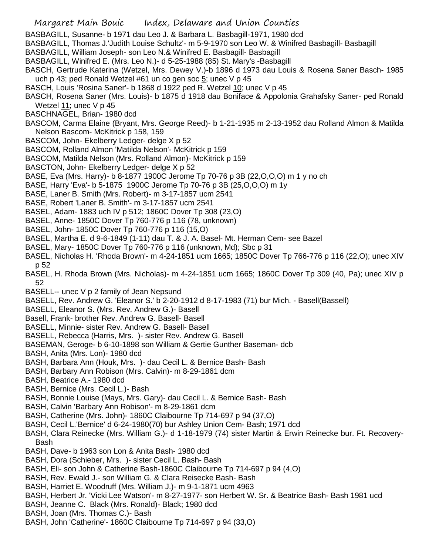- BASBAGILL, Susanne- b 1971 dau Leo J. & Barbara L. Basbagill-1971, 1980 dcd
- BASBAGILL, Thomas J.'Judith Louise Schultz'- m 5-9-1970 son Leo W. & Winifred Basbagill- Basbagill
- BASBAGILL, William Joseph- son Leo N.& Winifred E. Basbagill- Basbagill
- BASBAGILL, Winifred E. (Mrs. Leo N.)- d 5-25-1988 (85) St. Mary's -Basbagill
- BASCH, Gertrude Katerina (Wetzel, Mrs. Dewey V.)-b 1896 d 1973 dau Louis & Rosena Saner Basch- 1985 uch p 43; ped Ronald Wetzel #61 un co gen soc 5; unec V p 45
- BASCH, Louis 'Rosina Saner'- b 1868 d 1922 ped R. Wetzel 10; unec V p 45
- BASCH, Rosena Saner (Mrs. Louis)- b 1875 d 1918 dau Boniface & Appolonia Grahafsky Saner- ped Ronald Wetzel 11; unec V p 45
- BASCHNAGEL, Brian- 1980 dcd
- BASCOM, Carma Elaine (Bryant, Mrs. George Reed)- b 1-21-1935 m 2-13-1952 dau Rolland Almon & Matilda Nelson Bascom- McKitrick p 158, 159
- BASCOM, John- Ekelberry Ledger- delge X p 52
- BASCOM, Rolland Almon 'Matilda Nelson'- McKitrick p 159
- BASCOM, Matilda Nelson (Mrs. Rolland Almon)- McKitrick p 159
- BASCTON, John- Ekelberry Ledger- delge X p 52
- BASE, Eva (Mrs. Harry)- b 8-1877 1900C Jerome Tp 70-76 p 3B (22,O,O,O) m 1 y no ch
- BASE, Harry 'Eva'- b 5-1875 1900C Jerome Tp 70-76 p 3B (25,O,O,O) m 1y
- BASE, Laner B. Smith (Mrs. Robert)- m 3-17-1857 ucm 2541
- BASE, Robert 'Laner B. Smith'- m 3-17-1857 ucm 2541
- BASEL, Adam- 1883 uch IV p 512; 1860C Dover Tp 308 (23,O)
- BASEL, Anne- 1850C Dover Tp 760-776 p 116 (78, unknown)
- BASEL, John- 1850C Dover Tp 760-776 p 116 (15,O)
- BASEL, Martha E. d 9-6-1849 (1-11) dau T. & J. A. Basel- Mt. Herman Cem- see Bazel
- BASEL, Mary- 1850C Dover Tp 760-776 p 116 (unknown, Md); Sbc p 31
- BASEL, Nicholas H. 'Rhoda Brown'- m 4-24-1851 ucm 1665; 1850C Dover Tp 766-776 p 116 (22,O); unec XIV p 52
- BASEL, H. Rhoda Brown (Mrs. Nicholas)- m 4-24-1851 ucm 1665; 1860C Dover Tp 309 (40, Pa); unec XIV p 52
- BASELL-- unec V p 2 family of Jean Nepsund
- BASELL, Rev. Andrew G. 'Eleanor S.' b 2-20-1912 d 8-17-1983 (71) bur Mich. Basell(Bassell)
- BASELL, Eleanor S. (Mrs. Rev. Andrew G.)- Basell
- Basell, Frank- brother Rev. Andrew G. Basell- Basell
- BASELL, Minnie- sister Rev. Andrew G. Basell- Basell
- BASELL, Rebecca (Harris, Mrs. )- sister Rev. Andrew G. Basell
- BASEMAN, Geroge- b 6-10-1898 son William & Gertie Gunther Baseman- dcb
- BASH, Anita (Mrs. Lon)- 1980 dcd
- BASH, Barbara Ann (Houk, Mrs. )- dau Cecil L. & Bernice Bash- Bash
- BASH, Barbary Ann Robison (Mrs. Calvin)- m 8-29-1861 dcm
- BASH, Beatrice A.- 1980 dcd
- BASH, Bernice (Mrs. Cecil L.)- Bash
- BASH, Bonnie Louise (Mays, Mrs. Gary)- dau Cecil L. & Bernice Bash- Bash
- BASH, Calvin 'Barbary Ann Robison'- m 8-29-1861 dcm
- BASH, Catherine (Mrs. John)- 1860C Claibourne Tp 714-697 p 94 (37,O)
- BASH, Cecil L.'Bernice' d 6-24-1980(70) bur Ashley Union Cem- Bash; 1971 dcd
- BASH, Clara Reinecke (Mrs. William G.)- d 1-18-1979 (74) sister Martin & Erwin Reinecke bur. Ft. Recovery-Bash
- BASH, Dave- b 1963 son Lon & Anita Bash- 1980 dcd
- BASH, Dora (Schieber, Mrs. )- sister Cecil L. Bash- Bash
- BASH, Eli- son John & Catherine Bash-1860C Claibourne Tp 714-697 p 94 (4,O)
- BASH, Rev. Ewald J.- son William G. & Clara Reisecke Bash- Bash
- BASH, Harriet E. Woodruff (Mrs. William J.)- m 9-1-1871 ucm 4963
- BASH, Herbert Jr. 'Vicki Lee Watson'- m 8-27-1977- son Herbert W. Sr. & Beatrice Bash- Bash 1981 ucd
- BASH, Jeanne C. Black (Mrs. Ronald)- Black; 1980 dcd
- BASH, Joan (Mrs. Thomas C.)- Bash
- BASH, John 'Catherine'- 1860C Claibourne Tp 714-697 p 94 (33,O)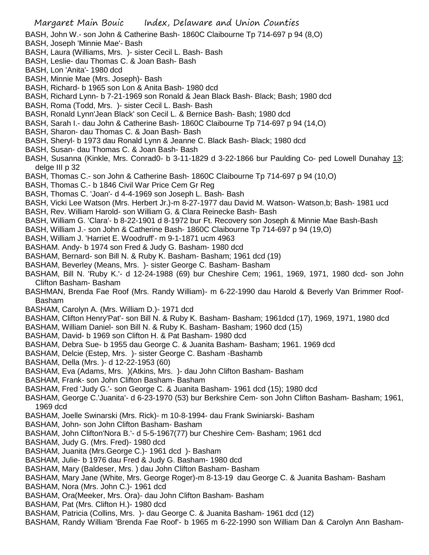BASH, John W.- son John & Catherine Bash- 1860C Claibourne Tp 714-697 p 94 (8,O)

- BASH, Joseph 'Minnie Mae'- Bash
- BASH, Laura (Williams, Mrs. )- sister Cecil L. Bash- Bash
- BASH, Leslie- dau Thomas C. & Joan Bash- Bash
- BASH, Lon 'Anita'- 1980 dcd
- BASH, Minnie Mae (Mrs. Joseph)- Bash
- BASH, Richard- b 1965 son Lon & Anita Bash- 1980 dcd
- BASH, Richard Lynn- b 7-21-1969 son Ronald & Jean Black Bash- Black; Bash; 1980 dcd
- BASH, Roma (Todd, Mrs. )- sister Cecil L. Bash- Bash
- BASH, Ronald Lynn'Jean Black' son Cecil L. & Bernice Bash- Bash; 1980 dcd
- BASH, Sarah I.- dau John & Catherine Bash- 1860C Claibourne Tp 714-697 p 94 (14,O)
- BASH, Sharon- dau Thomas C. & Joan Bash- Bash
- BASH, Sheryl- b 1973 dau Ronald Lynn & Jeanne C. Black Bash- Black; 1980 dcd
- BASH, Susan- dau Thomas C. & Joan Bash- Bash
- BASH, Susanna (Kinkle, Mrs. Conrad0- b 3-11-1829 d 3-22-1866 bur Paulding Co- ped Lowell Dunahay 13; delge III p 32
- BASH, Thomas C.- son John & Catherine Bash- 1860C Claibourne Tp 714-697 p 94 (10,O)
- BASH, Thomas C.- b 1846 Civil War Price Cem Gr Reg
- BASH, Thomas C. 'Joan'- d 4-4-1969 son Joseph L. Bash- Bash
- BASH, Vicki Lee Watson (Mrs. Herbert Jr.)-m 8-27-1977 dau David M. Watson- Watson,b; Bash- 1981 ucd
- BASH, Rev. William Harold- son William G. & Clara Reinecke Bash- Bash
- BASH, William G. 'Clara'- b 8-22-1901 d 8-1972 bur Ft. Recovery son Joseph & Minnie Mae Bash-Bash
- BASH, William J.- son John & Catherine Bash- 1860C Claibourne Tp 714-697 p 94 (19,O)
- BASH, William J. 'Harriet E. Woodruff'- m 9-1-1871 ucm 4963
- BASHAM. Andy- b 1974 son Fred & Judy G. Basham- 1980 dcd
- BASHAM, Bernard- son Bill N. & Ruby K. Basham- Basham; 1961 dcd (19)
- BASHAM, Beverley (Means, Mrs. )- sister George C. Basham- Basham
- BASHAM, Bill N. 'Ruby K.'- d 12-24-1988 (69) bur Cheshire Cem; 1961, 1969, 1971, 1980 dcd- son John Clifton Basham- Basham
- BASHMAN, Brenda Fae Roof (Mrs. Randy William)- m 6-22-1990 dau Harold & Beverly Van Brimmer Roof-Basham
- BASHAM, Carolyn A. (Mrs. William D.)- 1971 dcd
- BASHAM, Clifton Henry'Pat'- son Bill N. & Ruby K. Basham- Basham; 1961dcd (17), 1969, 1971, 1980 dcd
- BASHAM, William Daniel- son Bill N. & Ruby K. Basham- Basham; 1960 dcd (15)
- BASHAM, David- b 1969 son Clifton H. & Pat Basham- 1980 dcd
- BASHAM, Debra Sue- b 1955 dau George C. & Juanita Basham- Basham; 1961. 1969 dcd
- BASHAM, Delcie (Estep, Mrs. )- sister George C. Basham -Bashamb
- BASHAM, Della (Mrs. )- d 12-22-1953 (60)
- BASHAM, Eva (Adams, Mrs. )(Atkins, Mrs. )- dau John Clifton Basham- Basham
- BASHAM, Frank- son John Clifton Basham- Basham
- BASHAM, Fred 'Judy G.'- son George C. & Juanita Basham- 1961 dcd (15); 1980 dcd
- BASHAM, George C.'Juanita'- d 6-23-1970 (53) bur Berkshire Cem- son John Clifton Basham- Basham; 1961, 1969 dcd
- BASHAM, Joelle Swinarski (Mrs. Rick)- m 10-8-1994- dau Frank Swiniarski- Basham
- BASHAM, John- son John Clifton Basham- Basham
- BASHAM, John Clifton'Nora B.'- d 5-5-1967(77) bur Cheshire Cem- Basham; 1961 dcd
- BASHAM, Judy G. (Mrs. Fred)- 1980 dcd
- BASHAM, Juanita (Mrs.George C.)- 1961 dcd )- Basham
- BASHAM, Julie- b 1976 dau Fred & Judy G. Basham- 1980 dcd
- BASHAM, Mary (Baldeser, Mrs. ) dau John Clifton Basham- Basham
- BASHAM, Mary Jane (White, Mrs. George Roger)-m 8-13-19 dau George C. & Juanita Basham- Basham
- BASHAM, Nora (Mrs. John C.)- 1961 dcd
- BASHAM, Ora(Meeker, Mrs. Ora)- dau John Clifton Basham- Basham
- BASHAM, Pat (Mrs. Clifton H.)- 1980 dcd
- BASHAM, Patricia (Collins, Mrs. )- dau George C. & Juanita Basham- 1961 dcd (12)
- BASHAM, Randy William 'Brenda Fae Roof'- b 1965 m 6-22-1990 son William Dan & Carolyn Ann Basham-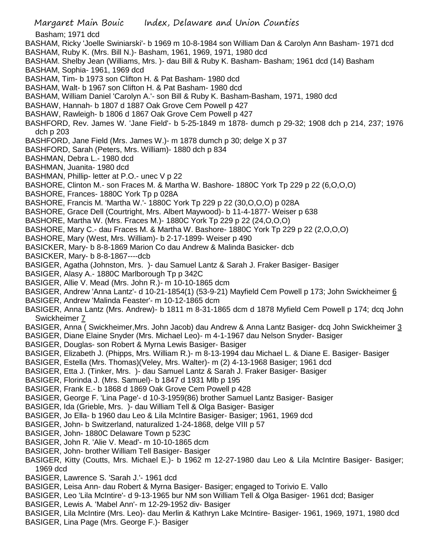- Margaret Main Bouic Index, Delaware and Union Counties Basham; 1971 dcd BASHAM, Ricky 'Joelle Swiniarski'- b 1969 m 10-8-1984 son William Dan & Carolyn Ann Basham- 1971 dcd BASHAM, Ruby K. (Mrs. Bill N.)- Basham, 1961, 1969, 1971, 1980 dcd BASHAM. Shelby Jean (Williams, Mrs. )- dau Bill & Ruby K. Basham- Basham; 1961 dcd (14) Basham BASHAM, Sophia- 1961, 1969 dcd BASHAM, Tim- b 1973 son Clifton H. & Pat Basham- 1980 dcd BASHAM, Walt- b 1967 son Clifton H. & Pat Basham- 1980 dcd BASHAM, William Daniel 'Carolyn A.'- son Bill & Ruby K. Basham-Basham, 1971, 1980 dcd BASHAW, Hannah- b 1807 d 1887 Oak Grove Cem Powell p 427 BASHAW, Rawleigh- b 1806 d 1867 Oak Grove Cem Powell p 427 BASHFORD, Rev. James W. 'Jane Field'- b 5-25-1849 m 1878- dumch p 29-32; 1908 dch p 214, 237; 1976 dch p 203 BASHFORD, Jane Field (Mrs. James W.)- m 1878 dumch p 30; delge X p 37 BASHFORD, Sarah (Peters, Mrs. William)- 1880 dch p 834 BASHMAN, Debra L.- 1980 dcd BASHMAN, Juanita- 1980 dcd BASHMAN, Phillip- letter at P.O.- unec V p 22 BASHORE, Clinton M.- son Fraces M. & Martha W. Bashore- 1880C York Tp 229 p 22 (6,O,O,O) BASHORE, Frances- 1880C York Tp p 028A BASHORE, Francis M. 'Martha W.'- 1880C York Tp 229 p 22 (30,O,O,O) p 028A BASHORE, Grace Dell (Courtright, Mrs. Albert Maywood)- b 11-4-1877- Weiser p 638 BASHORE, Martha W. (Mrs. Fraces M.)- 1880C York Tp 229 p 22 (24,O,O,O) BASHORE, Mary C.- dau Fraces M. & Martha W. Bashore- 1880C York Tp 229 p 22 (2,O,O,O) BASHORE, Mary (West, Mrs. William)- b 2-17-1899- Weiser p 490 BASICKER, Mary- b 8-8-1869 Marion Co dau Andrew & Malinda Basicker- dcb BASICKER, Mary- b 8-8-1867----dcb BASIGER, Agatha (Johnston, Mrs. )- dau Samuel Lantz & Sarah J. Fraker Basiger- Basiger BASIGER, Alasy A.- 1880C Marlborough Tp p 342C BASIGER, Allie V. Mead (Mrs. John R.)- m 10-10-1865 dcm BASIGER, Andrew 'Anna Lantz'- d 10-21-1854(1) (53-9-21) Mayfield Cem Powell p 173; John Swickheimer 6 BASIGER, Andrew 'Malinda Feaster'- m 10-12-1865 dcm BASIGER, Anna Lantz (Mrs. Andrew)- b 1811 m 8-31-1865 dcm d 1878 Myfield Cem Powell p 174; dcq John Swickheimer 7 BASIGER, Anna ( Swickheimer,Mrs. John Jacob) dau Andrew & Anna Lantz Basiger- dcq John Swickheimer 3 BASIGER, Diane Elaine Snyder (Mrs. Michael Leo)- m 4-1-1967 dau Nelson Snyder- Basiger BASIGER, Douglas- son Robert & Myrna Lewis Basiger- Basiger BASIGER, Elizabeth J. (Phipps, Mrs. William R.)- m 8-13-1994 dau Michael L. & Diane E. Basiger- Basiger BASIGER, Estella (Mrs. Thomas)(Veley, Mrs. Walter)- m (2) 4-13-1968 Basiger; 1961 dcd BASIGER, Etta J. (Tinker, Mrs. )- dau Samuel Lantz & Sarah J. Fraker Basiger- Basiger BASIGER, Florinda J. (Mrs. Samuel)- b 1847 d 1931 Mlb p 195 BASIGER, Frank E.- b 1868 d 1869 Oak Grove Cem Powell p 428 BASIGER, George F. 'Lina Page'- d 10-3-1959(86) brother Samuel Lantz Basiger- Basiger BASIGER, Ida (Grieble, Mrs. )- dau William Tell & Olga Basiger- Basiger BASIGER, Jo Ella- b 1960 dau Leo & Lila McIntire Basiger- Basiger; 1961, 1969 dcd BASIGER, John- b Switzerland, naturalized 1-24-1868, delge VIII p 57 BASIGER, John- 1880C Delaware Town p 523C BASIGER, John R. 'Alie V. Mead'- m 10-10-1865 dcm BASIGER, John- brother William Tell Basiger- Basiger BASIGER, Kitty (Coutts, Mrs. Michael E.)- b 1962 m 12-27-1980 dau Leo & Lila McIntire Basiger- Basiger; 1969 dcd BASIGER, Lawrence S. 'Sarah J.'- 1961 dcd BASIGER, Leisa Ann- dau Robert & Myrna Basiger- Basiger; engaged to Torivio E. Vallo BASIGER, Leo 'Lila McIntire'- d 9-13-1965 bur NM son William Tell & Olga Basiger- 1961 dcd; Basiger BASIGER, Lewis A. 'Mabel Ann'- m 12-29-1952 div- Basiger BASIGER, Lila McIntire (Mrs. Leo)- dau Merlin & Kathryn Lake McIntire- Basiger- 1961, 1969, 1971, 1980 dcd
- BASIGER, Lina Page (Mrs. George F.)- Basiger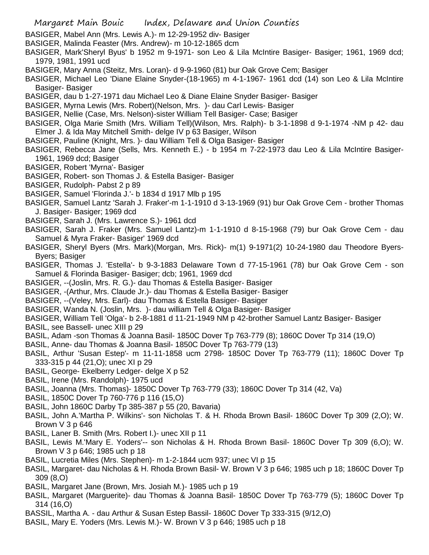- BASIGER, Mabel Ann (Mrs. Lewis A.)- m 12-29-1952 div- Basiger
- BASIGER, Malinda Feaster (Mrs. Andrew)- m 10-12-1865 dcm
- BASIGER, Mark'Sheryl Byus' b 1952 m 9-1971- son Leo & Lila McIntire Basiger- Basiger; 1961, 1969 dcd; 1979, 1981, 1991 ucd
- BASIGER, Mary Anna (Steitz, Mrs. Loran)- d 9-9-1960 (81) bur Oak Grove Cem; Basiger
- BASIGER, Michael Leo 'Diane Elaine Snyder-(18-1965) m 4-1-1967- 1961 dcd (14) son Leo & Lila McIntire Basiger- Basiger
- BASIGER, dau b 1-27-1971 dau Michael Leo & Diane Elaine Snyder Basiger- Basiger
- BASIGER, Myrna Lewis (Mrs. Robert)(Nelson, Mrs. )- dau Carl Lewis- Basiger
- BASIGER, Nellie (Case, Mrs. Nelson)-sister William Tell Basiger- Case; Basiger
- BASIGER, Olga Marie Smith (Mrs. William Tell)(Wilson, Mrs. Ralph)- b 3-1-1898 d 9-1-1974 -NM p 42- dau Elmer J. & Ida May Mitchell Smith- delge IV p 63 Basiger, Wilson
- BASIGER, Pauline (Knight, Mrs. )- dau William Tell & Olga Basiger- Basiger
- BASIGER, Rebecca Jane (Sells, Mrs. Kenneth E.) b 1954 m 7-22-1973 dau Leo & Lila McIntire Basiger-1961, 1969 dcd; Basiger
- BASIGER, Robert 'Myrna'- Basiger
- BASIGER, Robert- son Thomas J. & Estella Basiger- Basiger
- BASIGER, Rudolph- Pabst 2 p 89
- BASIGER, Samuel 'Florinda J.'- b 1834 d 1917 Mlb p 195
- BASIGER, Samuel Lantz 'Sarah J. Fraker'-m 1-1-1910 d 3-13-1969 (91) bur Oak Grove Cem brother Thomas J. Basiger- Basiger; 1969 dcd
- BASIGER, Sarah J. (Mrs. Lawrence S.)- 1961 dcd
- BASIGER, Sarah J. Fraker (Mrs. Samuel Lantz)-m 1-1-1910 d 8-15-1968 (79) bur Oak Grove Cem dau Samuel & Myra Fraker- Basiger' 1969 dcd
- BASIGER, Sheryl Byers (Mrs. Mark)(Morgan, Mrs. Rick)- m(1) 9-1971(2) 10-24-1980 dau Theodore Byers-Byers; Basiger
- BASIGER, Thomas J. 'Estella'- b 9-3-1883 Delaware Town d 77-15-1961 (78) bur Oak Grove Cem son Samuel & Florinda Basiger- Basiger; dcb; 1961, 1969 dcd
- BASIGER, --(Joslin, Mrs. R. G.)- dau Thomas & Estella Basiger- Basiger
- BASIGER, -(Arthur, Mrs. Claude Jr.)- dau Thomas & Estella Basiger- Basiger
- BASIGER, --(Veley, Mrs. Earl)- dau Thomas & Estella Basiger- Basiger
- BASIGER, Wanda N. (Joslin, Mrs. )- dau william Tell & Olga Basiger- Basiger
- BASIGER, William Tell 'Olga'- b 2-8-1881 d 11-21-1949 NM p 42-brother Samuel Lantz Basiger- Basiger BASIL, see Bassell- unec XIII p 29
- BASIL, Adam -son Thomas & Joanna Basil- 1850C Dover Tp 763-779 (8); 1860C Dover Tp 314 (19,O)
- BASIL, Anne- dau Thomas & Joanna Basil- 1850C Dover Tp 763-779 (13)
- BASIL, Arthur 'Susan Estep'- m 11-11-1858 ucm 2798- 1850C Dover Tp 763-779 (11); 1860C Dover Tp 333-315 p 44 (21,O); unec XI p 29
- BASIL, George- Ekelberry Ledger- delge X p 52
- BASIL, Irene (Mrs. Randolph)- 1975 ucd
- BASIL, Joanna (Mrs. Thomas)- 1850C Dover Tp 763-779 (33); 1860C Dover Tp 314 (42, Va)
- BASIL, 1850C Dover Tp 760-776 p 116 (15,O)
- BASIL, John 1860C Darby Tp 385-387 p 55 (20, Bavaria)
- BASIL, John A.'Martha P. Wilkins'- son Nicholas T. & H. Rhoda Brown Basil- 1860C Dover Tp 309 (2,O); W. Brown V 3 p 646
- BASIL, Laner B. Smith (Mrs. Robert I.)- unec XII p 11
- BASIL, Lewis M.'Mary E. Yoders'-- son Nicholas & H. Rhoda Brown Basil- 1860C Dover Tp 309 (6,O); W. Brown V 3 p 646; 1985 uch p 18
- BASIL, Lucretia Miles (Mrs. Stephen)- m 1-2-1844 ucm 937; unec VI p 15
- BASIL, Margaret- dau Nicholas & H. Rhoda Brown Basil- W. Brown V 3 p 646; 1985 uch p 18; 1860C Dover Tp 309 (8,O)
- BASIL, Margaret Jane (Brown, Mrs. Josiah M.)- 1985 uch p 19
- BASIL, Margaret (Marguerite)- dau Thomas & Joanna Basil- 1850C Dover Tp 763-779 (5); 1860C Dover Tp 314 (16,O)
- BASSIL, Martha A. dau Arthur & Susan Estep Bassil- 1860C Dover Tp 333-315 (9/12,O)
- BASIL, Mary E. Yoders (Mrs. Lewis M.)- W. Brown V 3 p 646; 1985 uch p 18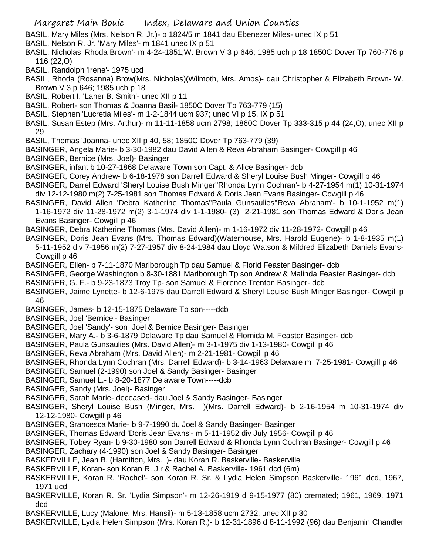- BASIL, Mary Miles (Mrs. Nelson R. Jr.)- b 1824/5 m 1841 dau Ebenezer Miles- unec IX p 51
- BASIL, Nelson R. Jr. 'Mary Miles'- m 1841 unec IX p 51
- BASIL, Nicholas 'Rhoda Brown'- m 4-24-1851;W. Brown V 3 p 646; 1985 uch p 18 1850C Dover Tp 760-776 p 116 (22,O)
- BASIL, Randolph 'Irene'- 1975 ucd
- BASIL, Rhoda (Rosanna) Brow(Mrs. Nicholas)(Wilmoth, Mrs. Amos)- dau Christopher & Elizabeth Brown- W. Brown V 3 p 646; 1985 uch p 18
- BASIL, Robert I. 'Laner B. Smith'- unec XII p 11
- BASIL, Robert- son Thomas & Joanna Basil- 1850C Dover Tp 763-779 (15)
- BASIL, Stephen 'Lucretia Miles'- m 1-2-1844 ucm 937; unec VI p 15, IX p 51
- BASIL, Susan Estep (Mrs. Arthur)- m 11-11-1858 ucm 2798; 1860C Dover Tp 333-315 p 44 (24,O); unec XII p 29
- BASIL, Thomas 'Joanna- unec XII p 40, 58; 1850C Dover Tp 763-779 (39)
- BASINGER, Angela Marie- b 3-30-1982 dau David Allen & Reva Abraham Basinger- Cowgill p 46
- BASINGER, Bernice (Mrs. Joel)- Basinger
- BASINGER, infant b 10-27-1868 Delaware Town son Capt. & Alice Basinger- dcb
- BASINGER, Corey Andrew- b 6-18-1978 son Darrell Edward & Sheryl Louise Bush Minger- Cowgill p 46
- BASINGER, Darrel Edward 'Sheryl Louise Bush Minger''Rhonda Lynn Cochran'- b 4-27-1954 m(1) 10-31-1974 div 12-12-1980 m(2) 7-25-1981 son Thomas Edward & Doris Jean Evans Basinger- Cowgill p 46
- BASINGER, David Allen 'Debra Katherine Thomas''Paula Gunsaulies''Reva Abraham'- b 10-1-1952 m(1)
- 1-16-1972 div 11-28-1972 m(2) 3-1-1974 div 1-1-1980- (3) 2-21-1981 son Thomas Edward & Doris Jean Evans Basinger- Cowgill p 46
- BASINGER, Debra Katherine Thomas (Mrs. David Allen)- m 1-16-1972 div 11-28-1972- Cowgill p 46
- BASINGER, Doris Jean Evans (Mrs. Thomas Edward)(Waterhouse, Mrs. Harold Eugene)- b 1-8-1935 m(1) 5-11-1952 div 7-1956 m(2) 7-27-1957 div 8-24-1984 dau Lloyd Watson & Mildred Elizabeth Daniels Evans-
	- Cowgill p 46
- BASINGER, Ellen- b 7-11-1870 Marlborough Tp dau Samuel & Florid Feaster Basinger- dcb
- BASINGER, George Washington b 8-30-1881 Marlborough Tp son Andrew & Malinda Feaster Basinger- dcb
- BASINGER, G. F.- b 9-23-1873 Troy Tp- son Samuel & Florence Trenton Basinger- dcb
- BASINGER, Jaime Lynette- b 12-6-1975 dau Darrell Edward & Sheryl Louise Bush Minger Basinger- Cowgill p 46
- BASINGER, James- b 12-15-1875 Delaware Tp son-----dcb
- BASINGER, Joel 'Bernice'- Basinger
- BASINGER, Joel 'Sandy'- son Joel & Bernice Basinger- Basinger
- BASINGER, Mary A.- b 3-6-1879 Delaware Tp dau Samuel & Flornida M. Feaster Basinger- dcb
- BASINGER, Paula Gunsaulies (Mrs. David Allen)- m 3-1-1975 div 1-13-1980- Cowgill p 46
- BASINGER, Reva Abraham (Mrs. David Allen)- m 2-21-1981- Cowgill p 46
- BASINGER, Rhonda Lynn Cochran (Mrs. Darrell Edward)- b 3-14-1963 Delaware m 7-25-1981- Cowgill p 46
- BASINGER, Samuel (2-1990) son Joel & Sandy Basinger- Basinger
- BASINGER, Samuel L.- b 8-20-1877 Delaware Town-----dcb
- BASINGER, Sandy (Mrs. Joel)- Basinger
- BASINGER, Sarah Marie- deceased- dau Joel & Sandy Basinger- Basinger
- BASINGER, Sheryl Louise Bush (Minger, Mrs. )(Mrs. Darrell Edward)- b 2-16-1954 m 10-31-1974 div 12-12-1980- Cowgill p 46
- BASINGER, Srancesca Marie- b 9-7-1990 du Joel & Sandy Basinger- Basinger
- BASINGER, Thomas Edward 'Doris Jean Evans'- m 5-11-1952 div July 1956- Cowgill p 46
- BASINGER, Tobey Ryan- b 9-30-1980 son Darrell Edward & Rhonda Lynn Cochran Basinger- Cowgill p 46
- BASINGER, Zachary (4-1990) son Joel & Sandy Basinger- Basinger
- BASKERVILLE, Jean B. (Hamilton, Mrs. )- dau Koran R. Baskerville- Baskerville
- BASKERVILLE, Koran- son Koran R. J.r & Rachel A. Baskerville- 1961 dcd (6m)
- BASKERVILLE, Koran R. 'Rachel'- son Koran R. Sr. & Lydia Helen Simpson Baskerville- 1961 dcd, 1967, 1971 ucd
- BASKERVILLE, Koran R. Sr. 'Lydia Simpson'- m 12-26-1919 d 9-15-1977 (80) cremated; 1961, 1969, 1971 dcd
- BASKERVILLE, Lucy (Malone, Mrs. Hansil)- m 5-13-1858 ucm 2732; unec XII p 30
- BASKERVILLE, Lydia Helen Simpson (Mrs. Koran R.)- b 12-31-1896 d 8-11-1992 (96) dau Benjamin Chandler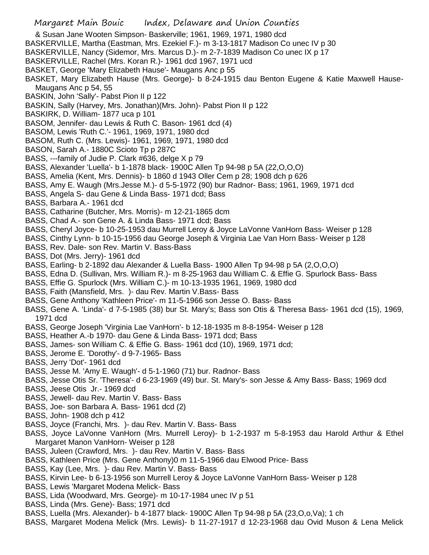- & Susan Jane Wooten Simpson- Baskerville; 1961, 1969, 1971, 1980 dcd
- BASKERVILLE, Martha (Eastman, Mrs. Ezekiel F.)- m 3-13-1817 Madison Co unec IV p 30
- BASKERVILLE, Nancy (Sidemor, Mrs. Marcus D.)- m 2-7-1839 Madison Co unec IX p 17
- BASKERVILLE, Rachel (Mrs. Koran R.)- 1961 dcd 1967, 1971 ucd
- BASKET, George 'Mary Elizabeth Hause'- Maugans Anc p 55
- BASKET, Mary Elizabeth Hause (Mrs. George)- b 8-24-1915 dau Benton Eugene & Katie Maxwell Hause-Maugans Anc p 54, 55
- BASKIN, John 'Sally'- Pabst Pion II p 122
- BASKIN, Sally (Harvey, Mrs. Jonathan)(Mrs. John)- Pabst Pion II p 122
- BASKIRK, D. William- 1877 uca p 101
- BASOM, Jennifer- dau Lewis & Ruth C. Bason- 1961 dcd (4)
- BASOM, Lewis 'Ruth C.'- 1961, 1969, 1971, 1980 dcd
- BASOM, Ruth C. (Mrs. Lewis)- 1961, 1969, 1971, 1980 dcd
- BASON, Sarah A.- 1880C Scioto Tp p 287C
- BASS, ---family of Judie P. Clark #636, delge X p 79
- BASS, Alexander 'Luella'- b 1-1878 black- 1900C Allen Tp 94-98 p 5A (22,O,O,O)
- BASS, Amelia (Kent, Mrs. Dennis)- b 1860 d 1943 Oller Cem p 28; 1908 dch p 626
- BASS, Amy E. Waugh (Mrs.Jesse M.)- d 5-5-1972 (90) bur Radnor- Bass; 1961, 1969, 1971 dcd
- BASS, Angela S- dau Gene & Linda Bass- 1971 dcd; Bass
- BASS, Barbara A.- 1961 dcd
- BASS, Catharine (Butcher, Mrs. Morris)- m 12-21-1865 dcm
- BASS, Chad A.- son Gene A. & Linda Bass- 1971 dcd; Bass
- BASS, Cheryl Joyce- b 10-25-1953 dau Murrell Leroy & Joyce LaVonne VanHorn Bass- Weiser p 128
- BASS, Cinthy Lynn- b 10-15-1956 dau George Joseph & Virginia Lae Van Horn Bass- Weiser p 128
- BASS, Rev. Dale- son Rev. Martin V. Bass-Bass
- BASS, Dot (Mrs. Jerry)- 1961 dcd
- BASS, Earling- b 2-1892 dau Alexander & Luella Bass- 1900 Allen Tp 94-98 p 5A (2,O,O,O)
- BASS, Edna D. (Sullivan, Mrs. William R.)- m 8-25-1963 dau William C. & Effie G. Spurlock Bass- Bass
- BASS, Effie G. Spurlock (Mrs. William C.)- m 10-13-1935 1961, 1969, 1980 dcd
- BASS, Faith (Mansfield, Mrs. )- dau Rev. Martin V.Bass- Bass
- BASS, Gene Anthony 'Kathleen Price'- m 11-5-1966 son Jesse O. Bass- Bass
- BASS, Gene A. 'Linda'- d 7-5-1985 (38) bur St. Mary's; Bass son Otis & Theresa Bass- 1961 dcd (15), 1969, 1971 dcd
- BASS, George Joseph 'Virginia Lae VanHorn'- b 12-18-1935 m 8-8-1954- Weiser p 128
- BASS, Heather A.-b 1970- dau Gene & Linda Bass- 1971 dcd; Bass
- BASS, James- son William C. & Effie G. Bass- 1961 dcd (10), 1969, 1971 dcd;
- BASS, Jerome E. 'Dorothy'- d 9-7-1965- Bass
- BASS, Jerry 'Dot'- 1961 dcd
- BASS, Jesse M. 'Amy E. Waugh'- d 5-1-1960 (71) bur. Radnor- Bass
- BASS, Jesse Otis Sr. 'Theresa'- d 6-23-1969 (49) bur. St. Mary's- son Jesse & Amy Bass- Bass; 1969 dcd
- BASS, Jeese Otis Jr.- 1969 dcd
- BASS, Jewell- dau Rev. Martin V. Bass- Bass
- BASS, Joe- son Barbara A. Bass- 1961 dcd (2)
- BASS, John- 1908 dch p 412
- BASS, Joyce (Franchi, Mrs. )- dau Rev. Martin V. Bass- Bass
- BASS, Joyce LaVonne VanHorn (Mrs. Murrell Leroy)- b 1-2-1937 m 5-8-1953 dau Harold Arthur & Ethel Margaret Manon VanHorn- Weiser p 128
- BASS, Juleen (Crawford, Mrs. )- dau Rev. Martin V. Bass- Bass
- BASS, Kathleen Price (Mrs. Gene Anthony)0 m 11-5-1966 dau Elwood Price- Bass
- BASS, Kay (Lee, Mrs. )- dau Rev. Martin V. Bass- Bass
- BASS, Kirvin Lee- b 6-13-1956 son Murrell Leroy & Joyce LaVonne VanHorn Bass- Weiser p 128
- BASS, Lewis 'Margaret Modena Melick- Bass
- BASS, Lida (Woodward, Mrs. George)- m 10-17-1984 unec IV p 51
- BASS, Linda (Mrs. Gene)- Bass; 1971 dcd
- BASS, Luella (Mrs. Alexander)- b 4-1877 black- 1900C Allen Tp 94-98 p 5A (23,O,o,Va); 1 ch
- BASS, Margaret Modena Melick (Mrs. Lewis)- b 11-27-1917 d 12-23-1968 dau Ovid Muson & Lena Melick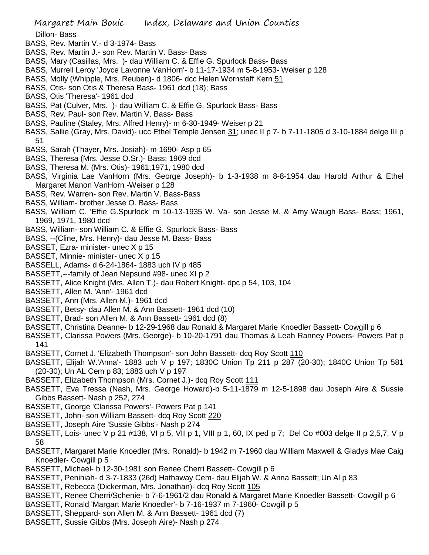Dillon- Bass

- BASS, Rev. Martin V.- d 3-1974- Bass
- BASS, Rev. Martin J.- son Rev. Martin V. Bass- Bass
- BASS, Mary (Casillas, Mrs. )- dau William C. & Effie G. Spurlock Bass- Bass
- BASS, Murrell Leroy 'Joyce Lavonne VanHorn'- b 11-17-1934 m 5-8-1953- Weiser p 128
- BASS, Molly (Whipple, Mrs. Reuben)- d 1806- dcc Helen Wornstaff Kern 51
- BASS, Otis- son Otis & Theresa Bass- 1961 dcd (18); Bass
- BASS, Otis 'Theresa'- 1961 dcd
- BASS, Pat (Culver, Mrs. )- dau William C. & Effie G. Spurlock Bass- Bass
- BASS, Rev. Paul- son Rev. Martin V. Bass- Bass
- BASS, Pauline (Staley, Mrs. Alfred Henry)- m 6-30-1949- Weiser p 21
- BASS, Sallie (Gray, Mrs. David)- ucc Ethel Temple Jensen 31; unec II p 7- b 7-11-1805 d 3-10-1884 delge III p 51
- BASS, Sarah (Thayer, Mrs. Josiah)- m 1690- Asp p 65
- BASS, Theresa (Mrs. Jesse O.Sr.)- Bass; 1969 dcd
- BASS, Theresa M. (Mrs. Otis)- 1961,1971, 1980 dcd
- BASS, Virginia Lae VanHorn (Mrs. George Joseph)- b 1-3-1938 m 8-8-1954 dau Harold Arthur & Ethel Margaret Manon VanHorn -Weiser p 128
- BASS, Rev. Warren- son Rev. Martin V. Bass-Bass
- BASS, William- brother Jesse O. Bass- Bass
- BASS, William C. 'Effie G.Spurlock' m 10-13-1935 W. Va- son Jesse M. & Amy Waugh Bass- Bass; 1961, 1969, 1971, 1980 dcd
- BASS, William- son William C. & Effie G. Spurlock Bass- Bass
- BASS, --(Cline, Mrs. Henry)- dau Jesse M. Bass- Bass
- BASSET, Ezra- minister- unec X p 15
- BASSET, Minnie- minister- unec X p 15
- BASSELL, Adams- d 6-24-1864- 1883 uch IV p 485
- BASSETT,---family of Jean Nepsund #98- unec XI p 2
- BASSETT, Alice Knight (Mrs. Allen T.)- dau Robert Knight- dpc p 54, 103, 104
- BASSETT, Allen M. 'Ann'- 1961 dcd
- BASSETT, Ann (Mrs. Allen M.)- 1961 dcd
- BASSETT, Betsy- dau Allen M. & Ann Bassett- 1961 dcd (10)
- BASSETT, Brad- son Allen M. & Ann Bassett- 1961 dcd (8)
- BASSETT, Christina Deanne- b 12-29-1968 dau Ronald & Margaret Marie Knoedler Bassett- Cowgill p 6
- BASSETT, Clarissa Powers (Mrs. George)- b 10-20-1791 dau Thomas & Leah Ranney Powers- Powers Pat p 141
- BASSETT, Cornet J. 'Elizabeth Thompson'- son John Bassett- dcq Roy Scott 110
- BASSETT, Elijah W.'Anna'- 1883 uch V p 197; 1830C Union Tp 211 p 287 (20-30); 1840C Union Tp 581 (20-30); Un AL Cem p 83; 1883 uch V p 197
- BASSETT, Elizabeth Thompson (Mrs. Cornet J.)- dcq Roy Scott 111
- BASSETT, Eva Tressa (Nash, Mrs. George Howard)-b 5-11-1879 m 12-5-1898 dau Joseph Aire & Sussie Gibbs Bassett- Nash p 252, 274
- BASSETT, George 'Clarissa Powers'- Powers Pat p 141
- BASSETT, John- son William Bassett- dcq Roy Scott 220
- BASSETT, Joseph Aire 'Sussie Gibbs'- Nash p 274
- BASSETT, Lois- unec V p 21 #138, VI p 5, VII p 1, VIII p 1, 60, IX ped p 7; Del Co #003 delge II p 2,5,7, V p 58
- BASSETT, Margaret Marie Knoedler (Mrs. Ronald)- b 1942 m 7-1960 dau William Maxwell & Gladys Mae Caig Knoedler- Cowgill p 5
- BASSETT, Michael- b 12-30-1981 son Renee Cherri Bassett- Cowgill p 6
- BASSETT, Peniniah- d 3-7-1833 (26d) Hathaway Cem- dau Elijah W. & Anna Bassett; Un Al p 83
- BASSETT, Rebecca (Dickerman, Mrs. Jonathan)- dcq Roy Scott 105
- BASSETT, Renee Cherri/Schenie- b 7-6-1961/2 dau Ronald & Margaret Marie Knoedler Bassett- Cowgill p 6
- BASSETT, Ronald 'Margart Marie Knoedler'- b 7-16-1937 m 7-1960- Cowgill p 5
- BASSETT, Sheppard- son Allen M. & Ann Bassett- 1961 dcd (7)
- BASSETT, Sussie Gibbs (Mrs. Joseph Aire)- Nash p 274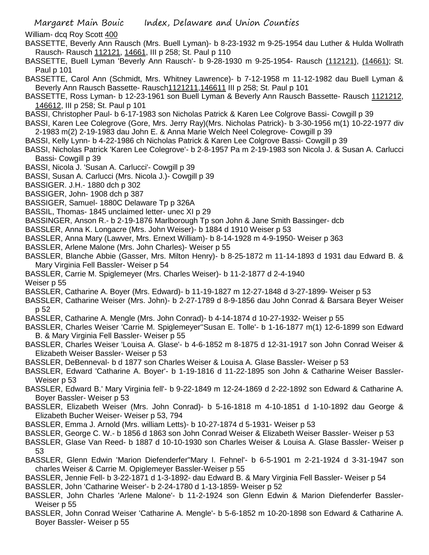William- dcq Roy Scott 400

- BASSETTE, Beverly Ann Rausch (Mrs. Buell Lyman)- b 8-23-1932 m 9-25-1954 dau Luther & Hulda Wollrath Rausch- Rausch 112121, 14661, III p 258; St. Paul p 110
- BASSETTE, Buell Lyman 'Beverly Ann Rausch'- b 9-28-1930 m 9-25-1954- Rausch (112121), (14661); St. Paul p 101
- BASSETTE, Carol Ann (Schmidt, Mrs. Whitney Lawrence)- b 7-12-1958 m 11-12-1982 dau Buell Lyman & Beverly Ann Rausch Bassette- Rausch1121211,146611 III p 258; St. Paul p 101
- BASSETTE, Ross Lyman- b 12-23-1961 son Buell Lyman & Beverly Ann Rausch Bassette- Rausch 1121212, 146612, III p 258; St. Paul p 101
- BASSI, Christopher Paul- b 6-17-1983 son Nicholas Patrick & Karen Lee Colgrove Bassi- Cowgill p 39
- BASSI, Karen Lee Colegrove (Gore, Mrs. Jerry Ray)(Mrs. Nicholas Patrick)- b 3-30-1956 m(1) 10-22-1977 div 2-1983 m(2) 2-19-1983 dau John E. & Anna Marie Welch Neel Colegrove- Cowgill p 39
- BASSI, Kelly Lynn- b 4-22-1986 ch Nicholas Patrick & Karen Lee Colgrove Bassi- Cowgill p 39
- BASSI, Nicholas Patrick 'Karen Lee Colegrove'- b 2-8-1957 Pa m 2-19-1983 son Nicola J. & Susan A. Carlucci Bassi- Cowgill p 39
- BASSI, Nicola J. 'Susan A. Carlucci'- Cowgill p 39
- BASSI, Susan A. Carlucci (Mrs. Nicola J.)- Cowgill p 39
- BASSIGER. J.H.- 1880 dch p 302
- BASSIGER, John- 1908 dch p 387
- BASSIGER, Samuel- 1880C Delaware Tp p 326A
- BASSIL, Thomas- 1845 unclaimed letter- unec XI p 29
- BASSINGER, Anson R.- b 2-19-1876 Marlborough Tp son John & Jane Smith Bassinger- dcb
- BASSLER, Anna K. Longacre (Mrs. John Weiser)- b 1884 d 1910 Weiser p 53
- BASSLER, Anna Mary (Lawver, Mrs. Ernext William)- b 8-14-1928 m 4-9-1950- Weiser p 363
- BASSLER, Arlene Malone (Mrs. John Charles)- Weiser p 55
- BASSLER, Blanche Abbie (Gasser, Mrs. Milton Henry)- b 8-25-1872 m 11-14-1893 d 1931 dau Edward B. & Mary Virginia Fell Bassler- Weiser p 54
- BASSLER, Carrie M. Spiglemeyer (Mrs. Charles Weiser)- b 11-2-1877 d 2-4-1940
- Weiser p 55
- BASSLER, Catharine A. Boyer (Mrs. Edward)- b 11-19-1827 m 12-27-1848 d 3-27-1899- Weiser p 53
- BASSLER, Catharine Weiser (Mrs. John)- b 2-27-1789 d 8-9-1856 dau John Conrad & Barsara Beyer Weiser p 52
- BASSLER, Catharine A. Mengle (Mrs. John Conrad)- b 4-14-1874 d 10-27-1932- Weiser p 55
- BASSLER, Charles Weiser 'Carrie M. Spiglemeyer''Susan E. Tolle'- b 1-16-1877 m(1) 12-6-1899 son Edward B. & Mary Virginia Fell Bassler- Weiser p 55
- BASSLER, Charles Weiser 'Louisa A. Glase'- b 4-6-1852 m 8-1875 d 12-31-1917 son John Conrad Weiser & Elizabeth Weiser Bassler- Weiser p 53
- BASSLER, DeBenneval- b d 1877 son Charles Weiser & Louisa A. Glase Bassler- Weiser p 53
- BASSLER, Edward 'Catharine A. Boyer'- b 1-19-1816 d 11-22-1895 son John & Catharine Weiser Bassler-Weiser p 53
- BASSLER, Edward B.' Mary Virginia fell'- b 9-22-1849 m 12-24-1869 d 2-22-1892 son Edward & Catharine A. Boyer Bassler- Weiser p 53
- BASSLER, Elizabeth Weiser (Mrs. John Conrad)- b 5-16-1818 m 4-10-1851 d 1-10-1892 dau George & Elizabeth Bucher Weiser- Weiser p 53, 794
- BASSLER, Emma J. Arnold (Mrs. william Letts)- b 10-27-1874 d 5-1931- Weiser p 53
- BASSLER, George C. W.- b 1856 d 1863 son John Conrad Weiser & Elizabeth Weiser Bassler- Weiser p 53
- BASSLER, Glase Van Reed- b 1887 d 10-10-1930 son Charles Weiser & Louisa A. Glase Bassler- Weiser p 53
- BASSLER, Glenn Edwin 'Marion Diefenderfer''Mary I. Fehnel'- b 6-5-1901 m 2-21-1924 d 3-31-1947 son charles Weiser & Carrie M. Opiglemeyer Bassler-Weiser p 55
- BASSLER, Jennie Fell- b 3-22-1871 d 1-3-1892- dau Edward B. & Mary Virginia Fell Bassler- Weiser p 54
- BASSLER, John 'Catharine Weiser'- b 2-24-1780 d 1-13-1859- Weiser p 52
- BASSLER, John Charles 'Arlene Malone'- b 11-2-1924 son Glenn Edwin & Marion Diefenderfer Bassler-Weiser p 55
- BASSLER, John Conrad Weiser 'Catharine A. Mengle'- b 5-6-1852 m 10-20-1898 son Edward & Catharine A. Boyer Bassler- Weiser p 55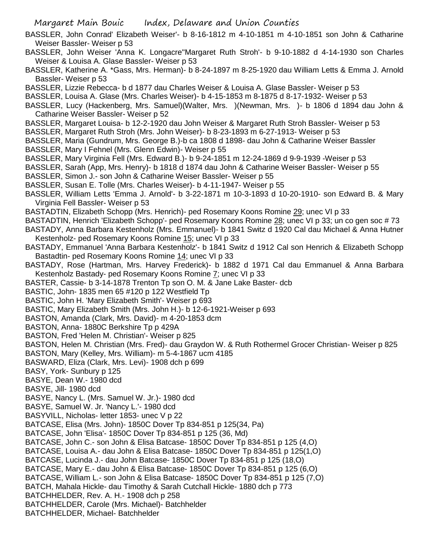- BASSLER, John Conrad' Elizabeth Weiser'- b 8-16-1812 m 4-10-1851 m 4-10-1851 son John & Catharine Weiser Bassler- Weiser p 53
- BASSLER, John Weiser 'Anna K. Longacre''Margaret Ruth Stroh'- b 9-10-1882 d 4-14-1930 son Charles Weiser & Louisa A. Glase Bassler- Weiser p 53
- BASSLER, Katherine A. \*Gass, Mrs. Herman)- b 8-24-1897 m 8-25-1920 dau William Letts & Emma J. Arnold Bassler- Weiser p 53
- BASSLER, Lizzie Rebecca- b d 1877 dau Charles Weiser & Louisa A. Glase Bassler- Weiser p 53
- BASSLER, Louisa A. Glase (Mrs. Charles Weiser)- b 4-15-1853 m 8-1875 d 8-17-1932- Weiser p 53
- BASSLER, Lucy (Hackenberg, Mrs. Samuel)(Walter, Mrs. )(Newman, Mrs. )- b 1806 d 1894 dau John & Catharine Weiser Bassler- Weiser p 52
- BASSLER, Margaret Louisa- b 12-2-1920 dau John Weiser & Margaret Ruth Stroh Bassler- Weiser p 53
- BASSLER, Margaret Ruth Stroh (Mrs. John Weiser)- b 8-23-1893 m 6-27-1913- Weiser p 53
- BASSLER, Maria (Gundrum, Mrs. George B.)-b ca 1808 d 1898- dau John & Catharine Weiser Bassler BASSLER, Mary I Fehnel (Mrs. Glenn Edwin)- Weiser p 55
- BASSLER, Mary Virginia Fell (Mrs. Edward B.)- b 9-24-1851 m 12-24-1869 d 9-9-1939 -Weiser p 53
- BASSLER, Sarah (App, Mrs. Henry)- b 1818 d 1874 dau John & Catharine Weiser Bassler- Weiser p 55
- BASSLER, Simon J.- son John & Catharine Weiser Bassler- Weiser p 55
- BASSLER, Susan E. Tolle (Mrs. Charles Weiser)- b 4-11-1947- Weiser p 55
- BASSLER, William Letts 'Emma J. Arnold'- b 3-22-1871 m 10-3-1893 d 10-20-1910- son Edward B. & Mary Virginia Fell Bassler- Weiser p 53
- BASTADTIN, Elizabeth Schopp (Mrs. Henrich)- ped Rosemary Koons Romine 29; unec VI p 33
- BASTADTIN, Henrich 'Elizabeth Schopp'- ped Rosemary Koons Romine 28; unec VI p 33; un co gen soc #73
- BASTADY, Anna Barbara Kestenholz (Mrs. Emmanuel)- b 1841 Switz d 1920 Cal dau Michael & Anna Hutner Kestenholz- ped Rosemary Koons Romine 15; unec VI p 33
- BASTADY, Emmanuel 'Anna Barbara Kestenholz'- b 1841 Switz d 1912 Cal son Henrich & Elizabeth Schopp Bastadtin- ped Rosemary Koons Romine 14; unec VI p 33
- BASTADY, Rose (Hartman, Mrs. Harvey Frederick)- b 1882 d 1971 Cal dau Emmanuel & Anna Barbara Kestenholz Bastady- ped Rosemary Koons Romine 7; unec VI p 33
- BASTER, Cassie- b 3-14-1878 Trenton Tp son O. M. & Jane Lake Baster- dcb
- BASTIC, John- 1835 men 65 #120 p 122 Westfield Tp
- BASTIC, John H. 'Mary Elizabeth Smith'- Weiser p 693
- BASTIC, Mary Elizabeth Smith (Mrs. John H.)- b 12-6-1921-Weiser p 693
- BASTON, Amanda (Clark, Mrs. David)- m 4-20-1853 dcm
- BASTON, Anna- 1880C Berkshire Tp p 429A
- BASTON, Fred 'Helen M. Christian'- Weiser p 825
- BASTON, Helen M. Christian (Mrs. Fred)- dau Graydon W. & Ruth Rothermel Grocer Christian- Weiser p 825
- BASTON, Mary (Kelley, Mrs. William)- m 5-4-1867 ucm 4185
- BASWARD, Eliza (Clark, Mrs. Levi)- 1908 dch p 699
- BASY, York- Sunbury p 125
- BASYE, Dean W.- 1980 dcd
- BASYE, Jill- 1980 dcd
- BASYE, Nancy L. (Mrs. Samuel W. Jr.)- 1980 dcd
- BASYE, Samuel W. Jr. 'Nancy L.'- 1980 dcd
- BASYVILL, Nicholas- letter 1853- unec V p 22
- BATCASE, Elisa (Mrs. John)- 1850C Dover Tp 834-851 p 125(34, Pa)
- BATCASE, John 'Elisa'- 1850C Dover Tp 834-851 p 125 (36, Md)
- BATCASE, John C.- son John & Elisa Batcase- 1850C Dover Tp 834-851 p 125 (4,O)
- BATCASE, Louisa A.- dau John & Elisa Batcase- 1850C Dover Tp 834-851 p 125(1,O)
- BATCASE, Lucinda J.- dau John Batcase- 1850C Dover Tp 834-851 p 125 (18,O)
- BATCASE, Mary E.- dau John & Elisa Batcase- 1850C Dover Tp 834-851 p 125 (6,O)
- BATCASE, William L.- son John & Elisa Batcase- 1850C Dover Tp 834-851 p 125 (7,O)
- BATCH, Mahala Hickle- dau Timothy & Sarah Cutchall Hickle- 1880 dch p 773
- BATCHHELDER, Rev. A. H.- 1908 dch p 258
- BATCHHELDER, Carole (Mrs. Michael)- Batchhelder
- BATCHHELDER, Michael- Batchhelder